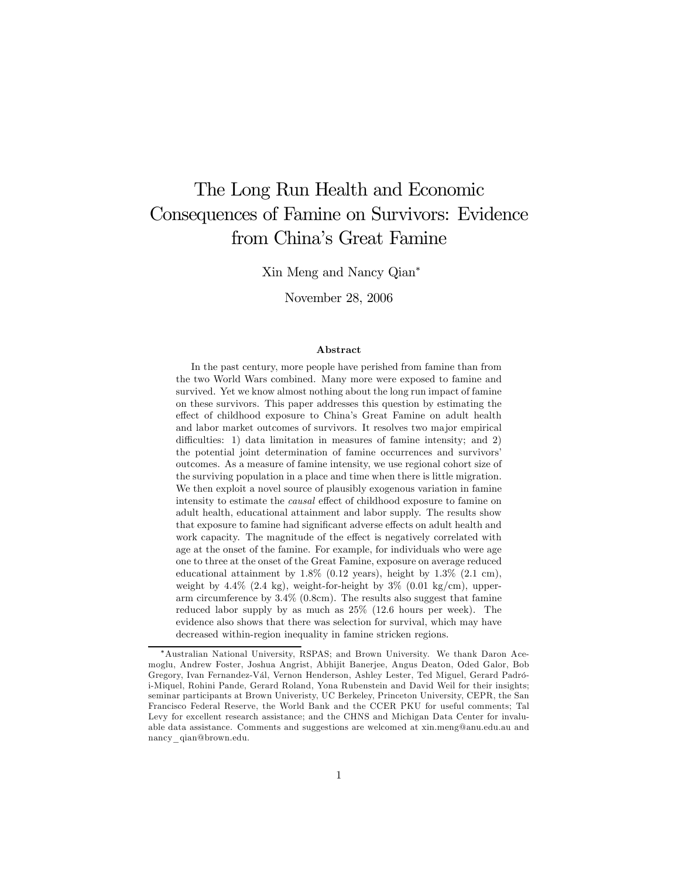# The Long Run Health and Economic Consequences of Famine on Survivors: Evidence from China's Great Famine

Xin Meng and Nancy Qian<sup>∗</sup>

November 28, 2006

#### Abstract

In the past century, more people have perished from famine than from the two World Wars combined. Many more were exposed to famine and survived. Yet we know almost nothing about the long run impact of famine on these survivors. This paper addresses this question by estimating the effect of childhood exposure to China's Great Famine on adult health and labor market outcomes of survivors. It resolves two major empirical difficulties: 1) data limitation in measures of famine intensity; and 2) the potential joint determination of famine occurrences and survivors' outcomes. As a measure of famine intensity, we use regional cohort size of the surviving population in a place and time when there is little migration. We then exploit a novel source of plausibly exogenous variation in famine intensity to estimate the causal effect of childhood exposure to famine on adult health, educational attainment and labor supply. The results show that exposure to famine had significant adverse effects on adult health and work capacity. The magnitude of the effect is negatively correlated with age at the onset of the famine. For example, for individuals who were age one to three at the onset of the Great Famine, exposure on average reduced educational attainment by  $1.8\%$  (0.12 years), height by  $1.3\%$  (2.1 cm), weight by  $4.4\%$  (2.4 kg), weight-for-height by  $3\%$  (0.01 kg/cm), upperarm circumference by 3.4% (0.8cm). The results also suggest that famine reduced labor supply by as much as 25% (12.6 hours per week). The evidence also shows that there was selection for survival, which may have decreased within-region inequality in famine stricken regions.

<sup>∗</sup>Australian National University, RSPAS; and Brown University. We thank Daron Acemoglu, Andrew Foster, Joshua Angrist, Abhijit Banerjee, Angus Deaton, Oded Galor, Bob Gregory, Ivan Fernandez-Vál, Vernon Henderson, Ashley Lester, Ted Miguel, Gerard Padrói-Miquel, Rohini Pande, Gerard Roland, Yona Rubenstein and David Weil for their insights; seminar participants at Brown Univeristy, UC Berkeley, Princeton University, CEPR, the San Francisco Federal Reserve, the World Bank and the CCER PKU for useful comments; Tal Levy for excellent research assistance; and the CHNS and Michigan Data Center for invaluable data assistance. Comments and suggestions are welcomed at xin.meng@anu.edu.au and nancy\_qian@brown.edu.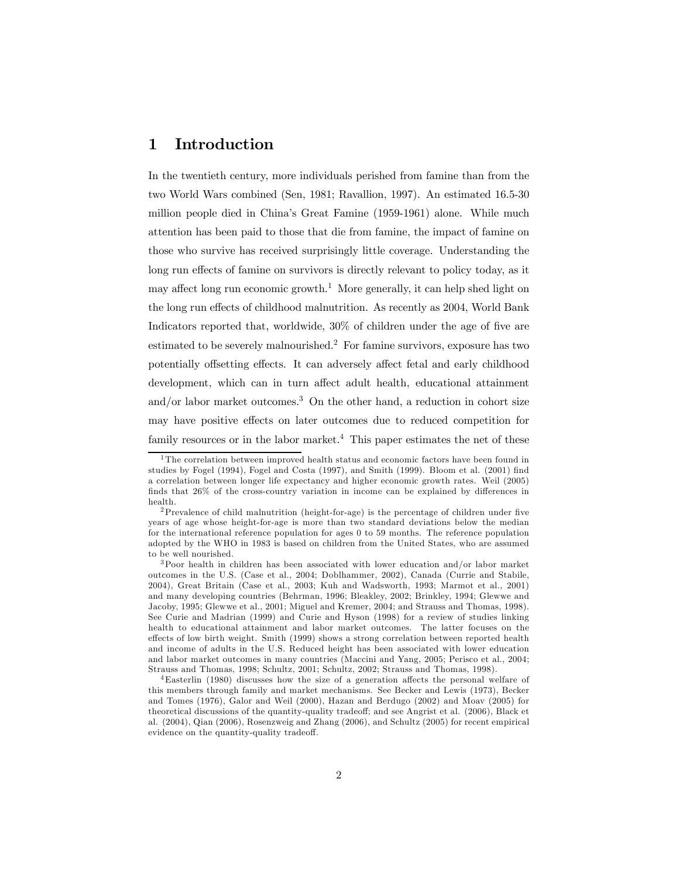# 1 Introduction

In the twentieth century, more individuals perished from famine than from the two World Wars combined (Sen, 1981; Ravallion, 1997). An estimated 16.5-30 million people died in China's Great Famine (1959-1961) alone. While much attention has been paid to those that die from famine, the impact of famine on those who survive has received surprisingly little coverage. Understanding the long run effects of famine on survivors is directly relevant to policy today, as it may affect long run economic growth.<sup>1</sup> More generally, it can help shed light on the long run effects of childhood malnutrition. As recently as 2004, World Bank Indicators reported that, worldwide, 30% of children under the age of five are estimated to be severely malnourished.2 For famine survivors, exposure has two potentially offsetting effects. It can adversely affect fetal and early childhood development, which can in turn affect adult health, educational attainment and/or labor market outcomes.<sup>3</sup> On the other hand, a reduction in cohort size may have positive effects on later outcomes due to reduced competition for family resources or in the labor market.<sup>4</sup> This paper estimates the net of these

<sup>&</sup>lt;sup>1</sup>The correlation between improved health status and economic factors have been found in studies by Fogel (1994), Fogel and Costa (1997), and Smith (1999). Bloom et al. (2001) find a correlation between longer life expectancy and higher economic growth rates. Weil (2005) finds that 26% of the cross-country variation in income can be explained by differences in health.

<sup>2</sup>Prevalence of child malnutrition (height-for-age) is the percentage of children under five years of age whose height-for-age is more than two standard deviations below the median for the international reference population for ages 0 to 59 months. The reference population adopted by the WHO in 1983 is based on children from the United States, who are assumed to be well nourished.

<sup>3</sup>Poor health in children has been associated with lower education and/or labor market outcomes in the U.S. (Case et al., 2004; Doblhammer, 2002), Canada (Currie and Stabile, 2004), Great Britain (Case et al., 2003; Kuh and Wadsworth, 1993; Marmot et al., 2001) and many developing countries (Behrman, 1996; Bleakley, 2002; Brinkley, 1994; Glewwe and Jacoby, 1995; Glewwe et al., 2001; Miguel and Kremer, 2004; and Strauss and Thomas, 1998). See Curie and Madrian (1999) and Curie and Hyson (1998) for a review of studies linking health to educational attainment and labor market outcomes. The latter focuses on the effects of low birth weight. Smith (1999) shows a strong correlation between reported health and income of adults in the U.S. Reduced height has been associated with lower education and labor market outcomes in many countries (Maccini and Yang, 2005; Perisco et al., 2004; Strauss and Thomas, 1998; Schultz, 2001; Schultz, 2002; Strauss and Thomas, 1998).

<sup>4</sup>Easterlin (1980) discusses how the size of a generation affects the personal welfare of this members through family and market mechanisms. See Becker and Lewis (1973), Becker and Tomes (1976), Galor and Weil (2000), Hazan and Berdugo (2002) and Moav (2005) for theoretical discussions of the quantity-quality tradeoff; and see Angrist et al. (2006), Black et al. (2004), Qian (2006), Rosenzweig and Zhang (2006), and Schultz (2005) for recent empirical evidence on the quantity-quality tradeoff.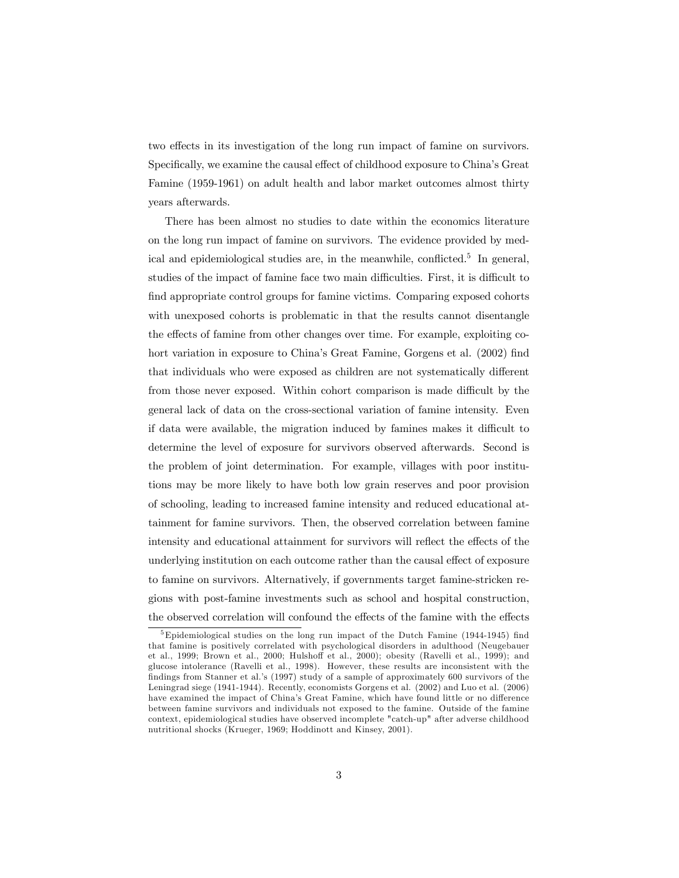two effects in its investigation of the long run impact of famine on survivors. Specifically, we examine the causal effect of childhood exposure to China's Great Famine (1959-1961) on adult health and labor market outcomes almost thirty years afterwards.

There has been almost no studies to date within the economics literature on the long run impact of famine on survivors. The evidence provided by medical and epidemiological studies are, in the meanwhile, conflicted.<sup>5</sup> In general, studies of the impact of famine face two main difficulties. First, it is difficult to find appropriate control groups for famine victims. Comparing exposed cohorts with unexposed cohorts is problematic in that the results cannot disentangle the effects of famine from other changes over time. For example, exploiting cohort variation in exposure to China's Great Famine, Gorgens et al. (2002) find that individuals who were exposed as children are not systematically different from those never exposed. Within cohort comparison is made difficult by the general lack of data on the cross-sectional variation of famine intensity. Even if data were available, the migration induced by famines makes it difficult to determine the level of exposure for survivors observed afterwards. Second is the problem of joint determination. For example, villages with poor institutions may be more likely to have both low grain reserves and poor provision of schooling, leading to increased famine intensity and reduced educational attainment for famine survivors. Then, the observed correlation between famine intensity and educational attainment for survivors will reflect the effects of the underlying institution on each outcome rather than the causal effect of exposure to famine on survivors. Alternatively, if governments target famine-stricken regions with post-famine investments such as school and hospital construction, the observed correlation will confound the effects of the famine with the effects

<sup>5</sup>Epidemiological studies on the long run impact of the Dutch Famine (1944-1945) find that famine is positively correlated with psychological disorders in adulthood (Neugebauer et al., 1999; Brown et al., 2000; Hulshoff et al., 2000); obesity (Ravelli et al., 1999); and glucose intolerance (Ravelli et al., 1998). However, these results are inconsistent with the findings from Stanner et al.'s (1997) study of a sample of approximately 600 survivors of the Leningrad siege (1941-1944). Recently, economists Gorgens et al. (2002) and Luo et al. (2006) have examined the impact of China's Great Famine, which have found little or no difference between famine survivors and individuals not exposed to the famine. Outside of the famine context, epidemiological studies have observed incomplete "catch-up" after adverse childhood nutritional shocks (Krueger, 1969; Hoddinott and Kinsey, 2001).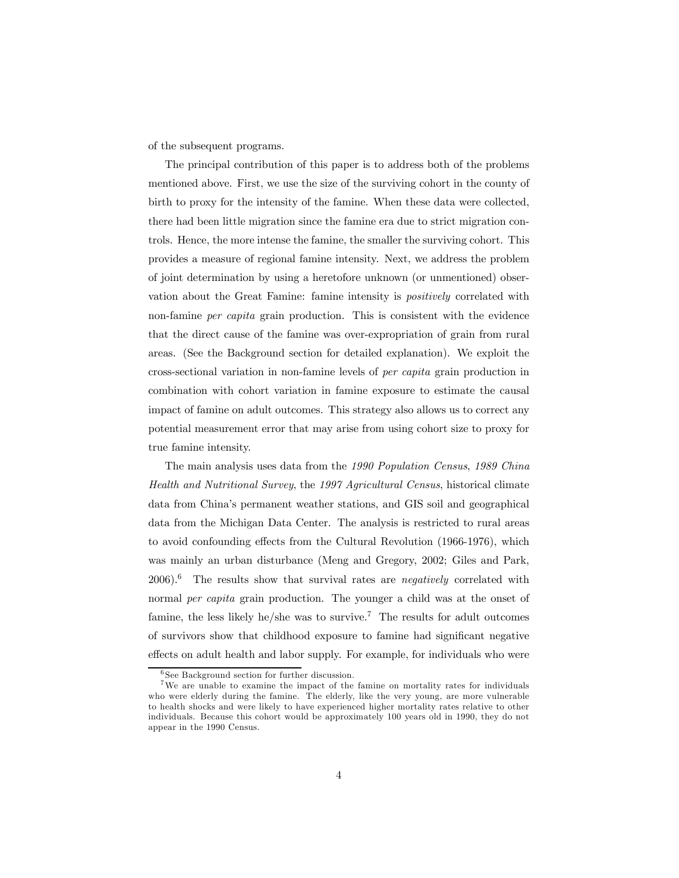of the subsequent programs.

The principal contribution of this paper is to address both of the problems mentioned above. First, we use the size of the surviving cohort in the county of birth to proxy for the intensity of the famine. When these data were collected, there had been little migration since the famine era due to strict migration controls. Hence, the more intense the famine, the smaller the surviving cohort. This provides a measure of regional famine intensity. Next, we address the problem of joint determination by using a heretofore unknown (or unmentioned) observation about the Great Famine: famine intensity is positively correlated with non-famine per capita grain production. This is consistent with the evidence that the direct cause of the famine was over-expropriation of grain from rural areas. (See the Background section for detailed explanation). We exploit the cross-sectional variation in non-famine levels of per capita grain production in combination with cohort variation in famine exposure to estimate the causal impact of famine on adult outcomes. This strategy also allows us to correct any potential measurement error that may arise from using cohort size to proxy for true famine intensity.

The main analysis uses data from the 1990 Population Census, 1989 China Health and Nutritional Survey, the 1997 Agricultural Census, historical climate data from China's permanent weather stations, and GIS soil and geographical data from the Michigan Data Center. The analysis is restricted to rural areas to avoid confounding effects from the Cultural Revolution (1966-1976), which was mainly an urban disturbance (Meng and Gregory, 2002; Giles and Park,  $2006$ .<sup>6</sup> The results show that survival rates are *negatively* correlated with normal *per capita* grain production. The younger a child was at the onset of famine, the less likely he/she was to survive.<sup>7</sup> The results for adult outcomes of survivors show that childhood exposure to famine had significant negative effects on adult health and labor supply. For example, for individuals who were

<sup>6</sup> See Background section for further discussion.

<sup>&</sup>lt;sup>7</sup>We are unable to examine the impact of the famine on mortality rates for individuals who were elderly during the famine. The elderly, like the very young, are more vulnerable to health shocks and were likely to have experienced higher mortality rates relative to other individuals. Because this cohort would be approximately 100 years old in 1990, they do not appear in the 1990 Census.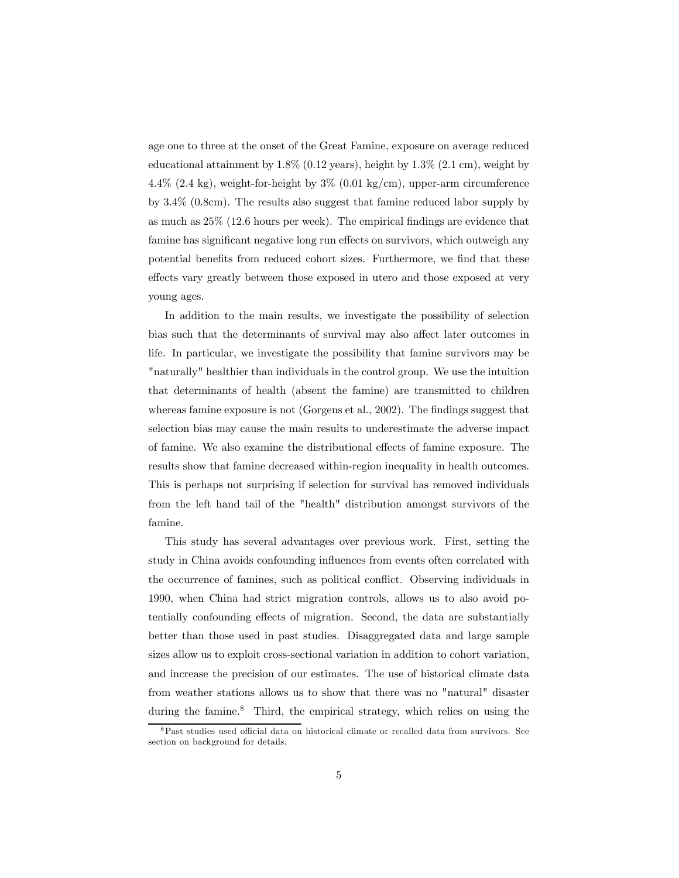age one to three at the onset of the Great Famine, exposure on average reduced educational attainment by  $1.8\%$  (0.12 years), height by  $1.3\%$  (2.1 cm), weight by 4.4% (2.4 kg), weight-for-height by  $3\%$  (0.01 kg/cm), upper-arm circumference by 3.4% (0.8cm). The results also suggest that famine reduced labor supply by as much as 25% (12.6 hours per week). The empirical findings are evidence that famine has significant negative long run effects on survivors, which outweigh any potential benefits from reduced cohort sizes. Furthermore, we find that these effects vary greatly between those exposed in utero and those exposed at very young ages.

In addition to the main results, we investigate the possibility of selection bias such that the determinants of survival may also affect later outcomes in life. In particular, we investigate the possibility that famine survivors may be "naturally" healthier than individuals in the control group. We use the intuition that determinants of health (absent the famine) are transmitted to children whereas famine exposure is not (Gorgens et al., 2002). The findings suggest that selection bias may cause the main results to underestimate the adverse impact of famine. We also examine the distributional effects of famine exposure. The results show that famine decreased within-region inequality in health outcomes. This is perhaps not surprising if selection for survival has removed individuals from the left hand tail of the "health" distribution amongst survivors of the famine.

This study has several advantages over previous work. First, setting the study in China avoids confounding influences from events often correlated with the occurrence of famines, such as political conflict. Observing individuals in 1990, when China had strict migration controls, allows us to also avoid potentially confounding effects of migration. Second, the data are substantially better than those used in past studies. Disaggregated data and large sample sizes allow us to exploit cross-sectional variation in addition to cohort variation, and increase the precision of our estimates. The use of historical climate data from weather stations allows us to show that there was no "natural" disaster during the famine.<sup>8</sup> Third, the empirical strategy, which relies on using the

 $8$ Past studies used official data on historical climate or recalled data from survivors. See section on background for details.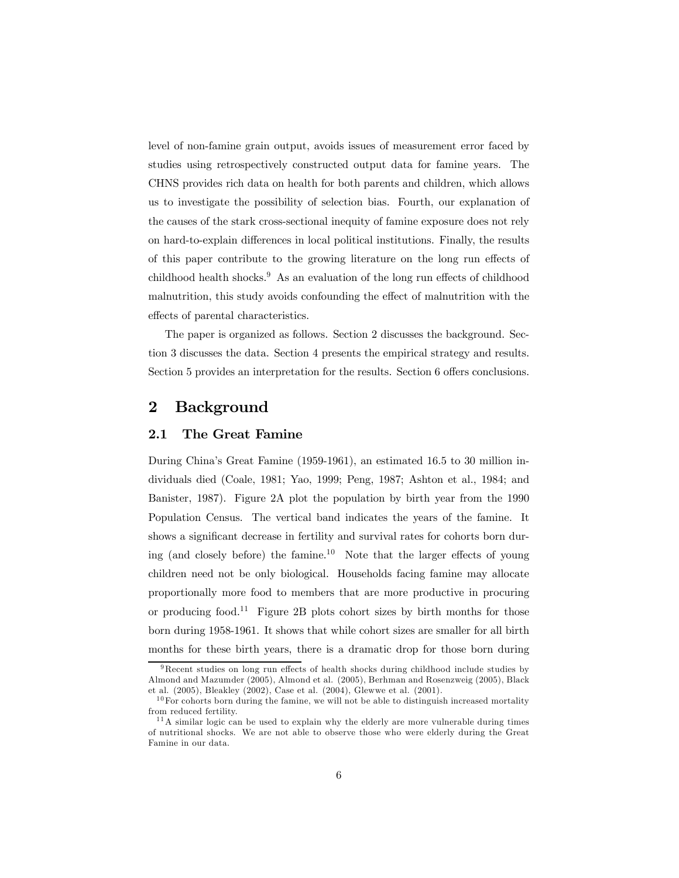level of non-famine grain output, avoids issues of measurement error faced by studies using retrospectively constructed output data for famine years. The CHNS provides rich data on health for both parents and children, which allows us to investigate the possibility of selection bias. Fourth, our explanation of the causes of the stark cross-sectional inequity of famine exposure does not rely on hard-to-explain differences in local political institutions. Finally, the results of this paper contribute to the growing literature on the long run effects of childhood health shocks.<sup>9</sup> As an evaluation of the long run effects of childhood malnutrition, this study avoids confounding the effect of malnutrition with the effects of parental characteristics.

The paper is organized as follows. Section 2 discusses the background. Section 3 discusses the data. Section 4 presents the empirical strategy and results. Section 5 provides an interpretation for the results. Section 6 offers conclusions.

# 2 Background

### 2.1 The Great Famine

During China's Great Famine (1959-1961), an estimated 16.5 to 30 million individuals died (Coale, 1981; Yao, 1999; Peng, 1987; Ashton et al., 1984; and Banister, 1987). Figure 2A plot the population by birth year from the 1990 Population Census. The vertical band indicates the years of the famine. It shows a significant decrease in fertility and survival rates for cohorts born during (and closely before) the famine.<sup>10</sup> Note that the larger effects of young children need not be only biological. Households facing famine may allocate proportionally more food to members that are more productive in procuring or producing food.<sup>11</sup> Figure 2B plots cohort sizes by birth months for those born during 1958-1961. It shows that while cohort sizes are smaller for all birth months for these birth years, there is a dramatic drop for those born during

<sup>9</sup>Recent studies on long run effects of health shocks during childhood include studies by Almond and Mazumder (2005), Almond et al. (2005), Berhman and Rosenzweig (2005), Black et al. (2005), Bleakley (2002), Case et al. (2004), Glewwe et al. (2001).

 $10$  For cohorts born during the famine, we will not be able to distinguish increased mortality from reduced fertility.

 $11A$  similar logic can be used to explain why the elderly are more vulnerable during times of nutritional shocks. We are not able to observe those who were elderly during the Great Famine in our data.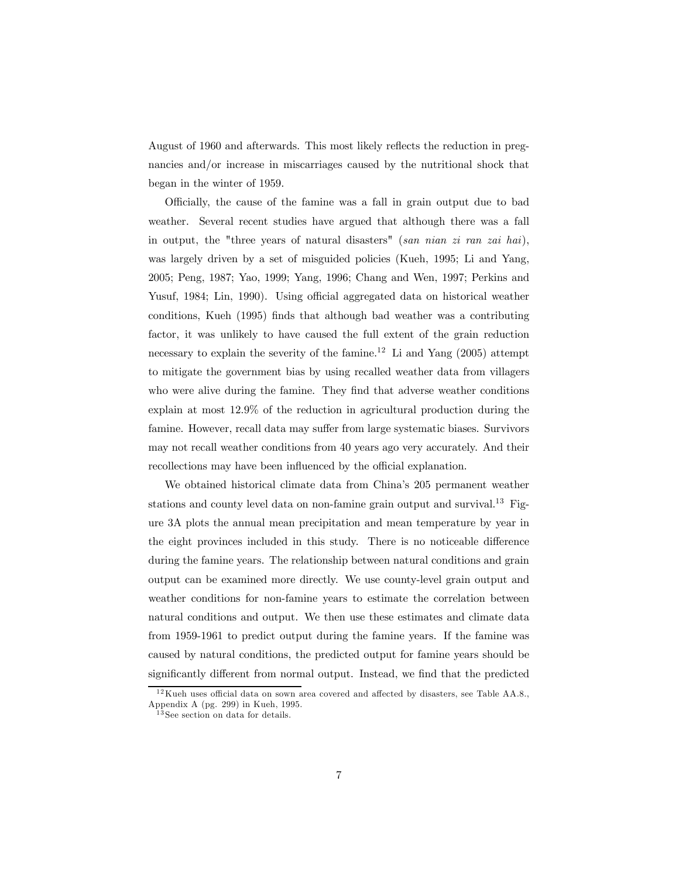August of 1960 and afterwards. This most likely reflects the reduction in pregnancies and/or increase in miscarriages caused by the nutritional shock that began in the winter of 1959.

Officially, the cause of the famine was a fall in grain output due to bad weather. Several recent studies have argued that although there was a fall in output, the "three years of natural disasters" (san nian zi ran zai hai), was largely driven by a set of misguided policies (Kueh, 1995; Li and Yang, 2005; Peng, 1987; Yao, 1999; Yang, 1996; Chang and Wen, 1997; Perkins and Yusuf, 1984; Lin, 1990). Using official aggregated data on historical weather conditions, Kueh (1995) finds that although bad weather was a contributing factor, it was unlikely to have caused the full extent of the grain reduction necessary to explain the severity of the famine.<sup>12</sup> Li and Yang  $(2005)$  attempt to mitigate the government bias by using recalled weather data from villagers who were alive during the famine. They find that adverse weather conditions explain at most 12.9% of the reduction in agricultural production during the famine. However, recall data may suffer from large systematic biases. Survivors may not recall weather conditions from 40 years ago very accurately. And their recollections may have been influenced by the official explanation.

We obtained historical climate data from China's 205 permanent weather stations and county level data on non-famine grain output and survival.<sup>13</sup> Figure 3A plots the annual mean precipitation and mean temperature by year in the eight provinces included in this study. There is no noticeable difference during the famine years. The relationship between natural conditions and grain output can be examined more directly. We use county-level grain output and weather conditions for non-famine years to estimate the correlation between natural conditions and output. We then use these estimates and climate data from 1959-1961 to predict output during the famine years. If the famine was caused by natural conditions, the predicted output for famine years should be significantly different from normal output. Instead, we find that the predicted

 $12$ Kueh uses official data on sown area covered and affected by disasters, see Table AA.8., Appendix A (pg. 299) in Kueh, 1995.

 $3$  See section on data for details.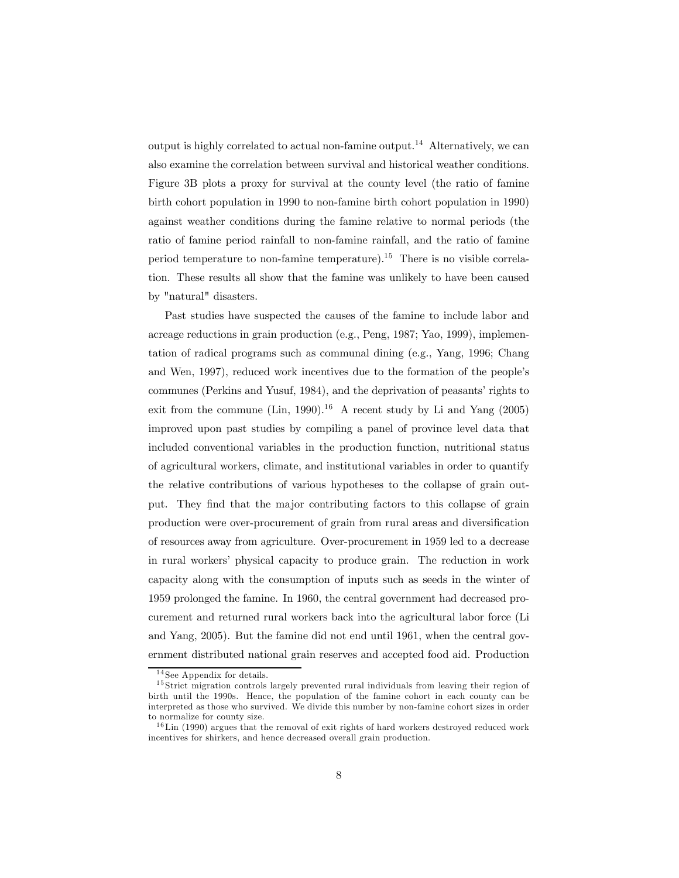output is highly correlated to actual non-famine output.<sup>14</sup> Alternatively, we can also examine the correlation between survival and historical weather conditions. Figure 3B plots a proxy for survival at the county level (the ratio of famine birth cohort population in 1990 to non-famine birth cohort population in 1990) against weather conditions during the famine relative to normal periods (the ratio of famine period rainfall to non-famine rainfall, and the ratio of famine period temperature to non-famine temperature).15 There is no visible correlation. These results all show that the famine was unlikely to have been caused by "natural" disasters.

Past studies have suspected the causes of the famine to include labor and acreage reductions in grain production (e.g., Peng, 1987; Yao, 1999), implementation of radical programs such as communal dining (e.g., Yang, 1996; Chang and Wen, 1997), reduced work incentives due to the formation of the people's communes (Perkins and Yusuf, 1984), and the deprivation of peasants' rights to exit from the commune (Lin, 1990).<sup>16</sup> A recent study by Li and Yang (2005) improved upon past studies by compiling a panel of province level data that included conventional variables in the production function, nutritional status of agricultural workers, climate, and institutional variables in order to quantify the relative contributions of various hypotheses to the collapse of grain output. They find that the major contributing factors to this collapse of grain production were over-procurement of grain from rural areas and diversification of resources away from agriculture. Over-procurement in 1959 led to a decrease in rural workers' physical capacity to produce grain. The reduction in work capacity along with the consumption of inputs such as seeds in the winter of 1959 prolonged the famine. In 1960, the central government had decreased procurement and returned rural workers back into the agricultural labor force (Li and Yang, 2005). But the famine did not end until 1961, when the central government distributed national grain reserves and accepted food aid. Production

 $14$  See Appendix for details.

<sup>&</sup>lt;sup>15</sup> Strict migration controls largely prevented rural individuals from leaving their region of birth until the 1990s. Hence, the population of the famine cohort in each county can be interpreted as those who survived. We divide this number by non-famine cohort sizes in order to normalize for county size.

 $16$ Lin (1990) argues that the removal of exit rights of hard workers destroyed reduced work incentives for shirkers, and hence decreased overall grain production.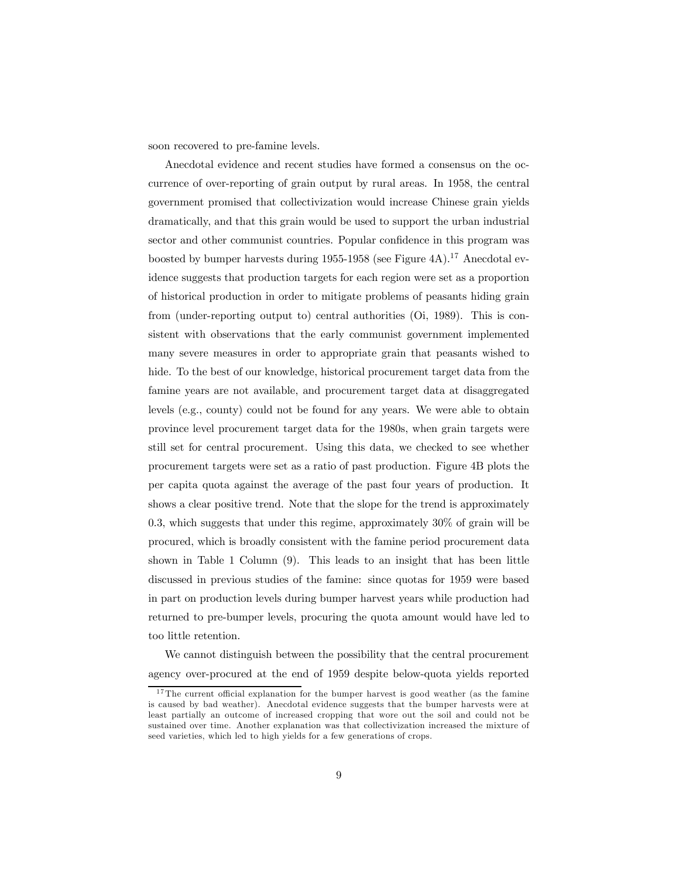soon recovered to pre-famine levels.

Anecdotal evidence and recent studies have formed a consensus on the occurrence of over-reporting of grain output by rural areas. In 1958, the central government promised that collectivization would increase Chinese grain yields dramatically, and that this grain would be used to support the urban industrial sector and other communist countries. Popular confidence in this program was boosted by bumper harvests during 1955-1958 (see Figure 4A).<sup>17</sup> Anecdotal evidence suggests that production targets for each region were set as a proportion of historical production in order to mitigate problems of peasants hiding grain from (under-reporting output to) central authorities (Oi, 1989). This is consistent with observations that the early communist government implemented many severe measures in order to appropriate grain that peasants wished to hide. To the best of our knowledge, historical procurement target data from the famine years are not available, and procurement target data at disaggregated levels (e.g., county) could not be found for any years. We were able to obtain province level procurement target data for the 1980s, when grain targets were still set for central procurement. Using this data, we checked to see whether procurement targets were set as a ratio of past production. Figure 4B plots the per capita quota against the average of the past four years of production. It shows a clear positive trend. Note that the slope for the trend is approximately 0.3, which suggests that under this regime, approximately 30% of grain will be procured, which is broadly consistent with the famine period procurement data shown in Table 1 Column (9). This leads to an insight that has been little discussed in previous studies of the famine: since quotas for 1959 were based in part on production levels during bumper harvest years while production had returned to pre-bumper levels, procuring the quota amount would have led to too little retention.

We cannot distinguish between the possibility that the central procurement agency over-procured at the end of 1959 despite below-quota yields reported

<sup>&</sup>lt;sup>17</sup>The current official explanation for the bumper harvest is good weather (as the famine is caused by bad weather). Anecdotal evidence suggests that the bumper harvests were at least partially an outcome of increased cropping that wore out the soil and could not be sustained over time. Another explanation was that collectivization increased the mixture of seed varieties, which led to high yields for a few generations of crops.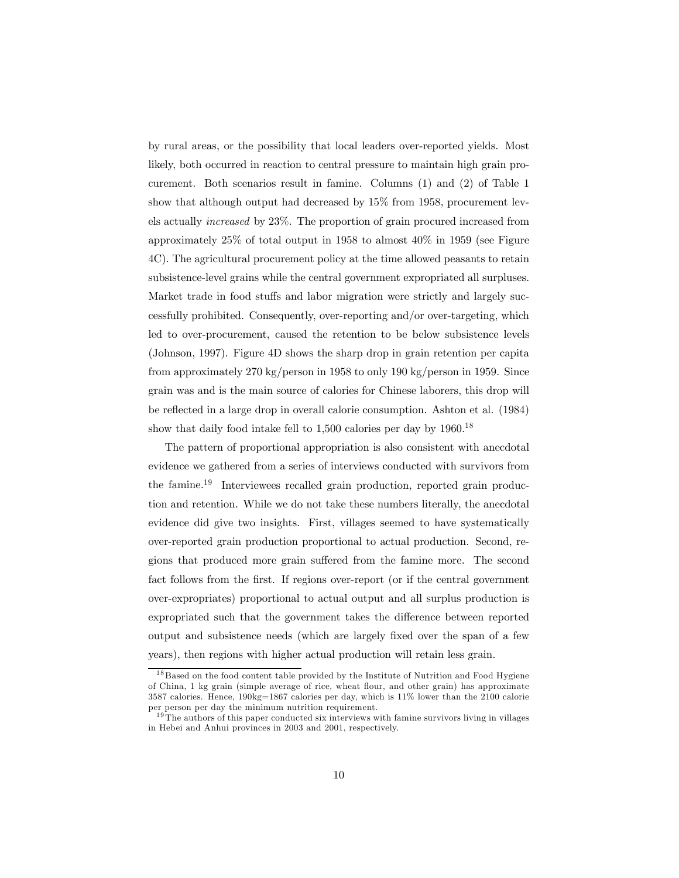by rural areas, or the possibility that local leaders over-reported yields. Most likely, both occurred in reaction to central pressure to maintain high grain procurement. Both scenarios result in famine. Columns (1) and (2) of Table 1 show that although output had decreased by 15% from 1958, procurement levels actually increased by 23%. The proportion of grain procured increased from approximately 25% of total output in 1958 to almost 40% in 1959 (see Figure 4C). The agricultural procurement policy at the time allowed peasants to retain subsistence-level grains while the central government expropriated all surpluses. Market trade in food stuffs and labor migration were strictly and largely successfully prohibited. Consequently, over-reporting and/or over-targeting, which led to over-procurement, caused the retention to be below subsistence levels (Johnson, 1997). Figure 4D shows the sharp drop in grain retention per capita from approximately 270 kg/person in 1958 to only 190 kg/person in 1959. Since grain was and is the main source of calories for Chinese laborers, this drop will be reflected in a large drop in overall calorie consumption. Ashton et al. (1984) show that daily food intake fell to  $1.500$  calories per day by  $1960$ <sup>18</sup>

The pattern of proportional appropriation is also consistent with anecdotal evidence we gathered from a series of interviews conducted with survivors from the famine.19 Interviewees recalled grain production, reported grain production and retention. While we do not take these numbers literally, the anecdotal evidence did give two insights. First, villages seemed to have systematically over-reported grain production proportional to actual production. Second, regions that produced more grain suffered from the famine more. The second fact follows from the first. If regions over-report (or if the central government over-expropriates) proportional to actual output and all surplus production is expropriated such that the government takes the difference between reported output and subsistence needs (which are largely fixed over the span of a few years), then regions with higher actual production will retain less grain.

<sup>&</sup>lt;sup>18</sup> Based on the food content table provided by the Institute of Nutrition and Food Hygiene of China, 1 kg grain (simple average of rice, wheat flour, and other grain) has approximate 3587 calories. Hence, 190kg=1867 calories per day, which is 11% lower than the 2100 calorie per person per day the minimum nutrition requirement.

<sup>&</sup>lt;sup>19</sup>The authors of this paper conducted six interviews with famine survivors living in villages in Hebei and Anhui provinces in 2003 and 2001, respectively.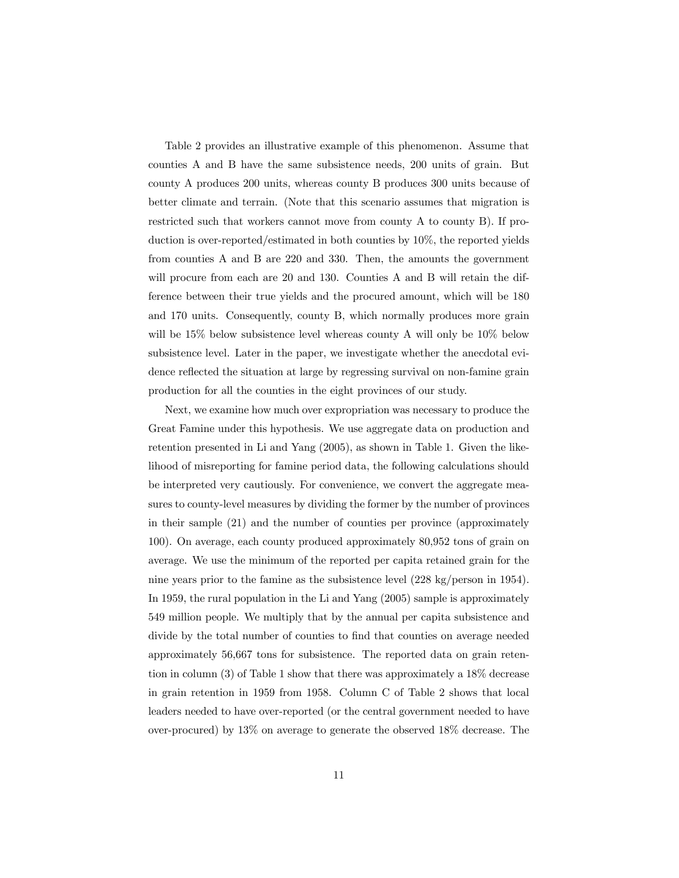Table 2 provides an illustrative example of this phenomenon. Assume that counties A and B have the same subsistence needs, 200 units of grain. But county A produces 200 units, whereas county B produces 300 units because of better climate and terrain. (Note that this scenario assumes that migration is restricted such that workers cannot move from county A to county B). If production is over-reported/estimated in both counties by 10%, the reported yields from counties A and B are 220 and 330. Then, the amounts the government will procure from each are 20 and 130. Counties A and B will retain the difference between their true yields and the procured amount, which will be 180 and 170 units. Consequently, county B, which normally produces more grain will be 15% below subsistence level whereas county A will only be 10% below subsistence level. Later in the paper, we investigate whether the anecdotal evidence reflected the situation at large by regressing survival on non-famine grain production for all the counties in the eight provinces of our study.

Next, we examine how much over expropriation was necessary to produce the Great Famine under this hypothesis. We use aggregate data on production and retention presented in Li and Yang (2005), as shown in Table 1. Given the likelihood of misreporting for famine period data, the following calculations should be interpreted very cautiously. For convenience, we convert the aggregate measures to county-level measures by dividing the former by the number of provinces in their sample (21) and the number of counties per province (approximately 100). On average, each county produced approximately 80,952 tons of grain on average. We use the minimum of the reported per capita retained grain for the nine years prior to the famine as the subsistence level (228 kg/person in 1954). In 1959, the rural population in the Li and Yang (2005) sample is approximately 549 million people. We multiply that by the annual per capita subsistence and divide by the total number of counties to find that counties on average needed approximately 56,667 tons for subsistence. The reported data on grain retention in column (3) of Table 1 show that there was approximately a 18% decrease in grain retention in 1959 from 1958. Column C of Table 2 shows that local leaders needed to have over-reported (or the central government needed to have over-procured) by 13% on average to generate the observed 18% decrease. The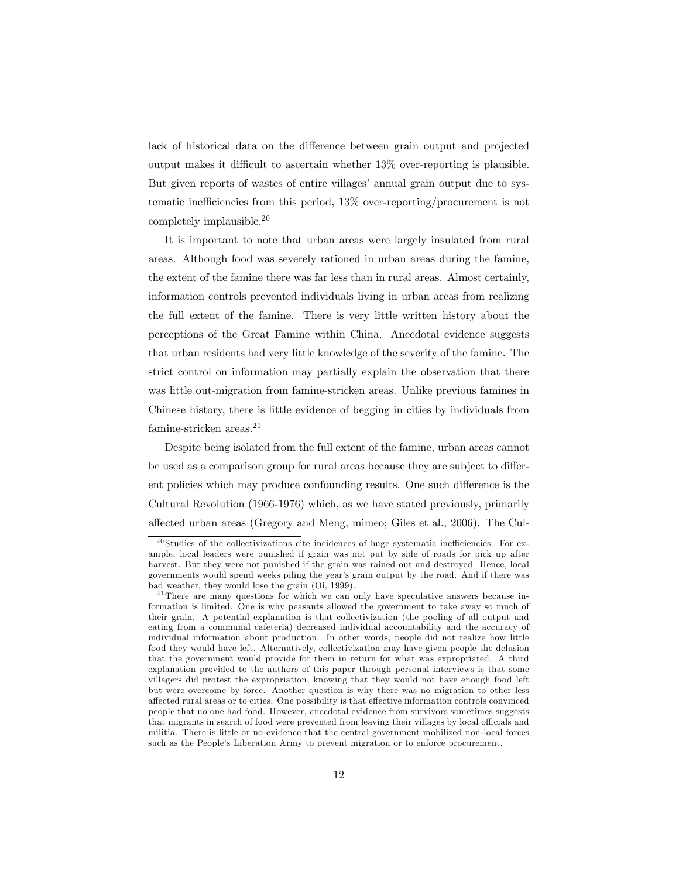lack of historical data on the difference between grain output and projected output makes it difficult to ascertain whether 13% over-reporting is plausible. But given reports of wastes of entire villages' annual grain output due to systematic inefficiencies from this period, 13% over-reporting/procurement is not completely implausible.20

It is important to note that urban areas were largely insulated from rural areas. Although food was severely rationed in urban areas during the famine, the extent of the famine there was far less than in rural areas. Almost certainly, information controls prevented individuals living in urban areas from realizing the full extent of the famine. There is very little written history about the perceptions of the Great Famine within China. Anecdotal evidence suggests that urban residents had very little knowledge of the severity of the famine. The strict control on information may partially explain the observation that there was little out-migration from famine-stricken areas. Unlike previous famines in Chinese history, there is little evidence of begging in cities by individuals from famine-stricken areas. $21$ 

Despite being isolated from the full extent of the famine, urban areas cannot be used as a comparison group for rural areas because they are subject to different policies which may produce confounding results. One such difference is the Cultural Revolution (1966-1976) which, as we have stated previously, primarily affected urban areas (Gregory and Meng, mimeo; Giles et al., 2006). The Cul-

 $20$  Studies of the collectivizations cite incidences of huge systematic inefficiencies. For example, local leaders were punished if grain was not put by side of roads for pick up after harvest. But they were not punished if the grain was rained out and destroyed. Hence, local governments would spend weeks piling the year's grain output by the road. And if there was bad weather, they would lose the grain (Oi, 1999).

 $21$ There are many questions for which we can only have speculative answers because information is limited. One is why peasants allowed the government to take away so much of their grain. A potential explanation is that collectivization (the pooling of all output and eating from a communal cafeteria) decreased individual accountability and the accuracy of individual information about production. In other words, people did not realize how little food they would have left. Alternatively, collectivization may have given people the delusion that the government would provide for them in return for what was expropriated. A third explanation provided to the authors of this paper through personal interviews is that some villagers did protest the expropriation, knowing that they would not have enough food left but were overcome by force. Another question is why there was no migration to other less affected rural areas or to cities. One possibility is that effective information controls convinced people that no one had food. However, anecdotal evidence from survivors sometimes suggests that migrants in search of food were prevented from leaving their villages by local officials and militia. There is little or no evidence that the central government mobilized non-local forces such as the People's Liberation Army to prevent migration or to enforce procurement.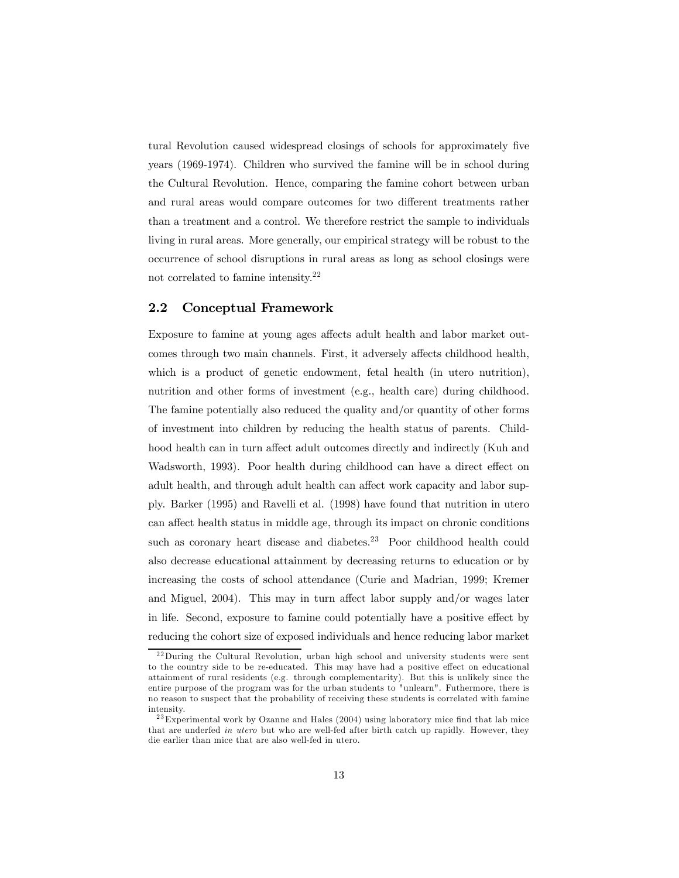tural Revolution caused widespread closings of schools for approximately five years (1969-1974). Children who survived the famine will be in school during the Cultural Revolution. Hence, comparing the famine cohort between urban and rural areas would compare outcomes for two different treatments rather than a treatment and a control. We therefore restrict the sample to individuals living in rural areas. More generally, our empirical strategy will be robust to the occurrence of school disruptions in rural areas as long as school closings were not correlated to famine intensity.22

### 2.2 Conceptual Framework

Exposure to famine at young ages affects adult health and labor market outcomes through two main channels. First, it adversely affects childhood health, which is a product of genetic endowment, fetal health (in utero nutrition), nutrition and other forms of investment (e.g., health care) during childhood. The famine potentially also reduced the quality and/or quantity of other forms of investment into children by reducing the health status of parents. Childhood health can in turn affect adult outcomes directly and indirectly (Kuh and Wadsworth, 1993). Poor health during childhood can have a direct effect on adult health, and through adult health can affect work capacity and labor supply. Barker (1995) and Ravelli et al. (1998) have found that nutrition in utero can affect health status in middle age, through its impact on chronic conditions such as coronary heart disease and diabetes.<sup>23</sup> Poor childhood health could also decrease educational attainment by decreasing returns to education or by increasing the costs of school attendance (Curie and Madrian, 1999; Kremer and Miguel, 2004). This may in turn affect labor supply and/or wages later in life. Second, exposure to famine could potentially have a positive effect by reducing the cohort size of exposed individuals and hence reducing labor market

<sup>&</sup>lt;sup>22</sup>During the Cultural Revolution, urban high school and university students were sent to the country side to be re-educated. This may have had a positive effect on educational attainment of rural residents (e.g. through complementarity). But this is unlikely since the entire purpose of the program was for the urban students to "unlearn". Futhermore, there is no reason to suspect that the probability of receiving these students is correlated with famine intensity.

 $23$  Experimental work by Ozanne and Hales (2004) using laboratory mice find that lab mice that are underfed in utero but who are well-fed after birth catch up rapidly. However, they die earlier than mice that are also well-fed in utero.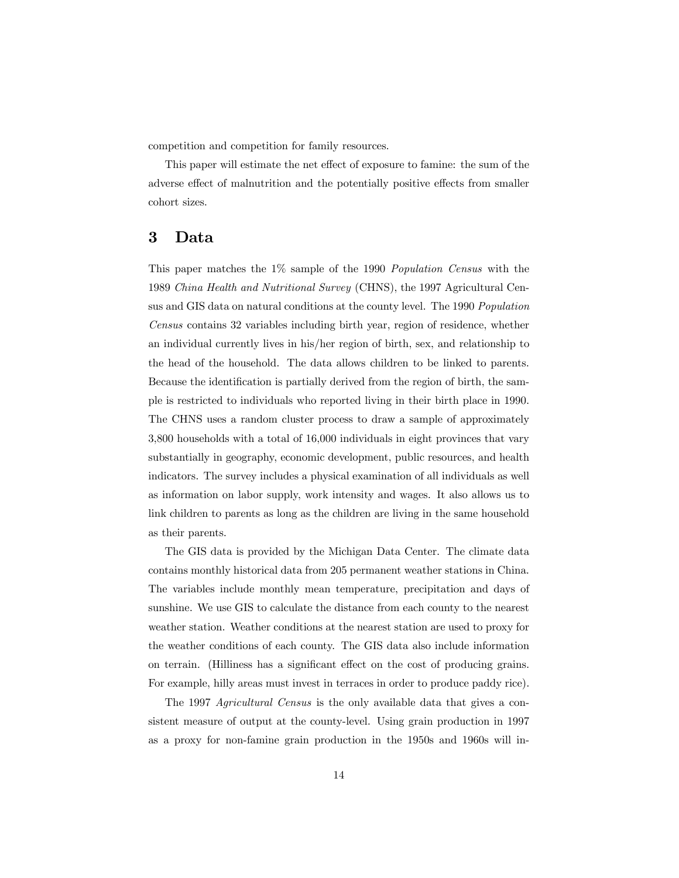competition and competition for family resources.

This paper will estimate the net effect of exposure to famine: the sum of the adverse effect of malnutrition and the potentially positive effects from smaller cohort sizes.

### 3 Data

This paper matches the 1% sample of the 1990 Population Census with the 1989 China Health and Nutritional Survey (CHNS), the 1997 Agricultural Census and GIS data on natural conditions at the county level. The 1990 Population Census contains 32 variables including birth year, region of residence, whether an individual currently lives in his/her region of birth, sex, and relationship to the head of the household. The data allows children to be linked to parents. Because the identification is partially derived from the region of birth, the sample is restricted to individuals who reported living in their birth place in 1990. The CHNS uses a random cluster process to draw a sample of approximately 3,800 households with a total of 16,000 individuals in eight provinces that vary substantially in geography, economic development, public resources, and health indicators. The survey includes a physical examination of all individuals as well as information on labor supply, work intensity and wages. It also allows us to link children to parents as long as the children are living in the same household as their parents.

The GIS data is provided by the Michigan Data Center. The climate data contains monthly historical data from 205 permanent weather stations in China. The variables include monthly mean temperature, precipitation and days of sunshine. We use GIS to calculate the distance from each county to the nearest weather station. Weather conditions at the nearest station are used to proxy for the weather conditions of each county. The GIS data also include information on terrain. (Hilliness has a significant effect on the cost of producing grains. For example, hilly areas must invest in terraces in order to produce paddy rice).

The 1997 Agricultural Census is the only available data that gives a consistent measure of output at the county-level. Using grain production in 1997 as a proxy for non-famine grain production in the 1950s and 1960s will in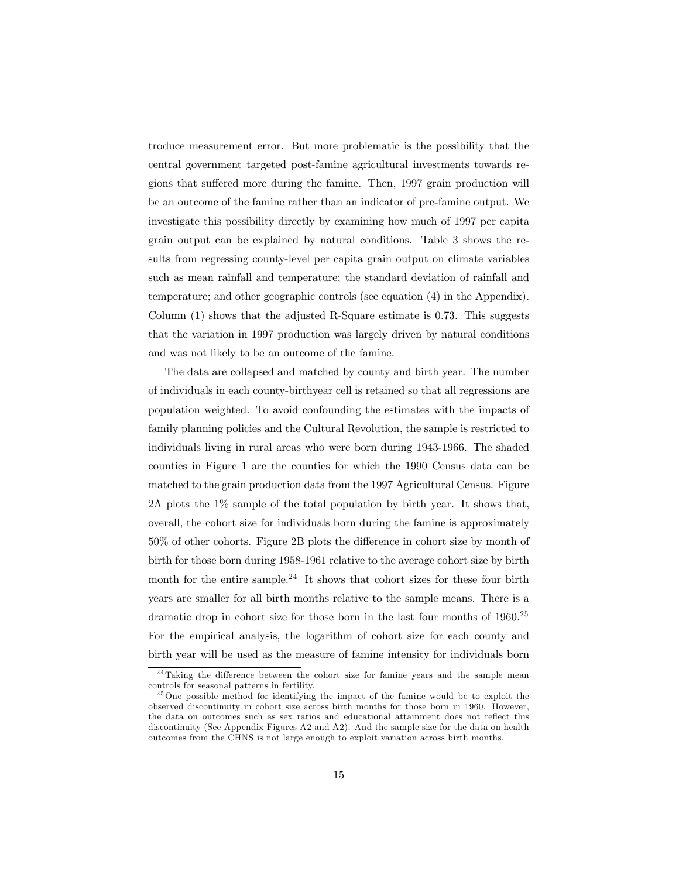troduce measurement error. But more problematic is the possibility that the central government targeted post-famine agricultural investments towards regions that suffered more during the famine. Then, 1997 grain production will be an outcome of the famine rather than an indicator of pre-famine output. We investigate this possibility directly by examining how much of 1997 per capita grain output can be explained by natural conditions. Table 3 shows the results from regressing county-level per capita grain output on climate variables such as mean rainfall and temperature; the standard deviation of rainfall and temperature; and other geographic controls (see equation (4) in the Appendix). Column (1) shows that the adjusted R-Square estimate is 0.73. This suggests that the variation in 1997 production was largely driven by natural conditions and was not likely to be an outcome of the famine.

The data are collapsed and matched by county and birth year. The number of individuals in each county-birthyear cell is retained so that all regressions are population weighted. To avoid confounding the estimates with the impacts of family planning policies and the Cultural Revolution, the sample is restricted to individuals living in rural areas who were born during 1943-1966. The shaded counties in Figure 1 are the counties for which the 1990 Census data can be matched to the grain production data from the 1997 Agricultural Census. Figure 2A plots the 1% sample of the total population by birth year. It shows that, overall, the cohort size for individuals born during the famine is approximately 50% of other cohorts. Figure 2B plots the difference in cohort size by month of birth for those born during 1958-1961 relative to the average cohort size by birth month for the entire sample.<sup>24</sup> It shows that cohort sizes for these four birth years are smaller for all birth months relative to the sample means. There is a dramatic drop in cohort size for those born in the last four months of 1960.<sup>25</sup> For the empirical analysis, the logarithm of cohort size for each county and birth year will be used as the measure of famine intensity for individuals born

<sup>&</sup>lt;sup>24</sup>Taking the difference between the cohort size for famine years and the sample mean controls for seasonal patterns in fertility.

<sup>&</sup>lt;sup>25</sup>One possible method for identifying the impact of the famine would be to exploit the observed discontinuity in cohort size across birth months for those born in 1960. However, the data on outcomes such as sex ratios and educational attainment does not reflect this discontinuity (See Appendix Figures A2 and A2). And the sample size for the data on health outcomes from the CHNS is not large enough to exploit variation across birth months.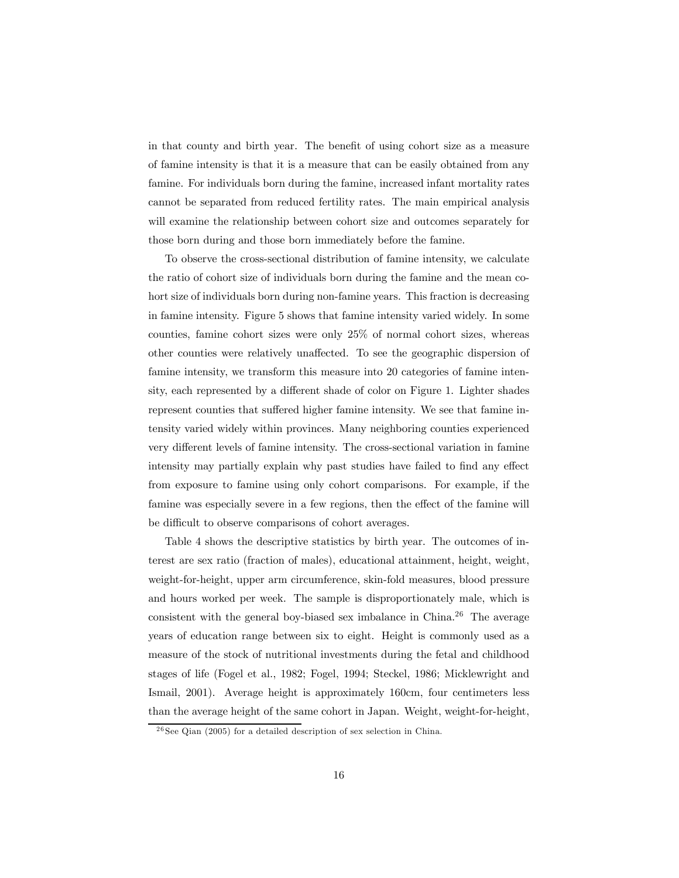in that county and birth year. The benefit of using cohort size as a measure of famine intensity is that it is a measure that can be easily obtained from any famine. For individuals born during the famine, increased infant mortality rates cannot be separated from reduced fertility rates. The main empirical analysis will examine the relationship between cohort size and outcomes separately for those born during and those born immediately before the famine.

To observe the cross-sectional distribution of famine intensity, we calculate the ratio of cohort size of individuals born during the famine and the mean cohort size of individuals born during non-famine years. This fraction is decreasing in famine intensity. Figure 5 shows that famine intensity varied widely. In some counties, famine cohort sizes were only 25% of normal cohort sizes, whereas other counties were relatively unaffected. To see the geographic dispersion of famine intensity, we transform this measure into 20 categories of famine intensity, each represented by a different shade of color on Figure 1. Lighter shades represent counties that suffered higher famine intensity. We see that famine intensity varied widely within provinces. Many neighboring counties experienced very different levels of famine intensity. The cross-sectional variation in famine intensity may partially explain why past studies have failed to find any effect from exposure to famine using only cohort comparisons. For example, if the famine was especially severe in a few regions, then the effect of the famine will be difficult to observe comparisons of cohort averages.

Table 4 shows the descriptive statistics by birth year. The outcomes of interest are sex ratio (fraction of males), educational attainment, height, weight, weight-for-height, upper arm circumference, skin-fold measures, blood pressure and hours worked per week. The sample is disproportionately male, which is consistent with the general boy-biased sex imbalance in China.26 The average years of education range between six to eight. Height is commonly used as a measure of the stock of nutritional investments during the fetal and childhood stages of life (Fogel et al., 1982; Fogel, 1994; Steckel, 1986; Micklewright and Ismail, 2001). Average height is approximately 160cm, four centimeters less than the average height of the same cohort in Japan. Weight, weight-for-height,

 $^{26}$ See Qian (2005) for a detailed description of sex selection in China.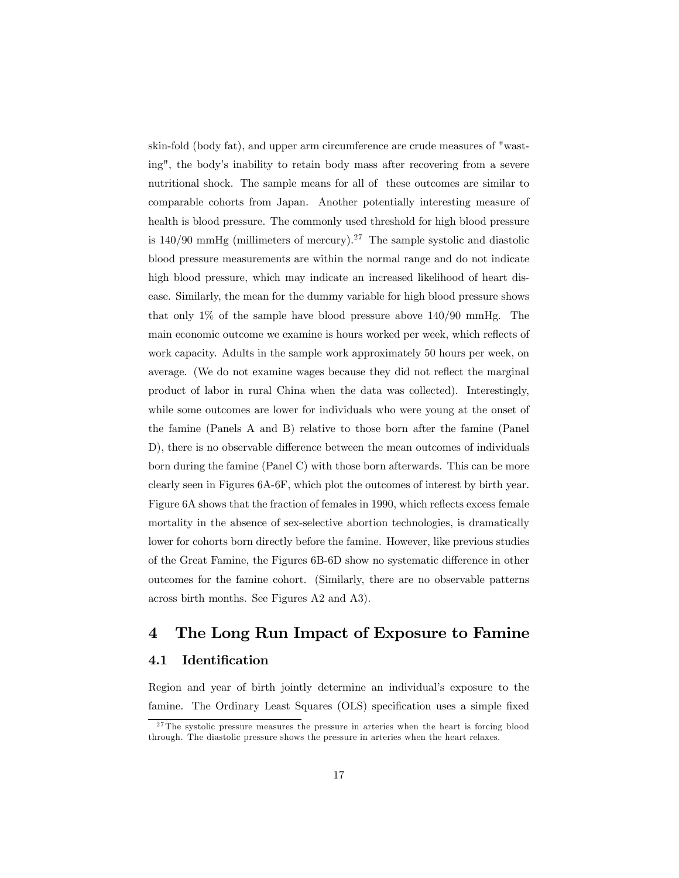skin-fold (body fat), and upper arm circumference are crude measures of "wasting", the body's inability to retain body mass after recovering from a severe nutritional shock. The sample means for all of these outcomes are similar to comparable cohorts from Japan. Another potentially interesting measure of health is blood pressure. The commonly used threshold for high blood pressure is  $140/90$  mmHg (millimeters of mercury).<sup>27</sup> The sample systolic and diastolic blood pressure measurements are within the normal range and do not indicate high blood pressure, which may indicate an increased likelihood of heart disease. Similarly, the mean for the dummy variable for high blood pressure shows that only 1% of the sample have blood pressure above 140/90 mmHg. The main economic outcome we examine is hours worked per week, which reflects of work capacity. Adults in the sample work approximately 50 hours per week, on average. (We do not examine wages because they did not reflect the marginal product of labor in rural China when the data was collected). Interestingly, while some outcomes are lower for individuals who were young at the onset of the famine (Panels A and B) relative to those born after the famine (Panel D), there is no observable difference between the mean outcomes of individuals born during the famine (Panel C) with those born afterwards. This can be more clearly seen in Figures 6A-6F, which plot the outcomes of interest by birth year. Figure 6A shows that the fraction of females in 1990, which reflects excess female mortality in the absence of sex-selective abortion technologies, is dramatically lower for cohorts born directly before the famine. However, like previous studies of the Great Famine, the Figures 6B-6D show no systematic difference in other outcomes for the famine cohort. (Similarly, there are no observable patterns across birth months. See Figures A2 and A3).

# 4 The Long Run Impact of Exposure to Famine

### 4.1 Identification

Region and year of birth jointly determine an individual's exposure to the famine. The Ordinary Least Squares (OLS) specification uses a simple fixed

<sup>&</sup>lt;sup>27</sup>The systolic pressure measures the pressure in arteries when the heart is forcing blood through. The diastolic pressure shows the pressure in arteries when the heart relaxes.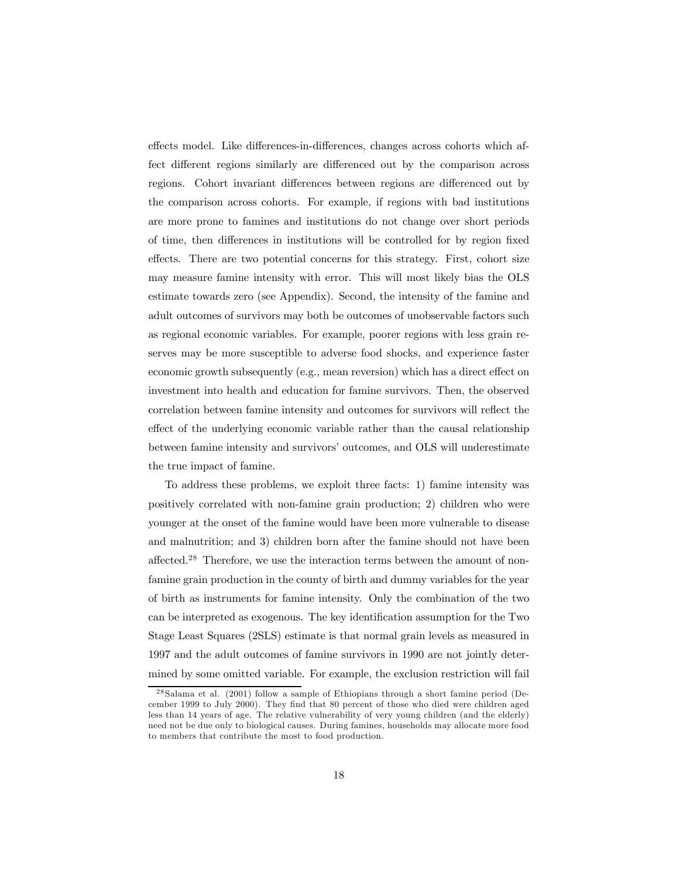effects model. Like differences-in-differences, changes across cohorts which affect different regions similarly are differenced out by the comparison across regions. Cohort invariant differences between regions are differenced out by the comparison across cohorts. For example, if regions with bad institutions are more prone to famines and institutions do not change over short periods of time, then differences in institutions will be controlled for by region fixed effects. There are two potential concerns for this strategy. First, cohort size may measure famine intensity with error. This will most likely bias the OLS estimate towards zero (see Appendix). Second, the intensity of the famine and adult outcomes of survivors may both be outcomes of unobservable factors such as regional economic variables. For example, poorer regions with less grain reserves may be more susceptible to adverse food shocks, and experience faster economic growth subsequently (e.g., mean reversion) which has a direct effect on investment into health and education for famine survivors. Then, the observed correlation between famine intensity and outcomes for survivors will reflect the effect of the underlying economic variable rather than the causal relationship between famine intensity and survivors' outcomes, and OLS will underestimate the true impact of famine.

To address these problems, we exploit three facts: 1) famine intensity was positively correlated with non-famine grain production; 2) children who were younger at the onset of the famine would have been more vulnerable to disease and malnutrition; and 3) children born after the famine should not have been affected.<sup>28</sup> Therefore, we use the interaction terms between the amount of nonfamine grain production in the county of birth and dummy variables for the year of birth as instruments for famine intensity. Only the combination of the two can be interpreted as exogenous. The key identification assumption for the Two Stage Least Squares (2SLS) estimate is that normal grain levels as measured in 1997 and the adult outcomes of famine survivors in 1990 are not jointly determined by some omitted variable. For example, the exclusion restriction will fail

<sup>2 8</sup> Salama et al. (2001) follow a sample of Ethiopians through a short famine period (December 1999 to July 2000). They find that 80 percent of those who died were children aged less than 14 years of age. The relative vulnerability of very young children (and the elderly) need not be due only to biological causes. During famines, households may allocate more food to members that contribute the most to food production.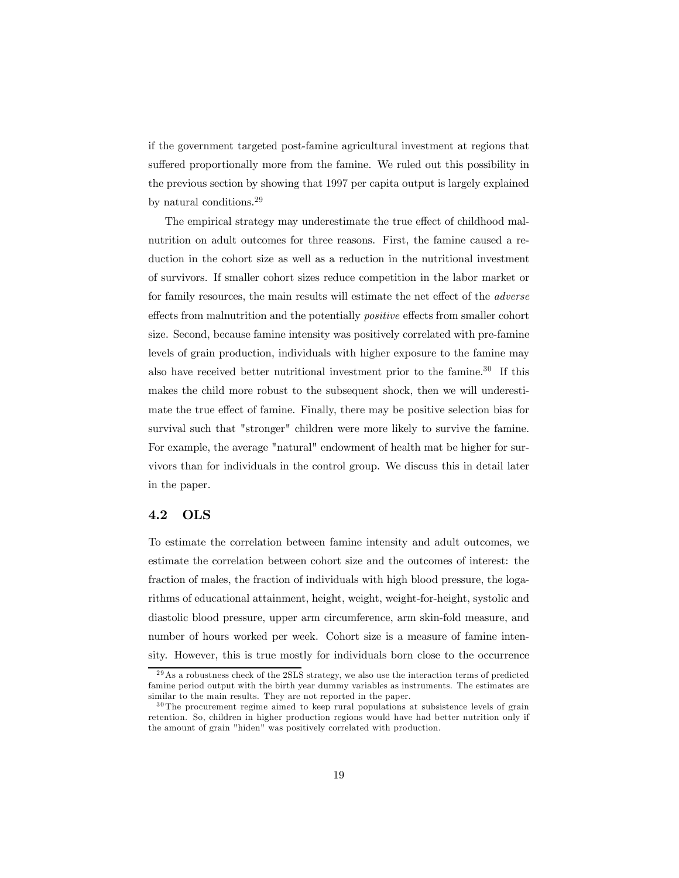if the government targeted post-famine agricultural investment at regions that suffered proportionally more from the famine. We ruled out this possibility in the previous section by showing that 1997 per capita output is largely explained by natural conditions.<sup>29</sup>

The empirical strategy may underestimate the true effect of childhood malnutrition on adult outcomes for three reasons. First, the famine caused a reduction in the cohort size as well as a reduction in the nutritional investment of survivors. If smaller cohort sizes reduce competition in the labor market or for family resources, the main results will estimate the net effect of the adverse effects from malnutrition and the potentially positive effects from smaller cohort size. Second, because famine intensity was positively correlated with pre-famine levels of grain production, individuals with higher exposure to the famine may also have received better nutritional investment prior to the famine.30 If this makes the child more robust to the subsequent shock, then we will underestimate the true effect of famine. Finally, there may be positive selection bias for survival such that "stronger" children were more likely to survive the famine. For example, the average "natural" endowment of health mat be higher for survivors than for individuals in the control group. We discuss this in detail later in the paper.

#### 4.2 OLS

To estimate the correlation between famine intensity and adult outcomes, we estimate the correlation between cohort size and the outcomes of interest: the fraction of males, the fraction of individuals with high blood pressure, the logarithms of educational attainment, height, weight, weight-for-height, systolic and diastolic blood pressure, upper arm circumference, arm skin-fold measure, and number of hours worked per week. Cohort size is a measure of famine intensity. However, this is true mostly for individuals born close to the occurrence

<sup>&</sup>lt;sup>29</sup>As a robustness check of the 2SLS strategy, we also use the interaction terms of predicted famine period output with the birth year dummy variables as instruments. The estimates are similar to the main results. They are not reported in the paper.

 $30$ The procurement regime aimed to keep rural populations at subsistence levels of grain retention. So, children in higher production regions would have had better nutrition only if the amount of grain "hiden" was positively correlated with production.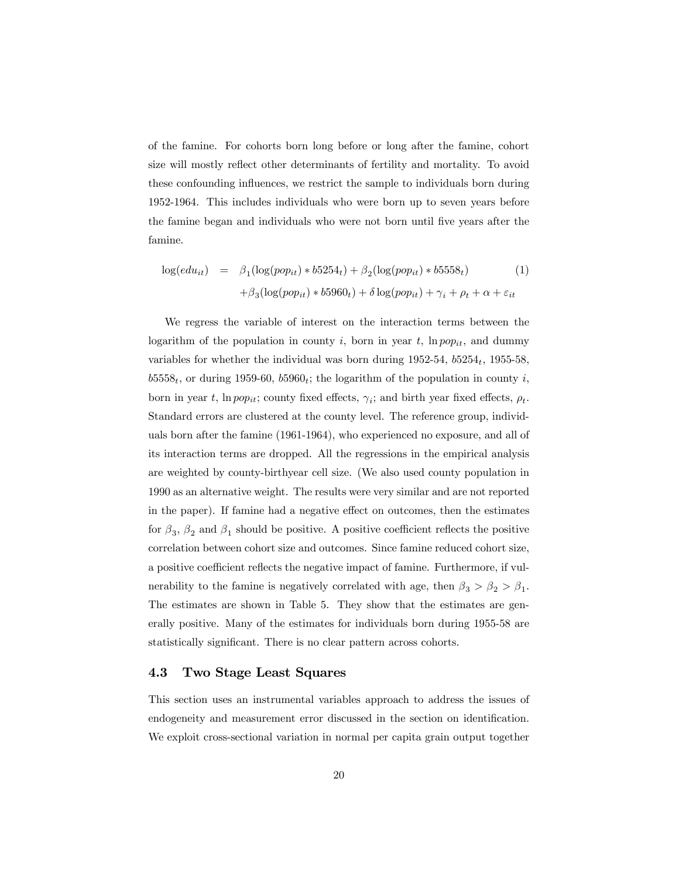of the famine. For cohorts born long before or long after the famine, cohort size will mostly reflect other determinants of fertility and mortality. To avoid these confounding influences, we restrict the sample to individuals born during 1952-1964. This includes individuals who were born up to seven years before the famine began and individuals who were not born until five years after the famine.

$$
\log(edu_{it}) = \beta_1(\log(pop_{it}) * b5254_t) + \beta_2(\log(pop_{it}) * b5558_t)
$$
\n
$$
+ \beta_3(\log(pop_{it}) * b5960_t) + \delta \log(pop_{it}) + \gamma_i + \rho_t + \alpha + \varepsilon_{it}
$$
\n(1)

We regress the variable of interest on the interaction terms between the logarithm of the population in county i, born in year t,  $ln pop_{it}$ , and dummy variables for whether the individual was born during  $1952-54$ ,  $b5254$ ,  $1955-58$ ,  $b5558<sub>t</sub>$ , or during 1959-60,  $b5960<sub>t</sub>$ ; the logarithm of the population in county i, born in year t, ln pop<sub>it</sub>; county fixed effects,  $\gamma_i$ ; and birth year fixed effects,  $\rho_t$ . Standard errors are clustered at the county level. The reference group, individuals born after the famine (1961-1964), who experienced no exposure, and all of its interaction terms are dropped. All the regressions in the empirical analysis are weighted by county-birthyear cell size. (We also used county population in 1990 as an alternative weight. The results were very similar and are not reported in the paper). If famine had a negative effect on outcomes, then the estimates for  $\beta_3$ ,  $\beta_2$  and  $\beta_1$  should be positive. A positive coefficient reflects the positive correlation between cohort size and outcomes. Since famine reduced cohort size, a positive coefficient reflects the negative impact of famine. Furthermore, if vulnerability to the famine is negatively correlated with age, then  $\beta_3 > \beta_2 > \beta_1$ . The estimates are shown in Table 5. They show that the estimates are generally positive. Many of the estimates for individuals born during 1955-58 are statistically significant. There is no clear pattern across cohorts.

#### 4.3 Two Stage Least Squares

This section uses an instrumental variables approach to address the issues of endogeneity and measurement error discussed in the section on identification. We exploit cross-sectional variation in normal per capita grain output together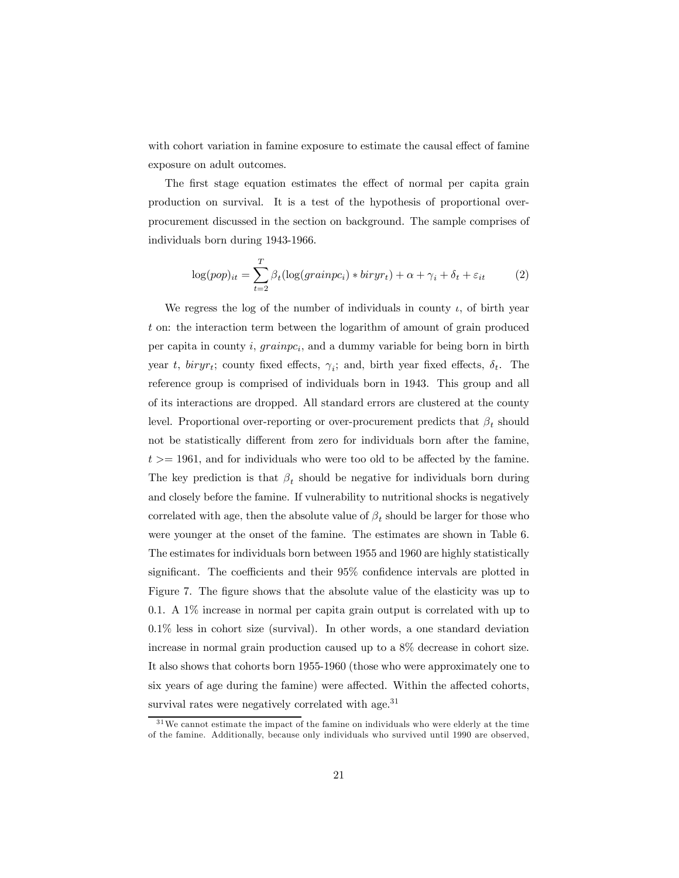with cohort variation in famine exposure to estimate the causal effect of famine exposure on adult outcomes.

The first stage equation estimates the effect of normal per capita grain production on survival. It is a test of the hypothesis of proportional overprocurement discussed in the section on background. The sample comprises of individuals born during 1943-1966.

$$
\log(pop)_{it} = \sum_{t=2}^{T} \beta_t (\log(grainpc_i) * biryr_t) + \alpha + \gamma_i + \delta_t + \varepsilon_{it}
$$
 (2)

We regress the log of the number of individuals in county  $\iota$ , of birth year t on: the interaction term between the logarithm of amount of grain produced per capita in county i,  $grainpc_i$ , and a dummy variable for being born in birth year t, biryr<sub>t</sub>; county fixed effects,  $\gamma_i$ ; and, birth year fixed effects,  $\delta_t$ . The reference group is comprised of individuals born in 1943. This group and all of its interactions are dropped. All standard errors are clustered at the county level. Proportional over-reporting or over-procurement predicts that  $\beta_t$  should not be statistically different from zero for individuals born after the famine,  $t \geq 1961$ , and for individuals who were too old to be affected by the famine. The key prediction is that  $\beta_t$  should be negative for individuals born during and closely before the famine. If vulnerability to nutritional shocks is negatively correlated with age, then the absolute value of  $\beta_t$  should be larger for those who were younger at the onset of the famine. The estimates are shown in Table 6. The estimates for individuals born between 1955 and 1960 are highly statistically significant. The coefficients and their 95% confidence intervals are plotted in Figure 7. The figure shows that the absolute value of the elasticity was up to 0.1. A 1% increase in normal per capita grain output is correlated with up to 0.1% less in cohort size (survival). In other words, a one standard deviation increase in normal grain production caused up to a 8% decrease in cohort size. It also shows that cohorts born 1955-1960 (those who were approximately one to six years of age during the famine) were affected. Within the affected cohorts, survival rates were negatively correlated with age.<sup>31</sup>

 $31$ We cannot estimate the impact of the famine on individuals who were elderly at the time of the famine. Additionally, because only individuals who survived until 1990 are observed,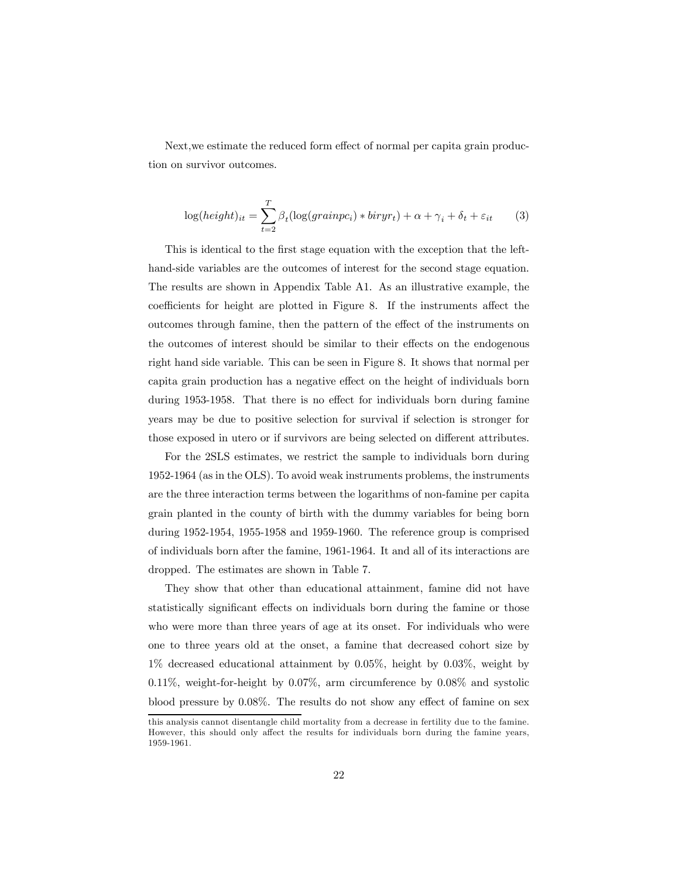Next,we estimate the reduced form effect of normal per capita grain production on survivor outcomes.

$$
\log(height)_{it} = \sum_{t=2}^{T} \beta_t (\log(grainpc_i) * biryr_t) + \alpha + \gamma_i + \delta_t + \varepsilon_{it}
$$
 (3)

This is identical to the first stage equation with the exception that the lefthand-side variables are the outcomes of interest for the second stage equation. The results are shown in Appendix Table A1. As an illustrative example, the coefficients for height are plotted in Figure 8. If the instruments affect the outcomes through famine, then the pattern of the effect of the instruments on the outcomes of interest should be similar to their effects on the endogenous right hand side variable. This can be seen in Figure 8. It shows that normal per capita grain production has a negative effect on the height of individuals born during 1953-1958. That there is no effect for individuals born during famine years may be due to positive selection for survival if selection is stronger for those exposed in utero or if survivors are being selected on different attributes.

For the 2SLS estimates, we restrict the sample to individuals born during 1952-1964 (as in the OLS). To avoid weak instruments problems, the instruments are the three interaction terms between the logarithms of non-famine per capita grain planted in the county of birth with the dummy variables for being born during 1952-1954, 1955-1958 and 1959-1960. The reference group is comprised of individuals born after the famine, 1961-1964. It and all of its interactions are dropped. The estimates are shown in Table 7.

They show that other than educational attainment, famine did not have statistically significant effects on individuals born during the famine or those who were more than three years of age at its onset. For individuals who were one to three years old at the onset, a famine that decreased cohort size by 1% decreased educational attainment by 0.05%, height by 0.03%, weight by 0.11%, weight-for-height by 0.07%, arm circumference by 0.08% and systolic blood pressure by 0.08%. The results do not show any effect of famine on sex

this analysis cannot disentangle child mortality from a decrease in fertility due to the famine. However, this should only affect the results for individuals born during the famine years, 1959-1961.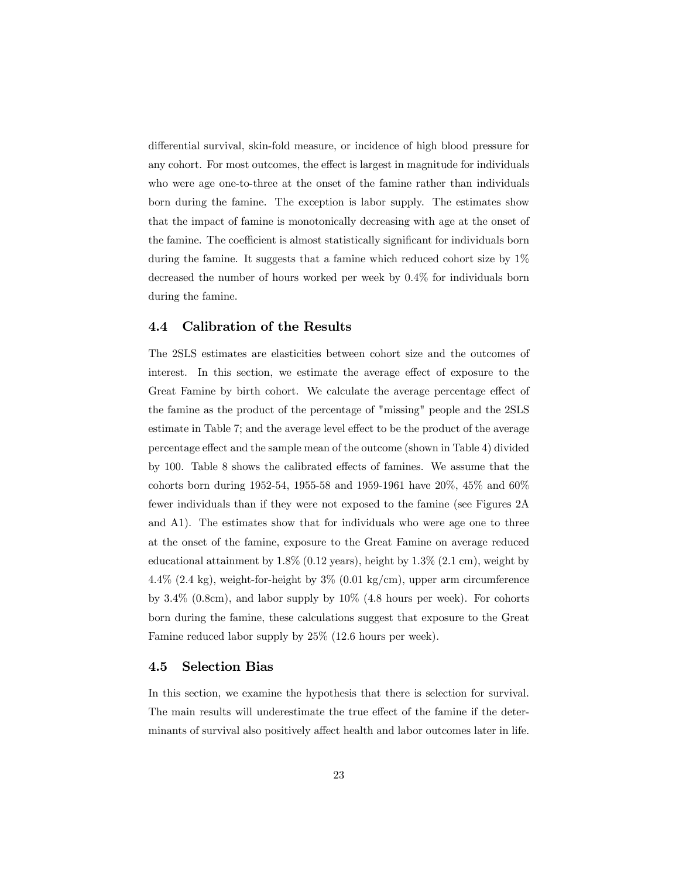differential survival, skin-fold measure, or incidence of high blood pressure for any cohort. For most outcomes, the effect is largest in magnitude for individuals who were age one-to-three at the onset of the famine rather than individuals born during the famine. The exception is labor supply. The estimates show that the impact of famine is monotonically decreasing with age at the onset of the famine. The coefficient is almost statistically significant for individuals born during the famine. It suggests that a famine which reduced cohort size by 1% decreased the number of hours worked per week by 0.4% for individuals born during the famine.

### 4.4 Calibration of the Results

The 2SLS estimates are elasticities between cohort size and the outcomes of interest. In this section, we estimate the average effect of exposure to the Great Famine by birth cohort. We calculate the average percentage effect of the famine as the product of the percentage of "missing" people and the 2SLS estimate in Table 7; and the average level effect to be the product of the average percentage effect and the sample mean of the outcome (shown in Table 4) divided by 100. Table 8 shows the calibrated effects of famines. We assume that the cohorts born during 1952-54, 1955-58 and 1959-1961 have 20%, 45% and 60% fewer individuals than if they were not exposed to the famine (see Figures 2A and A1). The estimates show that for individuals who were age one to three at the onset of the famine, exposure to the Great Famine on average reduced educational attainment by  $1.8\%$  (0.12 years), height by  $1.3\%$  (2.1 cm), weight by  $4.4\%$  (2.4 kg), weight-for-height by  $3\%$  (0.01 kg/cm), upper arm circumference by  $3.4\%$  (0.8cm), and labor supply by  $10\%$  (4.8 hours per week). For cohorts born during the famine, these calculations suggest that exposure to the Great Famine reduced labor supply by 25% (12.6 hours per week).

#### 4.5 Selection Bias

In this section, we examine the hypothesis that there is selection for survival. The main results will underestimate the true effect of the famine if the determinants of survival also positively affect health and labor outcomes later in life.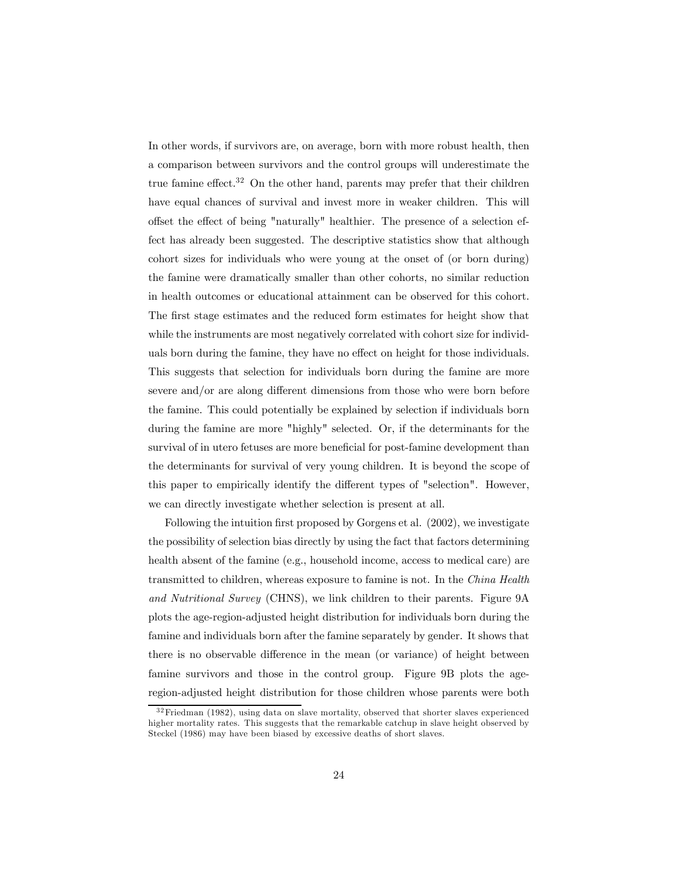In other words, if survivors are, on average, born with more robust health, then a comparison between survivors and the control groups will underestimate the true famine effect.<sup>32</sup> On the other hand, parents may prefer that their children have equal chances of survival and invest more in weaker children. This will offset the effect of being "naturally" healthier. The presence of a selection effect has already been suggested. The descriptive statistics show that although cohort sizes for individuals who were young at the onset of (or born during) the famine were dramatically smaller than other cohorts, no similar reduction in health outcomes or educational attainment can be observed for this cohort. The first stage estimates and the reduced form estimates for height show that while the instruments are most negatively correlated with cohort size for individuals born during the famine, they have no effect on height for those individuals. This suggests that selection for individuals born during the famine are more severe and/or are along different dimensions from those who were born before the famine. This could potentially be explained by selection if individuals born during the famine are more "highly" selected. Or, if the determinants for the survival of in utero fetuses are more beneficial for post-famine development than the determinants for survival of very young children. It is beyond the scope of this paper to empirically identify the different types of "selection". However, we can directly investigate whether selection is present at all.

Following the intuition first proposed by Gorgens et al. (2002), we investigate the possibility of selection bias directly by using the fact that factors determining health absent of the famine (e.g., household income, access to medical care) are transmitted to children, whereas exposure to famine is not. In the China Health and Nutritional Survey (CHNS), we link children to their parents. Figure 9A plots the age-region-adjusted height distribution for individuals born during the famine and individuals born after the famine separately by gender. It shows that there is no observable difference in the mean (or variance) of height between famine survivors and those in the control group. Figure 9B plots the ageregion-adjusted height distribution for those children whose parents were both

<sup>3 2</sup>Friedman (1982), using data on slave mortality, observed that shorter slaves experienced higher mortality rates. This suggests that the remarkable catchup in slave height observed by Steckel (1986) may have been biased by excessive deaths of short slaves.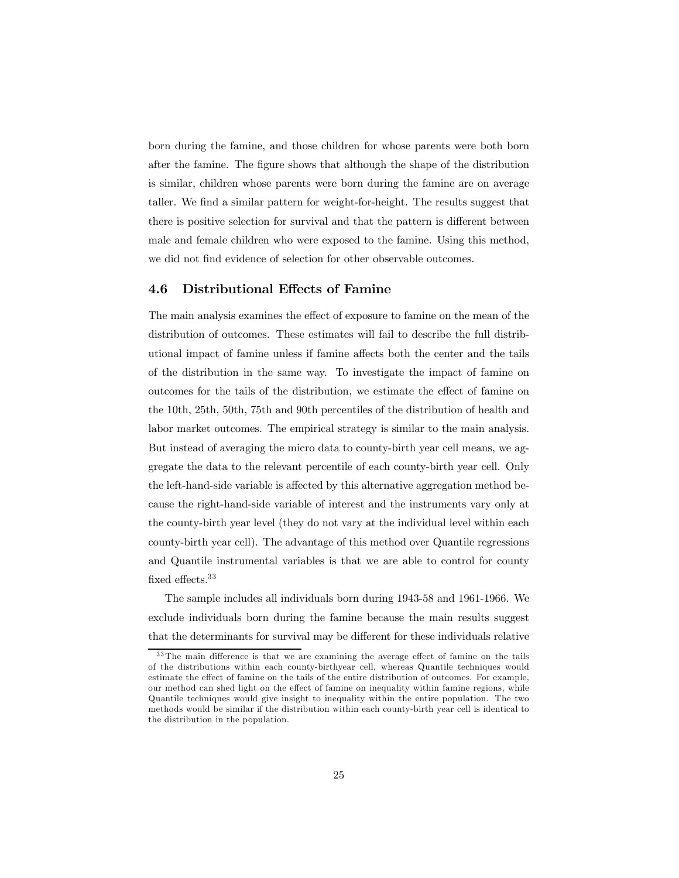born during the famine, and those children for whose parents were both born after the famine. The figure shows that although the shape of the distribution is similar, children whose parents were born during the famine are on average taller. We find a similar pattern for weight-for-height. The results suggest that there is positive selection for survival and that the pattern is different between male and female children who were exposed to the famine. Using this method, we did not find evidence of selection for other observable outcomes.

### 4.6 Distributional Effects of Famine

The main analysis examines the effect of exposure to famine on the mean of the distribution of outcomes. These estimates will fail to describe the full distributional impact of famine unless if famine affects both the center and the tails of the distribution in the same way. To investigate the impact of famine on outcomes for the tails of the distribution, we estimate the effect of famine on the 10th, 25th, 50th, 75th and 90th percentiles of the distribution of health and labor market outcomes. The empirical strategy is similar to the main analysis. But instead of averaging the micro data to county-birth year cell means, we aggregate the data to the relevant percentile of each county-birth year cell. Only the left-hand-side variable is affected by this alternative aggregation method because the right-hand-side variable of interest and the instruments vary only at the county-birth year level (they do not vary at the individual level within each county-birth year cell). The advantage of this method over Quantile regressions and Quantile instrumental variables is that we are able to control for county fixed effects.<sup>33</sup>

The sample includes all individuals born during 1943-58 and 1961-1966. We exclude individuals born during the famine because the main results suggest that the determinants for survival may be different for these individuals relative

<sup>&</sup>lt;sup>33</sup>The main difference is that we are examining the average effect of famine on the tails of the distributions within each county-birthyear cell, whereas Quantile techniques would estimate the effect of famine on the tails of the entire distribution of outcomes. For example, our method can shed light on the effect of famine on inequality within famine regions, while Quantile techniques would give insight to inequality within the entire population. The two methods would be similar if the distribution within each county-birth year cell is identical to the distribution in the population.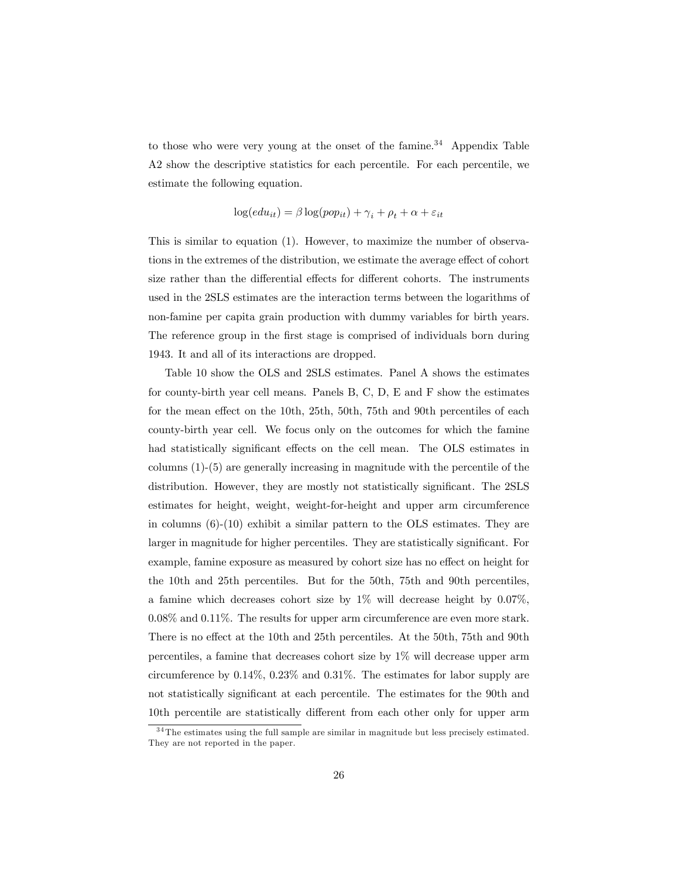to those who were very young at the onset of the famine.<sup>34</sup> Appendix Table A2 show the descriptive statistics for each percentile. For each percentile, we estimate the following equation.

$$
\log(edu_{it}) = \beta \log(pop_{it}) + \gamma_i + \rho_t + \alpha + \varepsilon_{it}
$$

This is similar to equation (1). However, to maximize the number of observations in the extremes of the distribution, we estimate the average effect of cohort size rather than the differential effects for different cohorts. The instruments used in the 2SLS estimates are the interaction terms between the logarithms of non-famine per capita grain production with dummy variables for birth years. The reference group in the first stage is comprised of individuals born during 1943. It and all of its interactions are dropped.

Table 10 show the OLS and 2SLS estimates. Panel A shows the estimates for county-birth year cell means. Panels B, C, D, E and F show the estimates for the mean effect on the 10th, 25th, 50th, 75th and 90th percentiles of each county-birth year cell. We focus only on the outcomes for which the famine had statistically significant effects on the cell mean. The OLS estimates in columns (1)-(5) are generally increasing in magnitude with the percentile of the distribution. However, they are mostly not statistically significant. The 2SLS estimates for height, weight, weight-for-height and upper arm circumference in columns (6)-(10) exhibit a similar pattern to the OLS estimates. They are larger in magnitude for higher percentiles. They are statistically significant. For example, famine exposure as measured by cohort size has no effect on height for the 10th and 25th percentiles. But for the 50th, 75th and 90th percentiles, a famine which decreases cohort size by  $1\%$  will decrease height by 0.07%. 0.08% and 0.11%. The results for upper arm circumference are even more stark. There is no effect at the 10th and 25th percentiles. At the 50th, 75th and 90th percentiles, a famine that decreases cohort size by 1% will decrease upper arm circumference by 0.14%, 0.23% and 0.31%. The estimates for labor supply are not statistically significant at each percentile. The estimates for the 90th and 10th percentile are statistically different from each other only for upper arm

 $34$ The estimates using the full sample are similar in magnitude but less precisely estimated. They are not reported in the paper.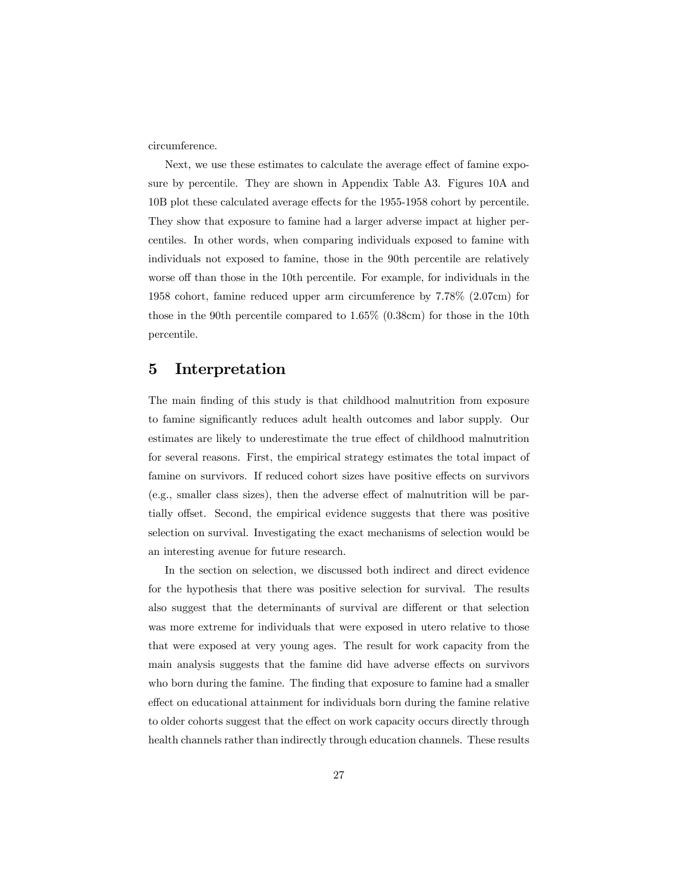circumference.

Next, we use these estimates to calculate the average effect of famine exposure by percentile. They are shown in Appendix Table A3. Figures 10A and 10B plot these calculated average effects for the 1955-1958 cohort by percentile. They show that exposure to famine had a larger adverse impact at higher percentiles. In other words, when comparing individuals exposed to famine with individuals not exposed to famine, those in the 90th percentile are relatively worse off than those in the 10th percentile. For example, for individuals in the 1958 cohort, famine reduced upper arm circumference by 7.78% (2.07cm) for those in the 90th percentile compared to 1.65% (0.38cm) for those in the 10th percentile.

### 5 Interpretation

The main finding of this study is that childhood malnutrition from exposure to famine significantly reduces adult health outcomes and labor supply. Our estimates are likely to underestimate the true effect of childhood malnutrition for several reasons. First, the empirical strategy estimates the total impact of famine on survivors. If reduced cohort sizes have positive effects on survivors (e.g., smaller class sizes), then the adverse effect of malnutrition will be partially offset. Second, the empirical evidence suggests that there was positive selection on survival. Investigating the exact mechanisms of selection would be an interesting avenue for future research.

In the section on selection, we discussed both indirect and direct evidence for the hypothesis that there was positive selection for survival. The results also suggest that the determinants of survival are different or that selection was more extreme for individuals that were exposed in utero relative to those that were exposed at very young ages. The result for work capacity from the main analysis suggests that the famine did have adverse effects on survivors who born during the famine. The finding that exposure to famine had a smaller effect on educational attainment for individuals born during the famine relative to older cohorts suggest that the effect on work capacity occurs directly through health channels rather than indirectly through education channels. These results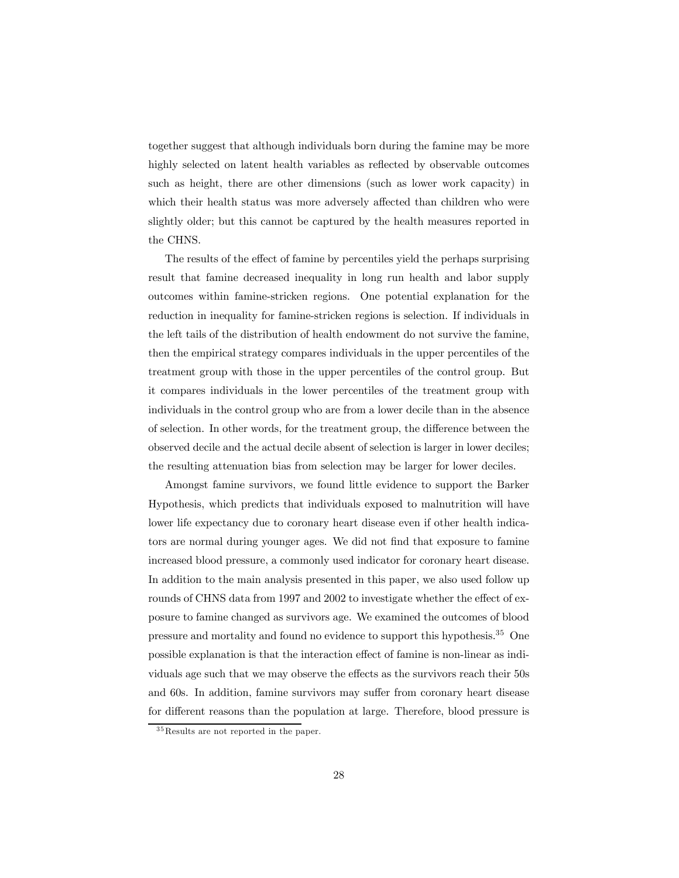together suggest that although individuals born during the famine may be more highly selected on latent health variables as reflected by observable outcomes such as height, there are other dimensions (such as lower work capacity) in which their health status was more adversely affected than children who were slightly older; but this cannot be captured by the health measures reported in the CHNS.

The results of the effect of famine by percentiles yield the perhaps surprising result that famine decreased inequality in long run health and labor supply outcomes within famine-stricken regions. One potential explanation for the reduction in inequality for famine-stricken regions is selection. If individuals in the left tails of the distribution of health endowment do not survive the famine, then the empirical strategy compares individuals in the upper percentiles of the treatment group with those in the upper percentiles of the control group. But it compares individuals in the lower percentiles of the treatment group with individuals in the control group who are from a lower decile than in the absence of selection. In other words, for the treatment group, the difference between the observed decile and the actual decile absent of selection is larger in lower deciles; the resulting attenuation bias from selection may be larger for lower deciles.

Amongst famine survivors, we found little evidence to support the Barker Hypothesis, which predicts that individuals exposed to malnutrition will have lower life expectancy due to coronary heart disease even if other health indicators are normal during younger ages. We did not find that exposure to famine increased blood pressure, a commonly used indicator for coronary heart disease. In addition to the main analysis presented in this paper, we also used follow up rounds of CHNS data from 1997 and 2002 to investigate whether the effect of exposure to famine changed as survivors age. We examined the outcomes of blood pressure and mortality and found no evidence to support this hypothesis.35 One possible explanation is that the interaction effect of famine is non-linear as individuals age such that we may observe the effects as the survivors reach their 50s and 60s. In addition, famine survivors may suffer from coronary heart disease for different reasons than the population at large. Therefore, blood pressure is

<sup>&</sup>lt;sup>35</sup>Results are not reported in the paper.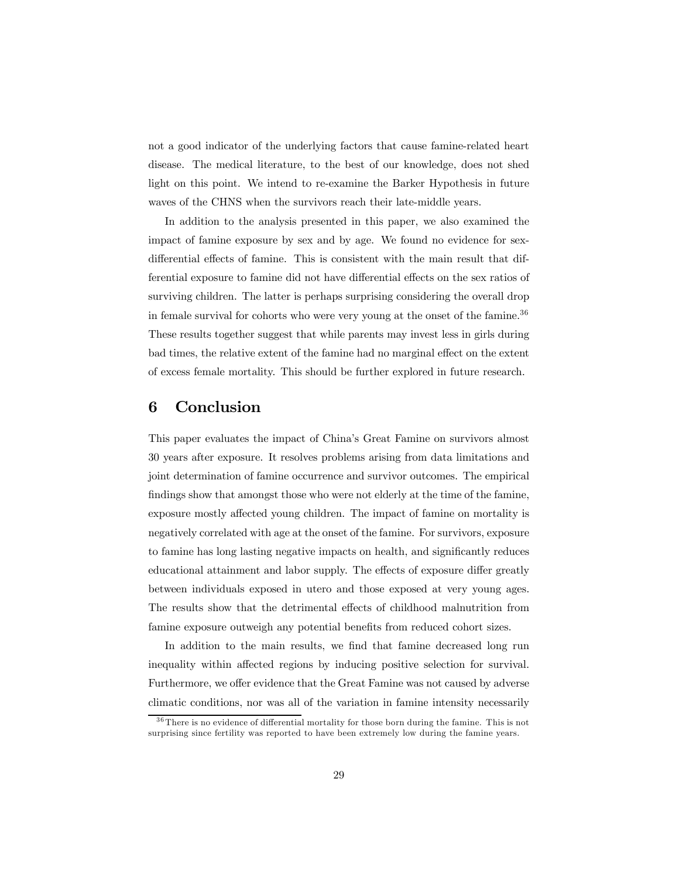not a good indicator of the underlying factors that cause famine-related heart disease. The medical literature, to the best of our knowledge, does not shed light on this point. We intend to re-examine the Barker Hypothesis in future waves of the CHNS when the survivors reach their late-middle years.

In addition to the analysis presented in this paper, we also examined the impact of famine exposure by sex and by age. We found no evidence for sexdifferential effects of famine. This is consistent with the main result that differential exposure to famine did not have differential effects on the sex ratios of surviving children. The latter is perhaps surprising considering the overall drop in female survival for cohorts who were very young at the onset of the famine.<sup>36</sup> These results together suggest that while parents may invest less in girls during bad times, the relative extent of the famine had no marginal effect on the extent of excess female mortality. This should be further explored in future research.

# 6 Conclusion

This paper evaluates the impact of China's Great Famine on survivors almost 30 years after exposure. It resolves problems arising from data limitations and joint determination of famine occurrence and survivor outcomes. The empirical findings show that amongst those who were not elderly at the time of the famine, exposure mostly affected young children. The impact of famine on mortality is negatively correlated with age at the onset of the famine. For survivors, exposure to famine has long lasting negative impacts on health, and significantly reduces educational attainment and labor supply. The effects of exposure differ greatly between individuals exposed in utero and those exposed at very young ages. The results show that the detrimental effects of childhood malnutrition from famine exposure outweigh any potential benefits from reduced cohort sizes.

In addition to the main results, we find that famine decreased long run inequality within affected regions by inducing positive selection for survival. Furthermore, we offer evidence that the Great Famine was not caused by adverse climatic conditions, nor was all of the variation in famine intensity necessarily

<sup>&</sup>lt;sup>36</sup>There is no evidence of differential mortality for those born during the famine. This is not surprising since fertility was reported to have been extremely low during the famine years.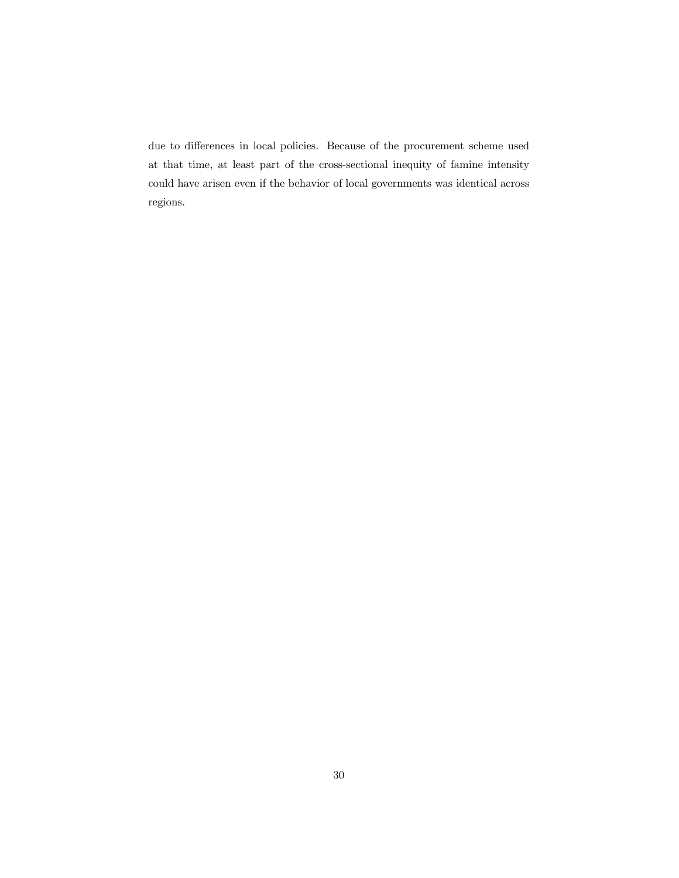due to differences in local policies. Because of the procurement scheme used at that time, at least part of the cross-sectional inequity of famine intensity could have arisen even if the behavior of local governments was identical across regions.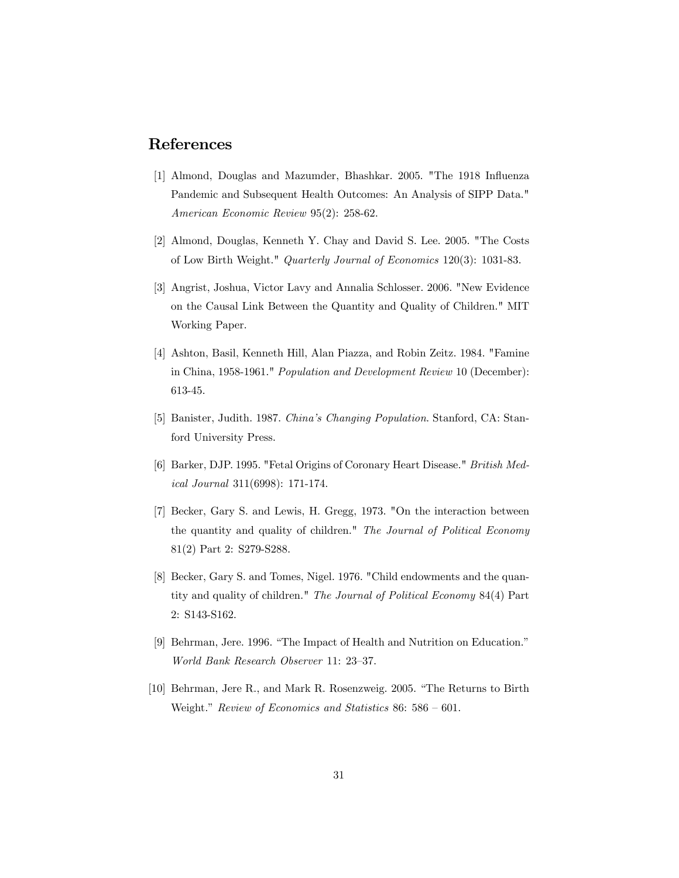# References

- [1] Almond, Douglas and Mazumder, Bhashkar. 2005. "The 1918 Influenza Pandemic and Subsequent Health Outcomes: An Analysis of SIPP Data." American Economic Review 95(2): 258-62.
- [2] Almond, Douglas, Kenneth Y. Chay and David S. Lee. 2005. "The Costs of Low Birth Weight." Quarterly Journal of Economics 120(3): 1031-83.
- [3] Angrist, Joshua, Victor Lavy and Annalia Schlosser. 2006. "New Evidence on the Causal Link Between the Quantity and Quality of Children." MIT Working Paper.
- [4] Ashton, Basil, Kenneth Hill, Alan Piazza, and Robin Zeitz. 1984. "Famine in China, 1958-1961." Population and Development Review 10 (December): 613-45.
- [5] Banister, Judith. 1987. China's Changing Population. Stanford, CA: Stanford University Press.
- [6] Barker, DJP. 1995. "Fetal Origins of Coronary Heart Disease." British Medical Journal 311(6998): 171-174.
- [7] Becker, Gary S. and Lewis, H. Gregg, 1973. "On the interaction between the quantity and quality of children." The Journal of Political Economy 81(2) Part 2: S279-S288.
- [8] Becker, Gary S. and Tomes, Nigel. 1976. "Child endowments and the quantity and quality of children." The Journal of Political Economy 84(4) Part 2: S143-S162.
- [9] Behrman, Jere. 1996. "The Impact of Health and Nutrition on Education." World Bank Research Observer 11: 23—37.
- [10] Behrman, Jere R., and Mark R. Rosenzweig. 2005. "The Returns to Birth Weight." Review of Economics and Statistics 86: 586 — 601.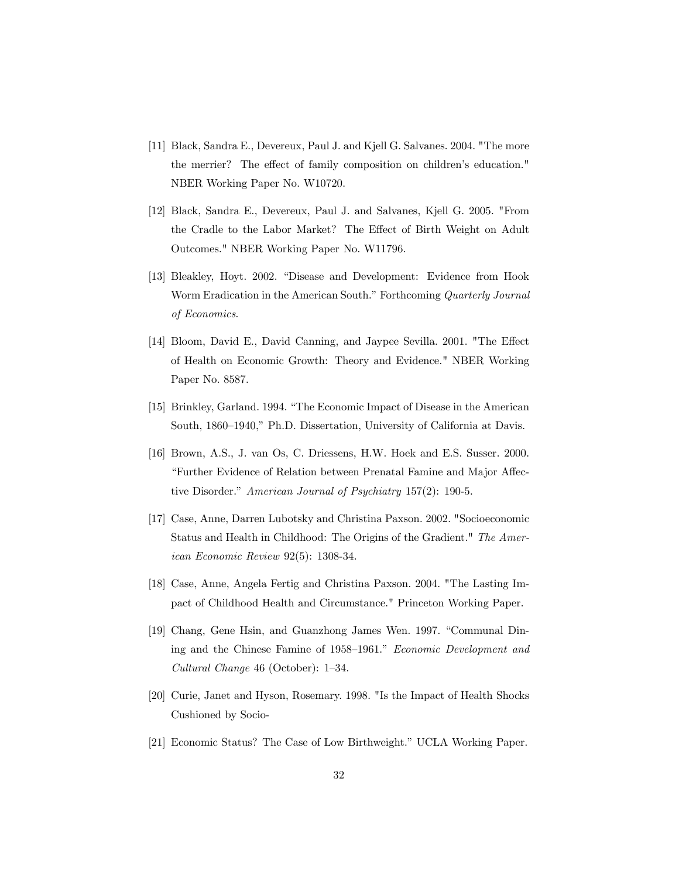- [11] Black, Sandra E., Devereux, Paul J. and Kjell G. Salvanes. 2004. "The more the merrier? The effect of family composition on children's education." NBER Working Paper No. W10720.
- [12] Black, Sandra E., Devereux, Paul J. and Salvanes, Kjell G. 2005. "From the Cradle to the Labor Market? The Effect of Birth Weight on Adult Outcomes." NBER Working Paper No. W11796.
- [13] Bleakley, Hoyt. 2002. "Disease and Development: Evidence from Hook Worm Eradication in the American South." Forthcoming Quarterly Journal of Economics.
- [14] Bloom, David E., David Canning, and Jaypee Sevilla. 2001. "The Effect of Health on Economic Growth: Theory and Evidence." NBER Working Paper No. 8587.
- [15] Brinkley, Garland. 1994. "The Economic Impact of Disease in the American South, 1860—1940," Ph.D. Dissertation, University of California at Davis.
- [16] Brown, A.S., J. van Os, C. Driessens, H.W. Hoek and E.S. Susser. 2000. "Further Evidence of Relation between Prenatal Famine and Major Affective Disorder." American Journal of Psychiatry 157(2): 190-5.
- [17] Case, Anne, Darren Lubotsky and Christina Paxson. 2002. "Socioeconomic Status and Health in Childhood: The Origins of the Gradient." The American Economic Review 92(5): 1308-34.
- [18] Case, Anne, Angela Fertig and Christina Paxson. 2004. "The Lasting Impact of Childhood Health and Circumstance." Princeton Working Paper.
- [19] Chang, Gene Hsin, and Guanzhong James Wen. 1997. "Communal Dining and the Chinese Famine of 1958—1961." Economic Development and Cultural Change 46 (October): 1—34.
- [20] Curie, Janet and Hyson, Rosemary. 1998. "Is the Impact of Health Shocks Cushioned by Socio-
- [21] Economic Status? The Case of Low Birthweight." UCLA Working Paper.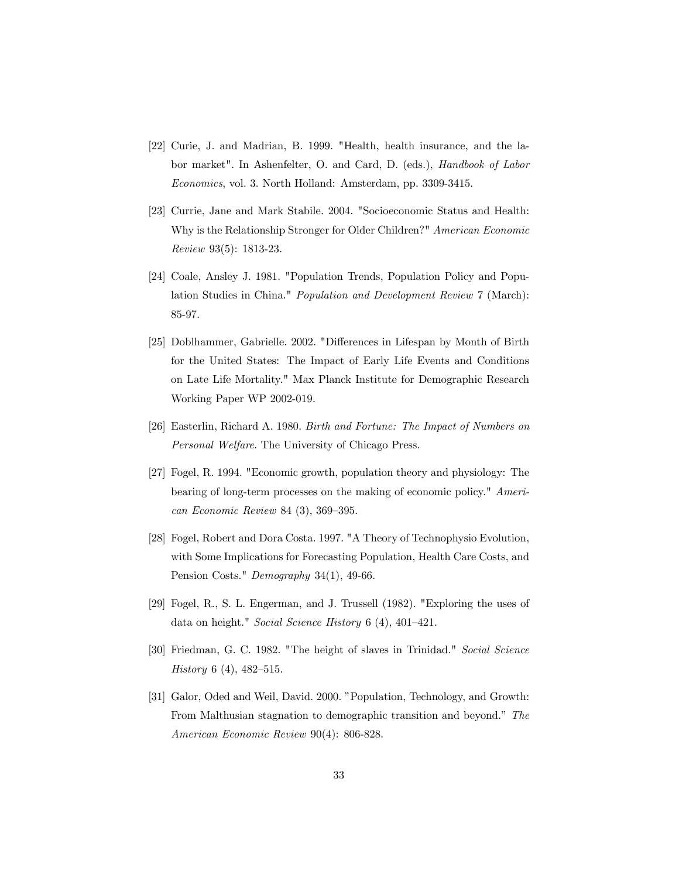- [22] Curie, J. and Madrian, B. 1999. "Health, health insurance, and the labor market". In Ashenfelter, O. and Card, D. (eds.), Handbook of Labor Economics, vol. 3. North Holland: Amsterdam, pp. 3309-3415.
- [23] Currie, Jane and Mark Stabile. 2004. "Socioeconomic Status and Health: Why is the Relationship Stronger for Older Children?" American Economic Review 93(5): 1813-23.
- [24] Coale, Ansley J. 1981. "Population Trends, Population Policy and Population Studies in China." Population and Development Review 7 (March): 85-97.
- [25] Doblhammer, Gabrielle. 2002. "Differences in Lifespan by Month of Birth for the United States: The Impact of Early Life Events and Conditions on Late Life Mortality." Max Planck Institute for Demographic Research Working Paper WP 2002-019.
- [26] Easterlin, Richard A. 1980. Birth and Fortune: The Impact of Numbers on Personal Welfare. The University of Chicago Press.
- [27] Fogel, R. 1994. "Economic growth, population theory and physiology: The bearing of long-term processes on the making of economic policy." American Economic Review 84 (3), 369—395.
- [28] Fogel, Robert and Dora Costa. 1997. "A Theory of Technophysio Evolution, with Some Implications for Forecasting Population, Health Care Costs, and Pension Costs." Demography 34(1), 49-66.
- [29] Fogel, R., S. L. Engerman, and J. Trussell (1982). "Exploring the uses of data on height." Social Science History 6 (4), 401—421.
- [30] Friedman, G. C. 1982. "The height of slaves in Trinidad." Social Science History 6 (4), 482—515.
- [31] Galor, Oded and Weil, David. 2000. "Population, Technology, and Growth: From Malthusian stagnation to demographic transition and beyond." The American Economic Review 90(4): 806-828.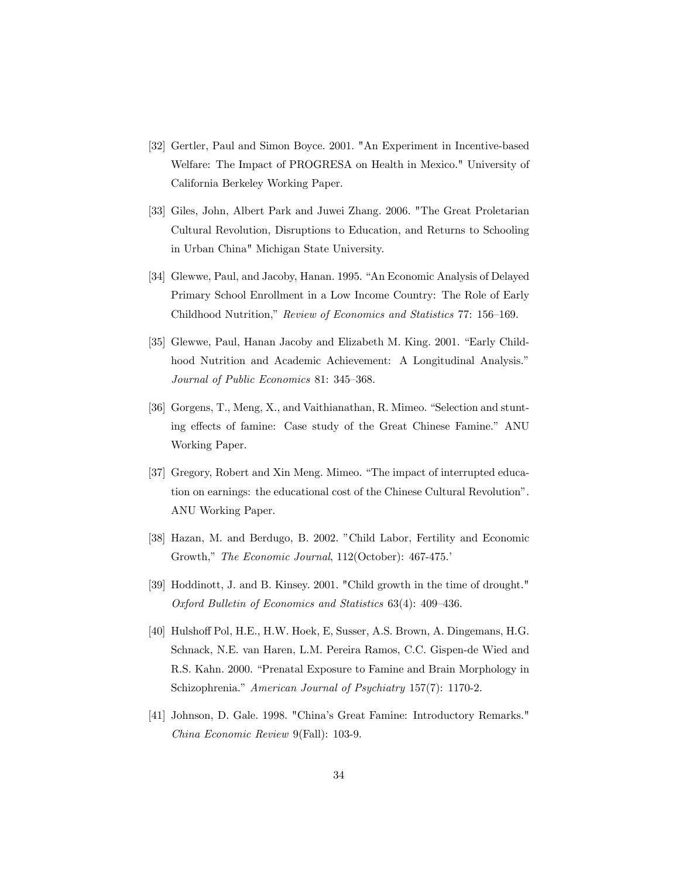- [32] Gertler, Paul and Simon Boyce. 2001. "An Experiment in Incentive-based Welfare: The Impact of PROGRESA on Health in Mexico." University of California Berkeley Working Paper.
- [33] Giles, John, Albert Park and Juwei Zhang. 2006. "The Great Proletarian Cultural Revolution, Disruptions to Education, and Returns to Schooling in Urban China" Michigan State University.
- [34] Glewwe, Paul, and Jacoby, Hanan. 1995. "An Economic Analysis of Delayed Primary School Enrollment in a Low Income Country: The Role of Early Childhood Nutrition," Review of Economics and Statistics 77: 156—169.
- [35] Glewwe, Paul, Hanan Jacoby and Elizabeth M. King. 2001. "Early Childhood Nutrition and Academic Achievement: A Longitudinal Analysis." Journal of Public Economics 81: 345—368.
- [36] Gorgens, T., Meng, X., and Vaithianathan, R. Mimeo. "Selection and stunting effects of famine: Case study of the Great Chinese Famine." ANU Working Paper.
- [37] Gregory, Robert and Xin Meng. Mimeo. "The impact of interrupted education on earnings: the educational cost of the Chinese Cultural Revolution". ANU Working Paper.
- [38] Hazan, M. and Berdugo, B. 2002. "Child Labor, Fertility and Economic Growth," The Economic Journal, 112(October): 467-475.'
- [39] Hoddinott, J. and B. Kinsey. 2001. "Child growth in the time of drought." Oxford Bulletin of Economics and Statistics 63(4): 409—436.
- [40] Hulshoff Pol, H.E., H.W. Hoek, E, Susser, A.S. Brown, A. Dingemans, H.G. Schnack, N.E. van Haren, L.M. Pereira Ramos, C.C. Gispen-de Wied and R.S. Kahn. 2000. "Prenatal Exposure to Famine and Brain Morphology in Schizophrenia." American Journal of Psychiatry 157(7): 1170-2.
- [41] Johnson, D. Gale. 1998. "China's Great Famine: Introductory Remarks." China Economic Review 9(Fall): 103-9.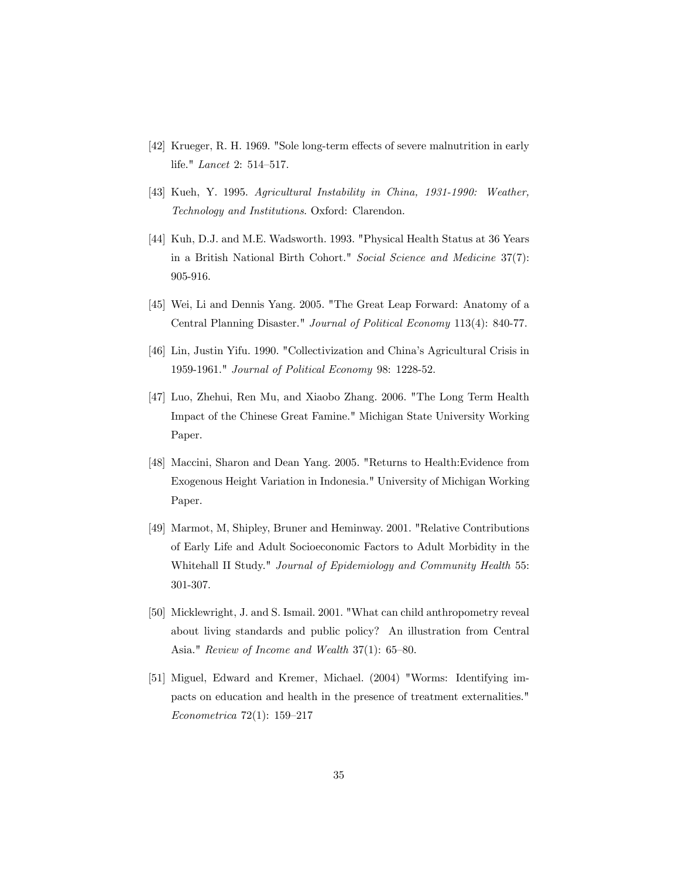- [42] Krueger, R. H. 1969. "Sole long-term effects of severe malnutrition in early life." Lancet 2: 514—517.
- [43] Kueh, Y. 1995. Agricultural Instability in China, 1931-1990: Weather, Technology and Institutions. Oxford: Clarendon.
- [44] Kuh, D.J. and M.E. Wadsworth. 1993. "Physical Health Status at 36 Years in a British National Birth Cohort." Social Science and Medicine 37(7): 905-916.
- [45] Wei, Li and Dennis Yang. 2005. "The Great Leap Forward: Anatomy of a Central Planning Disaster." Journal of Political Economy 113(4): 840-77.
- [46] Lin, Justin Yifu. 1990. "Collectivization and China's Agricultural Crisis in 1959-1961." Journal of Political Economy 98: 1228-52.
- [47] Luo, Zhehui, Ren Mu, and Xiaobo Zhang. 2006. "The Long Term Health Impact of the Chinese Great Famine." Michigan State University Working Paper.
- [48] Maccini, Sharon and Dean Yang. 2005. "Returns to Health:Evidence from Exogenous Height Variation in Indonesia." University of Michigan Working Paper.
- [49] Marmot, M, Shipley, Bruner and Heminway. 2001. "Relative Contributions of Early Life and Adult Socioeconomic Factors to Adult Morbidity in the Whitehall II Study." Journal of Epidemiology and Community Health 55: 301-307.
- [50] Micklewright, J. and S. Ismail. 2001. "What can child anthropometry reveal about living standards and public policy? An illustration from Central Asia." Review of Income and Wealth 37(1): 65—80.
- [51] Miguel, Edward and Kremer, Michael. (2004) "Worms: Identifying impacts on education and health in the presence of treatment externalities." Econometrica 72(1): 159—217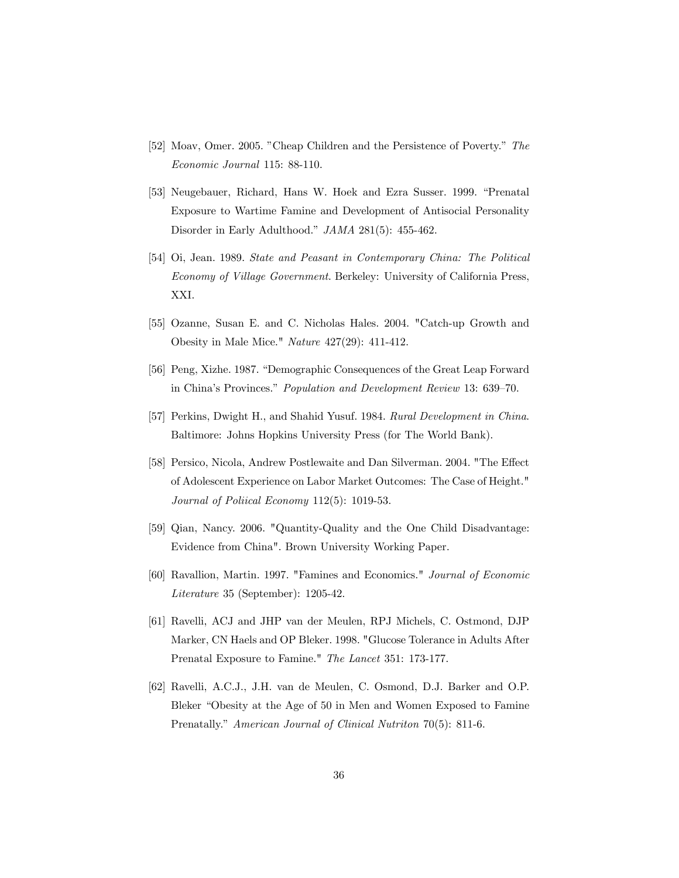- [52] Moav, Omer. 2005. "Cheap Children and the Persistence of Poverty." The Economic Journal 115: 88-110.
- [53] Neugebauer, Richard, Hans W. Hoek and Ezra Susser. 1999. "Prenatal Exposure to Wartime Famine and Development of Antisocial Personality Disorder in Early Adulthood." JAMA 281(5): 455-462.
- [54] Oi, Jean. 1989. State and Peasant in Contemporary China: The Political Economy of Village Government. Berkeley: University of California Press, XXI.
- [55] Ozanne, Susan E. and C. Nicholas Hales. 2004. "Catch-up Growth and Obesity in Male Mice." Nature 427(29): 411-412.
- [56] Peng, Xizhe. 1987. "Demographic Consequences of the Great Leap Forward in China's Provinces." Population and Development Review 13: 639—70.
- [57] Perkins, Dwight H., and Shahid Yusuf. 1984. Rural Development in China. Baltimore: Johns Hopkins University Press (for The World Bank).
- [58] Persico, Nicola, Andrew Postlewaite and Dan Silverman. 2004. "The Effect of Adolescent Experience on Labor Market Outcomes: The Case of Height." Journal of Poliical Economy 112(5): 1019-53.
- [59] Qian, Nancy. 2006. "Quantity-Quality and the One Child Disadvantage: Evidence from China". Brown University Working Paper.
- [60] Ravallion, Martin. 1997. "Famines and Economics." Journal of Economic Literature 35 (September): 1205-42.
- [61] Ravelli, ACJ and JHP van der Meulen, RPJ Michels, C. Ostmond, DJP Marker, CN Haels and OP Bleker. 1998. "Glucose Tolerance in Adults After Prenatal Exposure to Famine." The Lancet 351: 173-177.
- [62] Ravelli, A.C.J., J.H. van de Meulen, C. Osmond, D.J. Barker and O.P. Bleker "Obesity at the Age of 50 in Men and Women Exposed to Famine Prenatally." American Journal of Clinical Nutriton 70(5): 811-6.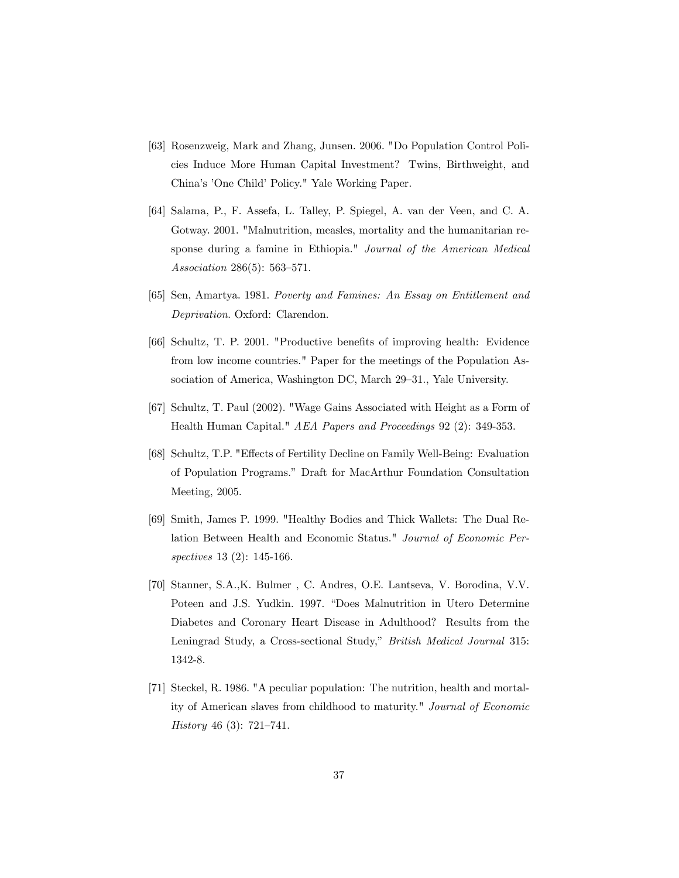- [63] Rosenzweig, Mark and Zhang, Junsen. 2006. "Do Population Control Policies Induce More Human Capital Investment? Twins, Birthweight, and China's 'One Child' Policy." Yale Working Paper.
- [64] Salama, P., F. Assefa, L. Talley, P. Spiegel, A. van der Veen, and C. A. Gotway. 2001. "Malnutrition, measles, mortality and the humanitarian response during a famine in Ethiopia." Journal of the American Medical Association 286(5): 563—571.
- [65] Sen, Amartya. 1981. Poverty and Famines: An Essay on Entitlement and Deprivation. Oxford: Clarendon.
- [66] Schultz, T. P. 2001. "Productive benefits of improving health: Evidence from low income countries." Paper for the meetings of the Population Association of America, Washington DC, March 29—31., Yale University.
- [67] Schultz, T. Paul (2002). "Wage Gains Associated with Height as a Form of Health Human Capital." AEA Papers and Proceedings 92 (2): 349-353.
- [68] Schultz, T.P. "Effects of Fertility Decline on Family Well-Being: Evaluation of Population Programs." Draft for MacArthur Foundation Consultation Meeting, 2005.
- [69] Smith, James P. 1999. "Healthy Bodies and Thick Wallets: The Dual Relation Between Health and Economic Status." Journal of Economic Perspectives 13 (2): 145-166.
- [70] Stanner, S.A.,K. Bulmer , C. Andres, O.E. Lantseva, V. Borodina, V.V. Poteen and J.S. Yudkin. 1997. "Does Malnutrition in Utero Determine Diabetes and Coronary Heart Disease in Adulthood? Results from the Leningrad Study, a Cross-sectional Study," British Medical Journal 315: 1342-8.
- [71] Steckel, R. 1986. "A peculiar population: The nutrition, health and mortality of American slaves from childhood to maturity." Journal of Economic History 46 (3): 721—741.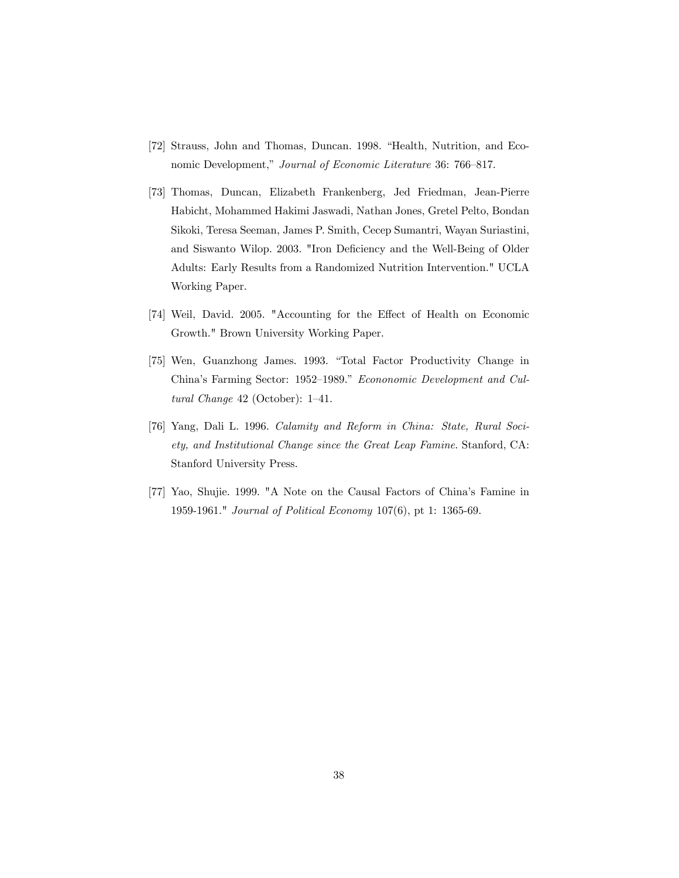- [72] Strauss, John and Thomas, Duncan. 1998. "Health, Nutrition, and Economic Development," Journal of Economic Literature 36: 766—817.
- [73] Thomas, Duncan, Elizabeth Frankenberg, Jed Friedman, Jean-Pierre Habicht, Mohammed Hakimi Jaswadi, Nathan Jones, Gretel Pelto, Bondan Sikoki, Teresa Seeman, James P. Smith, Cecep Sumantri, Wayan Suriastini, and Siswanto Wilop. 2003. "Iron Deficiency and the Well-Being of Older Adults: Early Results from a Randomized Nutrition Intervention." UCLA Working Paper.
- [74] Weil, David. 2005. "Accounting for the Effect of Health on Economic Growth." Brown University Working Paper.
- [75] Wen, Guanzhong James. 1993. "Total Factor Productivity Change in China's Farming Sector: 1952—1989." Econonomic Development and Cultural Change 42 (October): 1—41.
- [76] Yang, Dali L. 1996. Calamity and Reform in China: State, Rural Society, and Institutional Change since the Great Leap Famine. Stanford, CA: Stanford University Press.
- [77] Yao, Shujie. 1999. "A Note on the Causal Factors of China's Famine in 1959-1961." Journal of Political Economy 107(6), pt 1: 1365-69.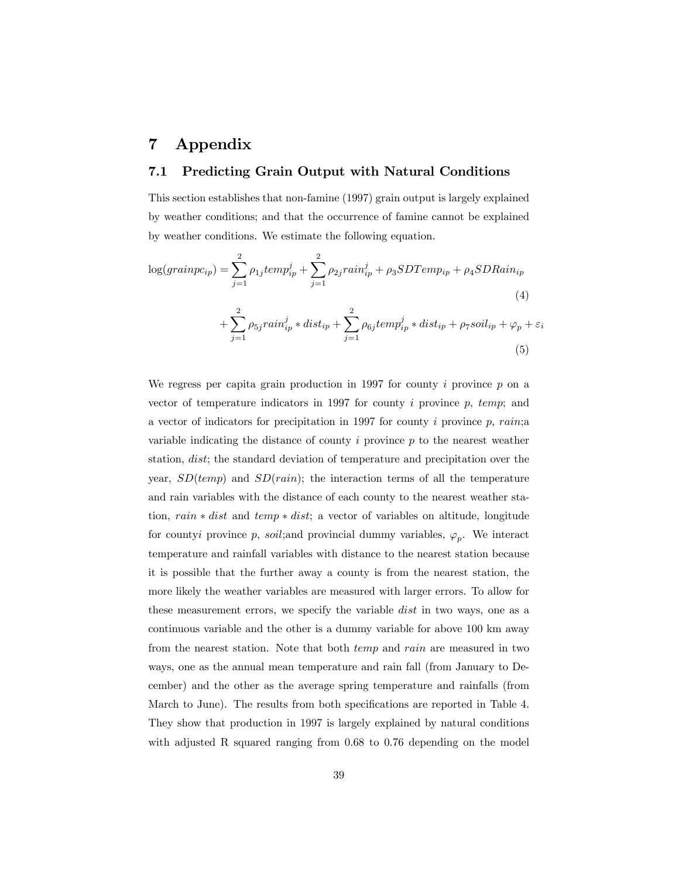# 7 Appendix

### 7.1 Predicting Grain Output with Natural Conditions

This section establishes that non-famine (1997) grain output is largely explained by weather conditions; and that the occurrence of famine cannot be explained by weather conditions. We estimate the following equation.

$$
\log(grainpc_{ip}) = \sum_{j=1}^{2} \rho_{1j} temp_{ip}^{j} + \sum_{j=1}^{2} \rho_{2j} rain_{ip}^{j} + \rho_{3} SDTemp_{ip} + \rho_{4} SDRain_{ip}
$$
\n
$$
\sum_{i=1}^{2} \rho_{1j} tempi_{ip}^{j} + \sum_{j=1}^{2} \rho_{2j} rampi_{ip}^{j} + \rho_{3} SDTemp_{ip} + \rho_{4} SDRain_{ip}
$$
\n
$$
(4)
$$

$$
+\sum_{j=1} \rho_{5j} rain_{ip}^{j} * dist_{ip} + \sum_{j=1} \rho_{6j} temp_{ip}^{j} * dist_{ip} + \rho_{7} soil_{ip} + \varphi_{p} + \varepsilon_{i}
$$
\n
$$
\tag{5}
$$

We regress per capita grain production in 1997 for county  $i$  province  $p$  on a vector of temperature indicators in 1997 for county  $i$  province  $p$ ,  $temp$ ; and a vector of indicators for precipitation in 1997 for county i province  $p$ , rain;a variable indicating the distance of county  $i$  province  $p$  to the nearest weather station, dist; the standard deviation of temperature and precipitation over the year,  $SD(temp)$  and  $SD(rain)$ ; the interaction terms of all the temperature and rain variables with the distance of each county to the nearest weather station, rain ∗ dist and temp ∗ dist; a vector of variables on altitude, longitude for countyi province p, soil; and provincial dummy variables,  $\varphi_p$ . We interact temperature and rainfall variables with distance to the nearest station because it is possible that the further away a county is from the nearest station, the more likely the weather variables are measured with larger errors. To allow for these measurement errors, we specify the variable *dist* in two ways, one as a continuous variable and the other is a dummy variable for above 100 km away from the nearest station. Note that both temp and rain are measured in two ways, one as the annual mean temperature and rain fall (from January to December) and the other as the average spring temperature and rainfalls (from March to June). The results from both specifications are reported in Table 4. They show that production in 1997 is largely explained by natural conditions with adjusted R squared ranging from 0.68 to 0.76 depending on the model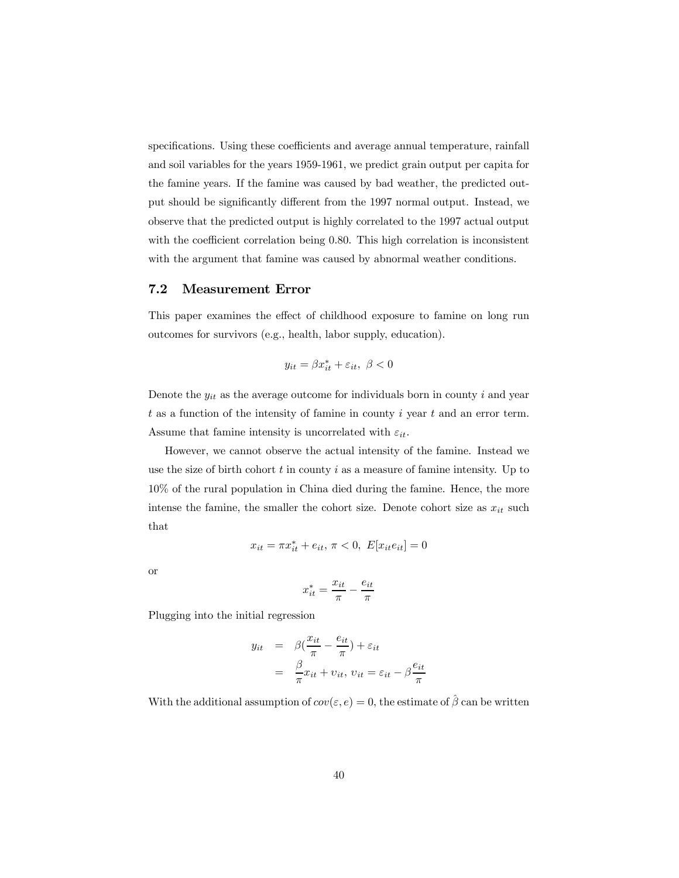specifications. Using these coefficients and average annual temperature, rainfall and soil variables for the years 1959-1961, we predict grain output per capita for the famine years. If the famine was caused by bad weather, the predicted output should be significantly different from the 1997 normal output. Instead, we observe that the predicted output is highly correlated to the 1997 actual output with the coefficient correlation being 0.80. This high correlation is inconsistent with the argument that famine was caused by abnormal weather conditions.

### 7.2 Measurement Error

This paper examines the effect of childhood exposure to famine on long run outcomes for survivors (e.g., health, labor supply, education).

$$
y_{it} = \beta x_{it}^* + \varepsilon_{it}, \ \beta < 0
$$

Denote the  $y_{it}$  as the average outcome for individuals born in county i and year  $t$  as a function of the intensity of famine in county  $i$  year  $t$  and an error term. Assume that famine intensity is uncorrelated with  $\varepsilon_{it}$ .

However, we cannot observe the actual intensity of the famine. Instead we use the size of birth cohort  $t$  in county  $i$  as a measure of famine intensity. Up to 10% of the rural population in China died during the famine. Hence, the more intense the famine, the smaller the cohort size. Denote cohort size as  $x_{it}$  such that

$$
x_{it} = \pi x_{it}^* + e_{it}, \, \pi < 0, \, E[x_{it}e_{it}] = 0
$$

or

$$
x_{it}^* = \frac{x_{it}}{\pi} - \frac{e_{it}}{\pi}
$$

Plugging into the initial regression

$$
y_{it} = \beta(\frac{x_{it}}{\pi} - \frac{e_{it}}{\pi}) + \varepsilon_{it}
$$

$$
= \frac{\beta}{\pi}x_{it} + v_{it}, v_{it} = \varepsilon_{it} - \beta\frac{e_{it}}{\pi}
$$

With the additional assumption of  $cov(\varepsilon, e)=0$ , the estimate of  $\hat{\beta}$  can be written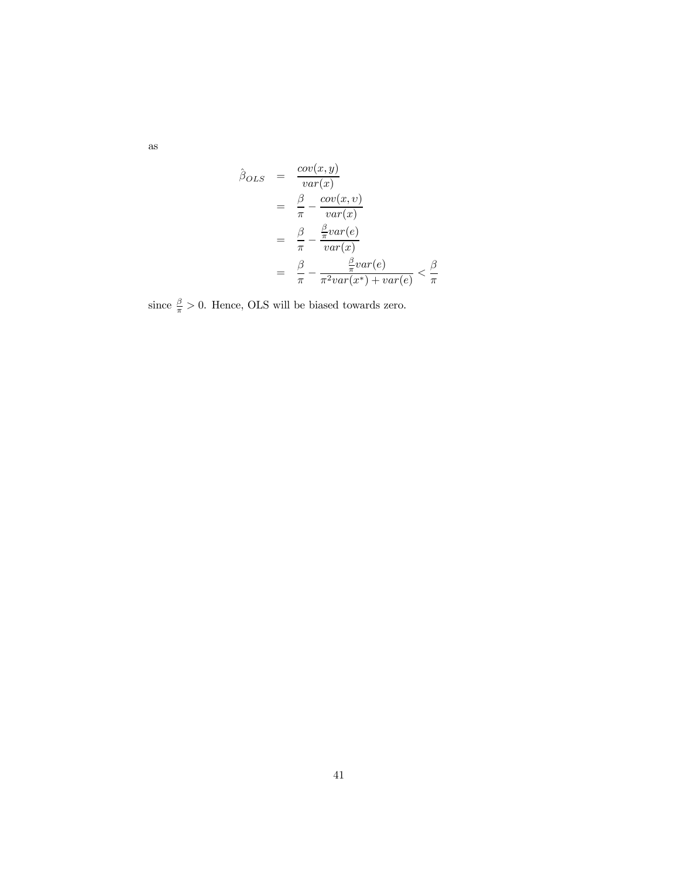as

$$
\hat{\beta}_{OLS} = \frac{cov(x, y)}{var(x)} \n= \frac{\beta}{\pi} - \frac{cov(x, v)}{var(x)} \n= \frac{\beta}{\pi} - \frac{\frac{\beta}{\pi}var(e)}{var(x)} \n= \frac{\beta}{\pi} - \frac{\frac{\beta}{\pi}var(e)}{\frac{\beta}{\pi}var(x^*) + var(e)} < \frac{\beta}{\pi}
$$

since  $\frac{\beta}{\pi} > 0$ . Hence, OLS will be biased towards zero.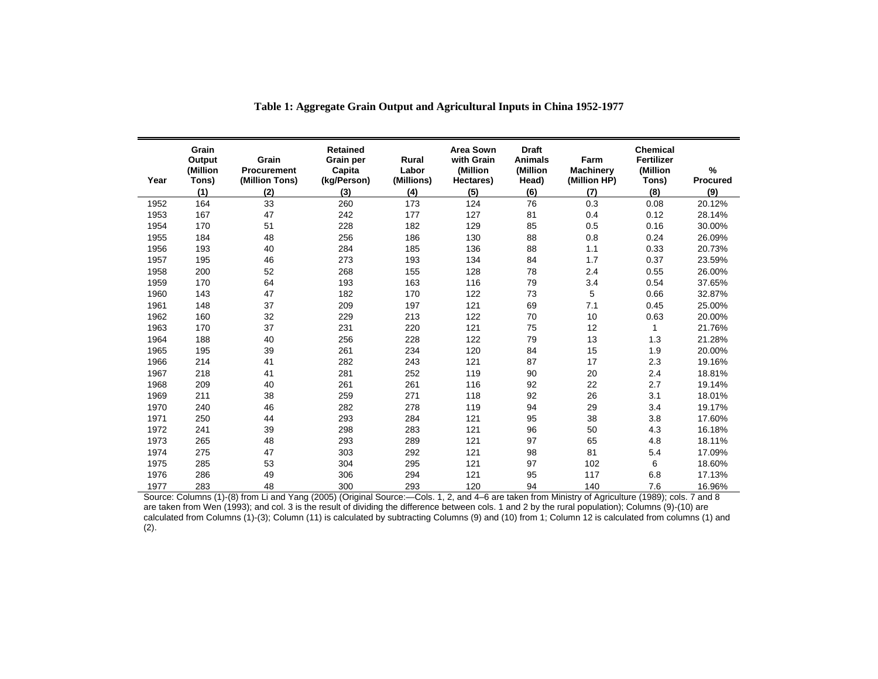| Year | Grain<br>Output<br>(Million<br>Tons)<br>(1) | Grain<br>Procurement<br>(Million Tons)<br>(2) | <b>Retained</b><br><b>Grain per</b><br>Capita<br>(kg/Person)<br>(3) | Rural<br>Labor<br>(Millions)<br>(4) | <b>Area Sown</b><br>with Grain<br>(Million<br>Hectares)<br>(5) | <b>Draft</b><br><b>Animals</b><br>(Million<br>Head)<br>(6) | Farm<br><b>Machinery</b><br>(Million HP)<br>(7) | <b>Chemical</b><br>Fertilizer<br>(Million<br>Tons)<br>(8) | $\frac{0}{0}$<br><b>Procured</b><br>(9) |
|------|---------------------------------------------|-----------------------------------------------|---------------------------------------------------------------------|-------------------------------------|----------------------------------------------------------------|------------------------------------------------------------|-------------------------------------------------|-----------------------------------------------------------|-----------------------------------------|
| 1952 | 164                                         | 33                                            | 260                                                                 | 173                                 | 124                                                            | 76                                                         | 0.3                                             | 0.08                                                      | 20.12%                                  |
| 1953 | 167                                         | 47                                            | 242                                                                 | 177                                 | 127                                                            | 81                                                         | 0.4                                             | 0.12                                                      | 28.14%                                  |
| 1954 | 170                                         | 51                                            | 228                                                                 | 182                                 | 129                                                            | 85                                                         | 0.5                                             | 0.16                                                      | 30.00%                                  |
| 1955 | 184                                         | 48                                            | 256                                                                 | 186                                 | 130                                                            | 88                                                         | 0.8                                             | 0.24                                                      | 26.09%                                  |
| 1956 | 193                                         | 40                                            | 284                                                                 | 185                                 | 136                                                            | 88                                                         | 1.1                                             | 0.33                                                      | 20.73%                                  |
| 1957 | 195                                         | 46                                            | 273                                                                 | 193                                 | 134                                                            | 84                                                         | 1.7                                             | 0.37                                                      | 23.59%                                  |
| 1958 | 200                                         | 52                                            | 268                                                                 | 155                                 | 128                                                            | 78                                                         | 2.4                                             | 0.55                                                      | 26.00%                                  |
| 1959 | 170                                         | 64                                            | 193                                                                 | 163                                 | 116                                                            | 79                                                         | 3.4                                             | 0.54                                                      | 37.65%                                  |
| 1960 | 143                                         | 47                                            | 182                                                                 | 170                                 | 122                                                            | 73                                                         | 5                                               | 0.66                                                      | 32.87%                                  |
| 1961 | 148                                         | 37                                            | 209                                                                 | 197                                 | 121                                                            | 69                                                         | 7.1                                             | 0.45                                                      | 25.00%                                  |
| 1962 | 160                                         | 32                                            | 229                                                                 | 213                                 | 122                                                            | 70                                                         | 10                                              | 0.63                                                      | 20.00%                                  |
| 1963 | 170                                         | 37                                            | 231                                                                 | 220                                 | 121                                                            | 75                                                         | 12                                              | 1                                                         | 21.76%                                  |
| 1964 | 188                                         | 40                                            | 256                                                                 | 228                                 | 122                                                            | 79                                                         | 13                                              | 1.3                                                       | 21.28%                                  |
| 1965 | 195                                         | 39                                            | 261                                                                 | 234                                 | 120                                                            | 84                                                         | 15                                              | 1.9                                                       | 20.00%                                  |
| 1966 | 214                                         | 41                                            | 282                                                                 | 243                                 | 121                                                            | 87                                                         | 17                                              | 2.3                                                       | 19.16%                                  |
| 1967 | 218                                         | 41                                            | 281                                                                 | 252                                 | 119                                                            | 90                                                         | 20                                              | 2.4                                                       | 18.81%                                  |
| 1968 | 209                                         | 40                                            | 261                                                                 | 261                                 | 116                                                            | 92                                                         | 22                                              | 2.7                                                       | 19.14%                                  |
| 1969 | 211                                         | 38                                            | 259                                                                 | 271                                 | 118                                                            | 92                                                         | 26                                              | 3.1                                                       | 18.01%                                  |
| 1970 | 240                                         | 46                                            | 282                                                                 | 278                                 | 119                                                            | 94                                                         | 29                                              | 3.4                                                       | 19.17%                                  |
| 1971 | 250                                         | 44                                            | 293                                                                 | 284                                 | 121                                                            | 95                                                         | 38                                              | 3.8                                                       | 17.60%                                  |
| 1972 | 241                                         | 39                                            | 298                                                                 | 283                                 | 121                                                            | 96                                                         | 50                                              | 4.3                                                       | 16.18%                                  |
| 1973 | 265                                         | 48                                            | 293                                                                 | 289                                 | 121                                                            | 97                                                         | 65                                              | 4.8                                                       | 18.11%                                  |
| 1974 | 275                                         | 47                                            | 303                                                                 | 292                                 | 121                                                            | 98                                                         | 81                                              | 5.4                                                       | 17.09%                                  |
| 1975 | 285                                         | 53                                            | 304                                                                 | 295                                 | 121                                                            | 97                                                         | 102                                             | 6                                                         | 18.60%                                  |
| 1976 | 286                                         | 49                                            | 306                                                                 | 294                                 | 121                                                            | 95                                                         | 117                                             | 6.8                                                       | 17.13%                                  |
| 1977 | 283                                         | 48                                            | 300                                                                 | 293                                 | 120                                                            | 94                                                         | 140                                             | 7.6                                                       | 16.96%                                  |

**Table 1: Aggregate Grain Output and Agricultural Inputs in China 1952-1977** 

are taken from Wen (1993); and col. 3 is the result of dividing the difference between cols. 1 and 2 by the rural population); Columns (9)-(10) are calculated from Columns (1)-(3); Column (11) is calculated by subtracting Columns (9) and (10) from 1; Column 12 is calculated from columns (1) and  $(2).$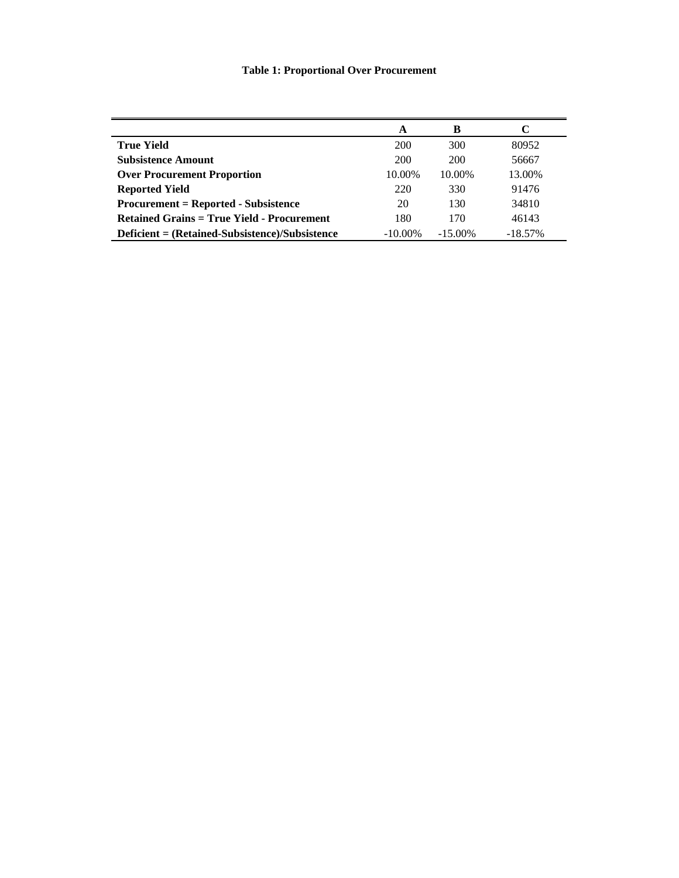# **Table 1: Proportional Over Procurement**

| A          | B          |            |
|------------|------------|------------|
| 200        | 300        | 80952      |
| 200        | 200        | 56667      |
| 10.00%     | 10.00%     | 13.00%     |
| 220        | 330        | 91476      |
| 20         | 130        | 34810      |
| 180        | 170        | 46143      |
| $-10.00\%$ | $-15.00\%$ | $-18.57\%$ |
|            |            |            |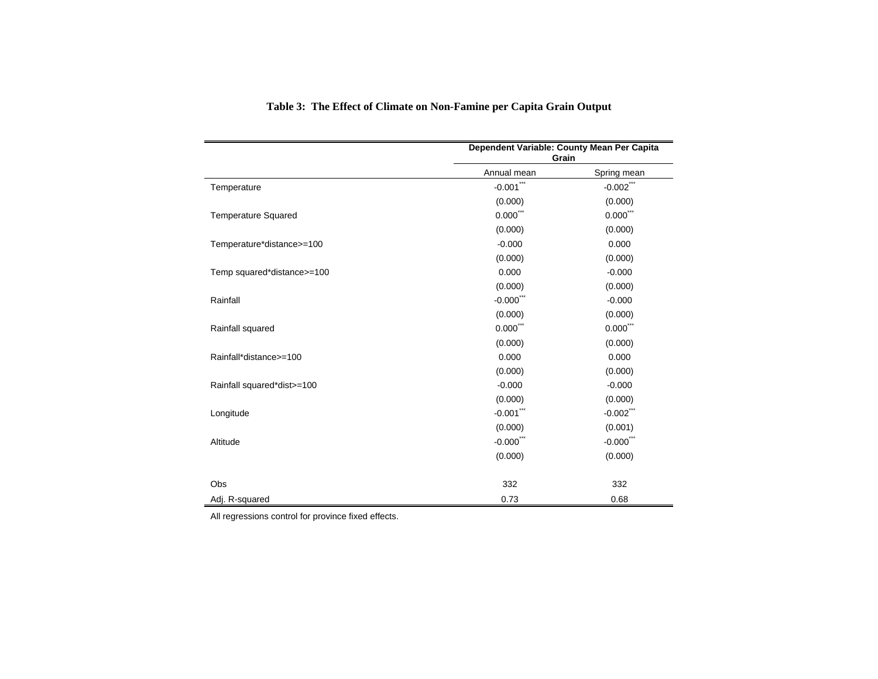|                            | Dependent Variable: County Mean Per Capita<br>Grain |                        |
|----------------------------|-----------------------------------------------------|------------------------|
|                            | Annual mean                                         | Spring mean            |
| Temperature                | $-0.001$ ***                                        | $-0.002$ ***           |
|                            | (0.000)                                             | (0.000)                |
| <b>Temperature Squared</b> | $0.000$ <sup>***</sup>                              | $0.000$ ***            |
|                            | (0.000)                                             | (0.000)                |
| Temperature*distance>=100  | $-0.000$                                            | 0.000                  |
|                            | (0.000)                                             | (0.000)                |
| Temp squared*distance>=100 | 0.000                                               | $-0.000$               |
|                            | (0.000)                                             | (0.000)                |
| Rainfall                   | $-0.000$ .                                          | $-0.000$               |
|                            | (0.000)                                             | (0.000)                |
| Rainfall squared           | $0.000$ <sup>***</sup>                              | $0.000$ <sup>***</sup> |
|                            | (0.000)                                             | (0.000)                |
| Rainfall*distance>=100     | 0.000                                               | 0.000                  |
|                            | (0.000)                                             | (0.000)                |
| Rainfall squared*dist>=100 | $-0.000$                                            | $-0.000$               |
|                            | (0.000)                                             | (0.000)                |
| Longitude                  | $-0.001$ ***                                        | $-0.002$ ***           |
|                            | (0.000)                                             | (0.001)                |
| Altitude                   | $-0.000$ <sup>***</sup>                             | $-0.000$ ***           |
|                            | (0.000)                                             | (0.000)                |
| Obs                        | 332                                                 | 332                    |
| Adj. R-squared             | 0.73                                                | 0.68                   |

# **Table 3: The Effect of Climate on Non-Famine per Capita Grain Output**

All regressions control for province fixed effects.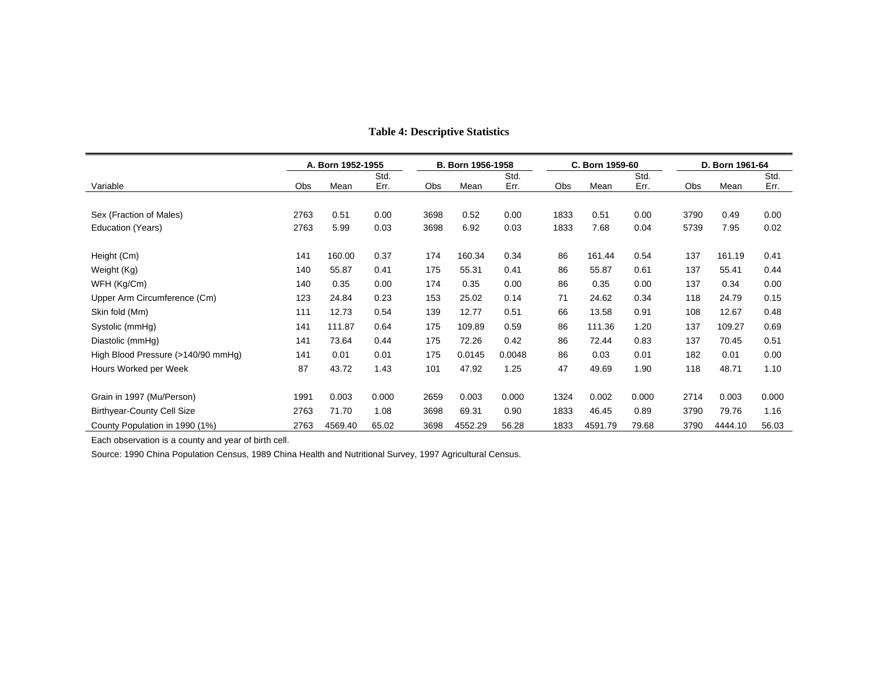|                                    |            | A. Born 1952-1955 |       |      | B. Born 1956-1958 |        |      | C. Born 1959-60 |       |      | D. Born 1961-64 |       |  |
|------------------------------------|------------|-------------------|-------|------|-------------------|--------|------|-----------------|-------|------|-----------------|-------|--|
|                                    |            |                   | Std.  |      |                   | Std.   |      |                 | Std.  |      |                 | Std.  |  |
| Variable                           | <b>Obs</b> | Mean              | Err.  | Obs  | Mean              | Err.   | Obs  | Mean            | Err.  | Obs  | Mean            | Err.  |  |
|                                    |            |                   |       |      |                   |        |      |                 |       |      |                 |       |  |
| Sex (Fraction of Males)            | 2763       | 0.51              | 0.00  | 3698 | 0.52              | 0.00   | 1833 | 0.51            | 0.00  | 3790 | 0.49            | 0.00  |  |
| Education (Years)                  | 2763       | 5.99              | 0.03  | 3698 | 6.92              | 0.03   | 1833 | 7.68            | 0.04  | 5739 | 7.95            | 0.02  |  |
|                                    |            |                   |       |      |                   |        |      |                 |       |      |                 |       |  |
| Height (Cm)                        | 141        | 160.00            | 0.37  | 174  | 160.34            | 0.34   | 86   | 161.44          | 0.54  | 137  | 161.19          | 0.41  |  |
| Weight (Kg)                        | 140        | 55.87             | 0.41  | 175  | 55.31             | 0.41   | 86   | 55.87           | 0.61  | 137  | 55.41           | 0.44  |  |
| WFH (Kg/Cm)                        | 140        | 0.35              | 0.00  | 174  | 0.35              | 0.00   | 86   | 0.35            | 0.00  | 137  | 0.34            | 0.00  |  |
| Upper Arm Circumference (Cm)       | 123        | 24.84             | 0.23  | 153  | 25.02             | 0.14   | 71   | 24.62           | 0.34  | 118  | 24.79           | 0.15  |  |
| Skin fold (Mm)                     | 111        | 12.73             | 0.54  | 139  | 12.77             | 0.51   | 66   | 13.58           | 0.91  | 108  | 12.67           | 0.48  |  |
| Systolic (mmHg)                    | 141        | 111.87            | 0.64  | 175  | 109.89            | 0.59   | 86   | 111.36          | 1.20  | 137  | 109.27          | 0.69  |  |
| Diastolic (mmHg)                   | 141        | 73.64             | 0.44  | 175  | 72.26             | 0.42   | 86   | 72.44           | 0.83  | 137  | 70.45           | 0.51  |  |
| High Blood Pressure (>140/90 mmHg) | 141        | 0.01              | 0.01  | 175  | 0.0145            | 0.0048 | 86   | 0.03            | 0.01  | 182  | 0.01            | 0.00  |  |
| Hours Worked per Week              | 87         | 43.72             | 1.43  | 101  | 47.92             | 1.25   | 47   | 49.69           | 1.90  | 118  | 48.71           | 1.10  |  |
|                                    |            |                   |       |      |                   |        |      |                 |       |      |                 |       |  |
| Grain in 1997 (Mu/Person)          | 1991       | 0.003             | 0.000 | 2659 | 0.003             | 0.000  | 1324 | 0.002           | 0.000 | 2714 | 0.003           | 0.000 |  |
| <b>Birthyear-County Cell Size</b>  | 2763       | 71.70             | 1.08  | 3698 | 69.31             | 0.90   | 1833 | 46.45           | 0.89  | 3790 | 79.76           | 1.16  |  |
| County Population in 1990 (1%)     | 2763       | 4569.40           | 65.02 | 3698 | 4552.29           | 56.28  | 1833 | 4591.79         | 79.68 | 3790 | 4444.10         | 56.03 |  |

### **Table 4: Descriptive Statistics**

Each observation is a county and year of birth cell.

Source: 1990 China Population Census, 1989 China Health and Nutritional Survey, 1997 Agricultural Census.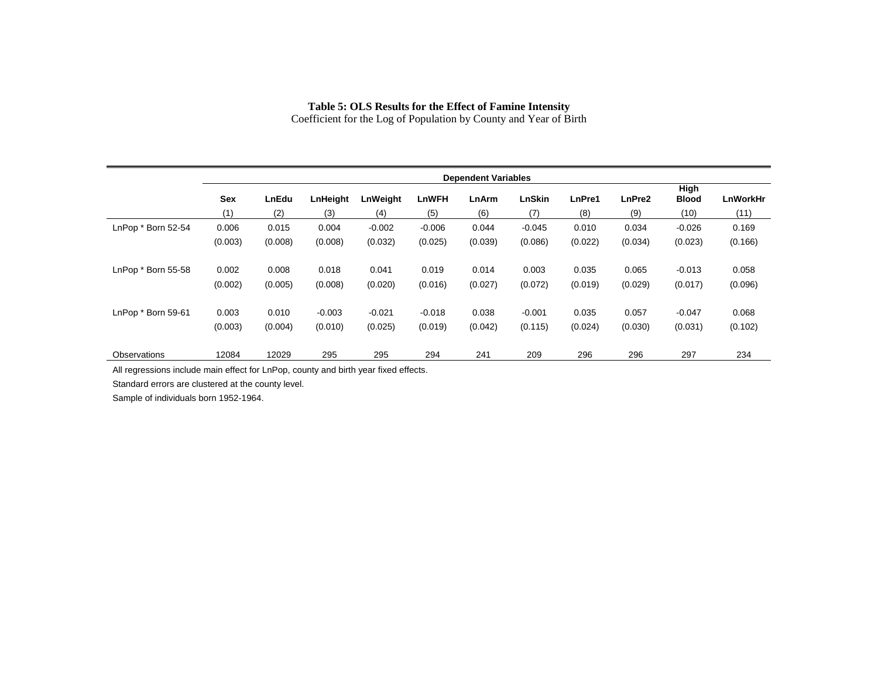### **Table 5: OLS Results for the Effect of Famine Intensity**

Coefficient for the Log of Population by County and Year of Birth

|                     | <b>Dependent Variables</b> |         |          |          |              |         |               |         |         |                      |                 |
|---------------------|----------------------------|---------|----------|----------|--------------|---------|---------------|---------|---------|----------------------|-----------------|
|                     | Sex                        | LnEdu   | LnHeight | LnWeight | <b>LnWFH</b> | LnArm   | <b>LnSkin</b> | LnPre1  | LnPre2  | High<br><b>Blood</b> | <b>LnWorkHr</b> |
|                     | (1)                        | (2)     | (3)      | (4)      | (5)          | (6)     | (7)           | (8)     | (9)     | (10)                 | (11)            |
| LnPop * Born 52-54  | 0.006                      | 0.015   | 0.004    | $-0.002$ | $-0.006$     | 0.044   | $-0.045$      | 0.010   | 0.034   | $-0.026$             | 0.169           |
|                     | (0.003)                    | (0.008) | (0.008)  | (0.032)  | (0.025)      | (0.039) | (0.086)       | (0.022) | (0.034) | (0.023)              | (0.166)         |
|                     |                            |         |          |          |              |         |               |         |         |                      |                 |
| LnPop * Born 55-58  | 0.002                      | 0.008   | 0.018    | 0.041    | 0.019        | 0.014   | 0.003         | 0.035   | 0.065   | $-0.013$             | 0.058           |
|                     | (0.002)                    | (0.005) | (0.008)  | (0.020)  | (0.016)      | (0.027) | (0.072)       | (0.019) | (0.029) | (0.017)              | (0.096)         |
|                     |                            |         |          |          |              |         |               |         |         |                      |                 |
| LnPop * Born 59-61  | 0.003                      | 0.010   | $-0.003$ | $-0.021$ | $-0.018$     | 0.038   | $-0.001$      | 0.035   | 0.057   | $-0.047$             | 0.068           |
|                     | (0.003)                    | (0.004) | (0.010)  | (0.025)  | (0.019)      | (0.042) | (0.115)       | (0.024) | (0.030) | (0.031)              | (0.102)         |
|                     |                            |         |          |          |              |         |               |         |         |                      |                 |
| <b>Observations</b> | 12084                      | 12029   | 295      | 295      | 294          | 241     | 209           | 296     | 296     | 297                  | 234             |

All regressions include main effect for LnPop, county and birth year fixed effects.

Standard errors are clustered at the county level.

Sample of individuals born 1952-1964.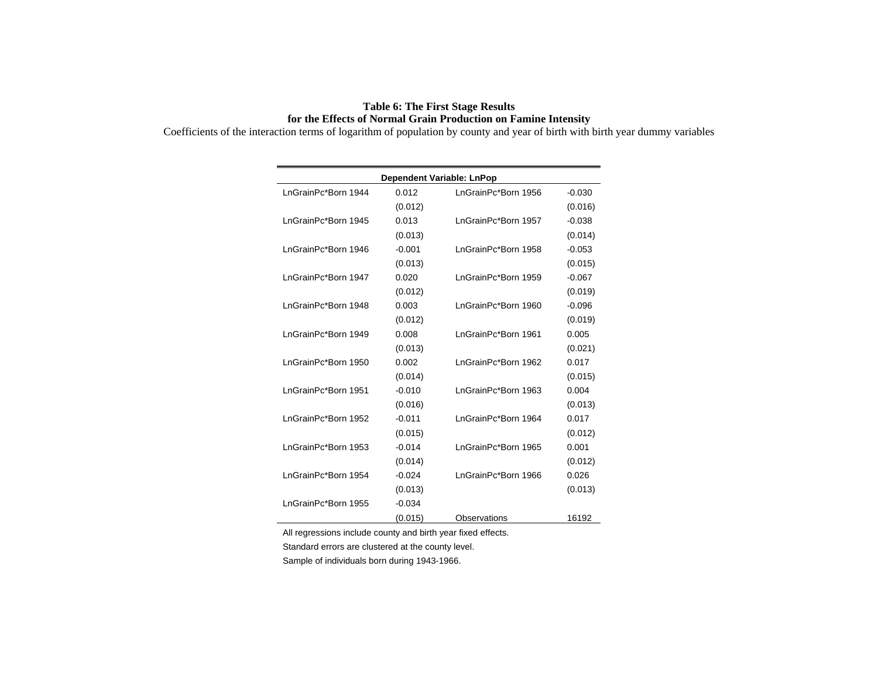### **Table 6: The First Stage Results for the Effects of Normal Grain Production on Famine Intensity**

Coefficients of the interaction terms of logarithm of population by county and year of birth with birth year dummy variables

|                     |          | <b>Dependent Variable: LnPop</b> |          |
|---------------------|----------|----------------------------------|----------|
| InGrainPc*Born 1944 | 0.012    | InGrainPc*Born 1956              | $-0.030$ |
|                     | (0.012)  |                                  | (0.016)  |
| InGrainPc*Born 1945 | 0.013    | InGrainPc*Born 1957              | $-0.038$ |
|                     | (0.013)  |                                  | (0.014)  |
| LnGrainPc*Born 1946 | $-0.001$ | LnGrainPc*Born 1958              | $-0.053$ |
|                     | (0.013)  |                                  | (0.015)  |
| LnGrainPc*Born 1947 | 0.020    | LnGrainPc*Born 1959              | $-0.067$ |
|                     | (0.012)  |                                  | (0.019)  |
| InGrainPc*Born 1948 | 0.003    | InGrainPc*Born 1960              | $-0.096$ |
|                     | (0.012)  |                                  | (0.019)  |
| LnGrainPc*Born 1949 | 0.008    | LnGrainPc*Born 1961              | 0.005    |
|                     | (0.013)  |                                  | (0.021)  |
| LnGrainPc*Born 1950 | 0.002    | LnGrainPc*Born 1962              | 0.017    |
|                     | (0.014)  |                                  | (0.015)  |
| LnGrainPc*Born 1951 | $-0.010$ | LnGrainPc*Born 1963              | 0.004    |
|                     | (0.016)  |                                  | (0.013)  |
| LnGrainPc*Born 1952 | $-0.011$ | LnGrainPc*Born 1964              | 0.017    |
|                     | (0.015)  |                                  | (0.012)  |
| InGrainPc*Born 1953 | $-0.014$ | InGrainPc*Born 1965              | 0.001    |
|                     | (0.014)  |                                  | (0.012)  |
| InGrainPc*Born 1954 | $-0.024$ | InGrainPc*Born 1966              | 0.026    |
|                     | (0.013)  |                                  | (0.013)  |
| LnGrainPc*Born 1955 | $-0.034$ |                                  |          |
|                     | (0.015)  | Observations                     | 16192    |

All regressions include county and birth year fixed effects.

Standard errors are clustered at the county level.

Sample of individuals born during 1943-1966.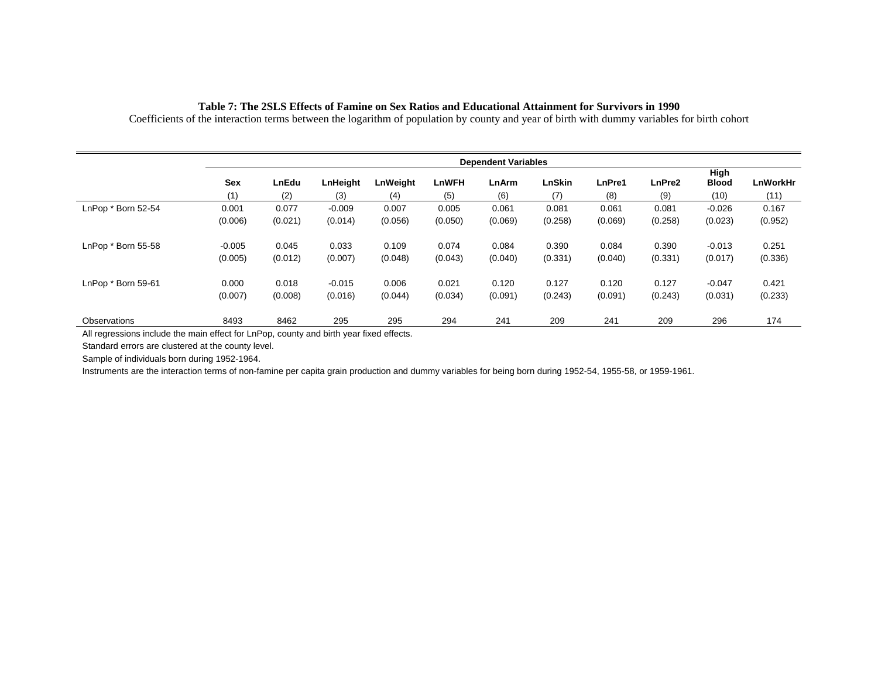|                    |            | <b>Dependent Variables</b> |                 |                 |                     |              |                      |               |               |                              |                         |
|--------------------|------------|----------------------------|-----------------|-----------------|---------------------|--------------|----------------------|---------------|---------------|------------------------------|-------------------------|
|                    | Sex<br>(1) | LnEdu<br>(2)               | LnHeight<br>(3) | LnWeight<br>(4) | <b>LnWFH</b><br>(5) | LnArm<br>(6) | <b>LnSkin</b><br>(7) | LnPre1<br>(8) | LnPre2<br>(9) | High<br><b>Blood</b><br>(10) | <b>LnWorkHr</b><br>(11) |
| LnPop * Born 52-54 | 0.001      | 0.077                      | $-0.009$        | 0.007           | 0.005               | 0.061        | 0.081                | 0.061         | 0.081         | $-0.026$                     | 0.167                   |
|                    | (0.006)    | (0.021)                    | (0.014)         | (0.056)         | (0.050)             | (0.069)      | (0.258)              | (0.069)       | (0.258)       | (0.023)                      | (0.952)                 |
| LnPop * Born 55-58 | $-0.005$   | 0.045                      | 0.033           | 0.109           | 0.074               | 0.084        | 0.390                | 0.084         | 0.390         | $-0.013$                     | 0.251                   |
|                    | (0.005)    | (0.012)                    | (0.007)         | (0.048)         | (0.043)             | (0.040)      | (0.331)              | (0.040)       | (0.331)       | (0.017)                      | (0.336)                 |
| LnPop * Born 59-61 | 0.000      | 0.018                      | $-0.015$        | 0.006           | 0.021               | 0.120        | 0.127                | 0.120         | 0.127         | $-0.047$                     | 0.421                   |
|                    | (0.007)    | (0.008)                    | (0.016)         | (0.044)         | (0.034)             | (0.091)      | (0.243)              | (0.091)       | (0.243)       | (0.031)                      | (0.233)                 |
| Observations       | 8493       | 8462                       | 295             | 295             | 294                 | 241          | 209                  | 241           | 209           | 296                          | 174                     |

#### **Table 7: The 2SLS Effects of Famine on Sex Ratios and Educational Attainment for Survivors in 1990**

Coefficients of the interaction terms between the logarithm of population by county and year of birth with dummy variables for birth cohort

All regressions include the main effect for LnPop, county and birth year fixed effects.

Standard errors are clustered at the county level.

Sample of individuals born during 1952-1964.

Instruments are the interaction terms of non-famine per capita grain production and dummy variables for being born during 1952-54, 1955-58, or 1959-1961.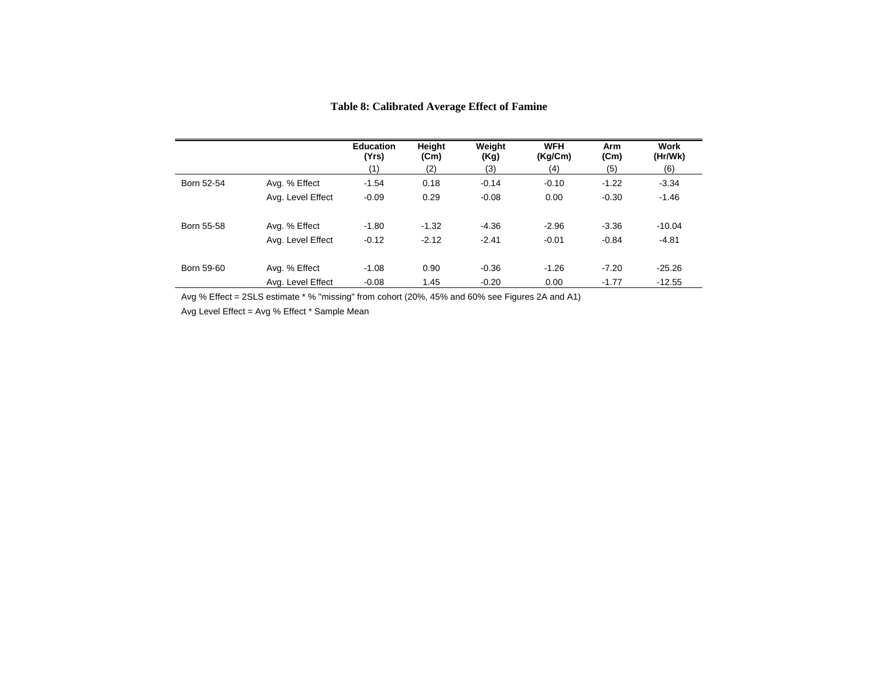|            |                   | <b>Education</b><br>(Yrs)<br>(1) | Height<br>(Cm)<br>(2) | Weight<br>(Kg)<br>(3) | <b>WFH</b><br>(Kg/Cm)<br>(4) | Arm<br>(Cm)<br>(5) | <b>Work</b><br>(Hr/Wk)<br>(6) |
|------------|-------------------|----------------------------------|-----------------------|-----------------------|------------------------------|--------------------|-------------------------------|
| Born 52-54 | Avg. % Effect     | $-1.54$                          | 0.18                  | $-0.14$               | $-0.10$                      | $-1.22$            | $-3.34$                       |
|            | Avg. Level Effect | $-0.09$                          | 0.29                  | $-0.08$               | 0.00                         | $-0.30$            | $-1.46$                       |
| Born 55-58 | Avg. % Effect     | $-1.80$                          | $-1.32$               | $-4.36$               | $-2.96$                      | $-3.36$            | $-10.04$                      |
|            | Avg. Level Effect | $-0.12$                          | $-2.12$               | $-2.41$               | $-0.01$                      | $-0.84$            | $-4.81$                       |
| Born 59-60 | Avg. % Effect     | $-1.08$                          | 0.90                  | $-0.36$               | $-1.26$                      | $-7.20$            | $-25.26$                      |
|            | Ava. Level Effect | $-0.08$                          | 1.45                  | $-0.20$               | 0.00                         | $-1.77$            | $-12.55$                      |

### **Table 8: Calibrated Average Effect of Famine**

Avg % Effect = 2SLS estimate \* % "missing" from cohort (20%, 45% and 60% see Figures 2A and A1)

Avg Level Effect = Avg % Effect \* Sample Mean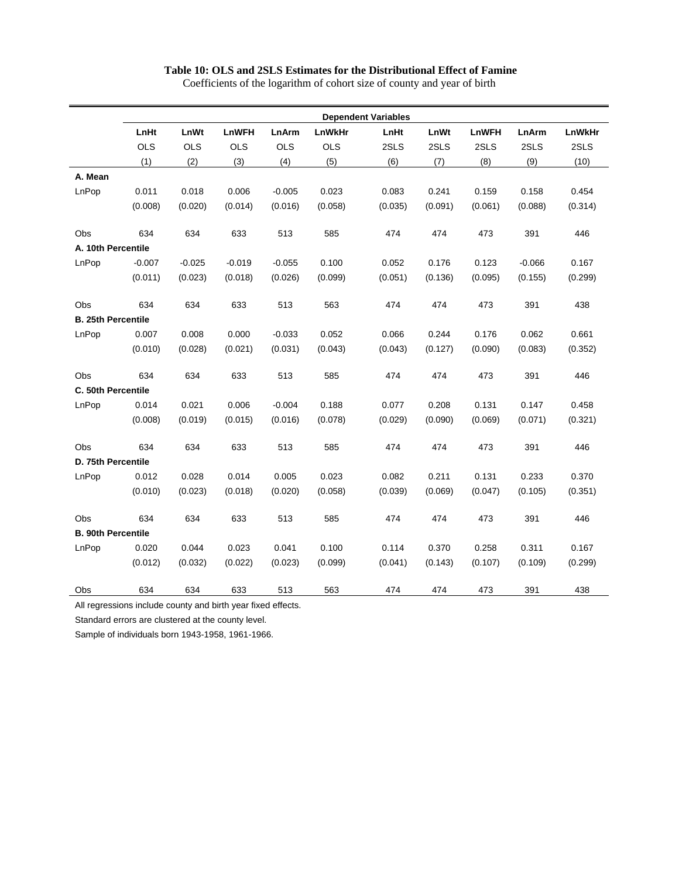#### **Table 10: OLS and 2SLS Estimates for the Distributional Effect of Famine**

**Dependent Variables LnHt LnWt LnWFH LnArm LnWkHr LnHt LnWt LnWFH LnArm LnWkHr**  OLS OLS OLS OLS OLS 2SLS 2SLS 2SLS 2SLS 2SLS (1) (2) (3) (4) (5) (6) (7) (8) (9) (10) **A. Mean**  LnPop 0.011 0.018 0.006 -0.005 0.023 0.083 0.241 0.159 0.158 0.454 (0.008) (0.020) (0.014) (0.016) (0.058) (0.035) (0.091) (0.061) (0.088) (0.314) Obs 634 634 633 513 585 474 474 473 391 446 **A. 10th Percentile**  LnPop -0.007 -0.025 -0.019 -0.055 0.100 0.052 0.176 0.123 -0.066 0.167 (0.011) (0.023) (0.018) (0.026) (0.099) (0.051) (0.136) (0.095) (0.155) (0.299) Obs 634 634 633 513 563 474 474 473 391 438 **B. 25th Percentile**  LnPop 0.007 0.008 0.000 -0.033 0.052 0.066 0.244 0.176 0.062 0.661 (0.010) (0.028) (0.021) (0.031) (0.043) (0.043) (0.127) (0.090) (0.083) (0.352) Obs 634 634 633 513 585 474 474 473 391 446 **C. 50th Percentile**  LnPop 0.014 0.021 0.006 -0.004 0.188 0.077 0.208 0.131 0.147 0.458 (0.008) (0.019) (0.015) (0.016) (0.078) (0.029) (0.090) (0.069) (0.071) (0.321) Obs 634 634 633 513 585 474 474 473 391 446 **D. 75th Percentile**  LnPop 0.012 0.028 0.014 0.005 0.023 0.082 0.211 0.131 0.233 0.370 (0.010) (0.023) (0.018) (0.020) (0.058) (0.039) (0.069) (0.047) (0.105) (0.351) Obs 634 634 633 513 585 474 474 473 391 446 **B. 90th Percentile**  LnPop 0.020 0.044 0.023 0.041 0.100 0.114 0.370 0.258 0.311 0.167 (0.012) (0.032) (0.022) (0.023) (0.099) (0.041) (0.143) (0.107) (0.109) (0.299) Obs 634 634 633 513 563 474 474 473 391 438

Coefficients of the logarithm of cohort size of county and year of birth

All regressions include county and birth year fixed effects.

Standard errors are clustered at the county level.

Sample of individuals born 1943-1958, 1961-1966.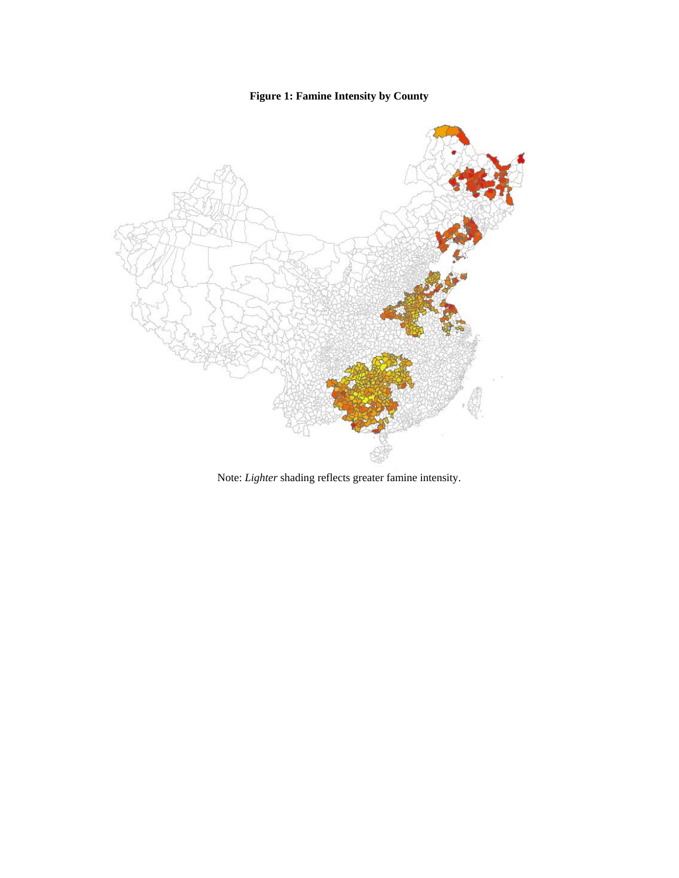# **Figure 1: Famine Intensity by County**



Note: *Lighter* shading reflects greater famine intensity.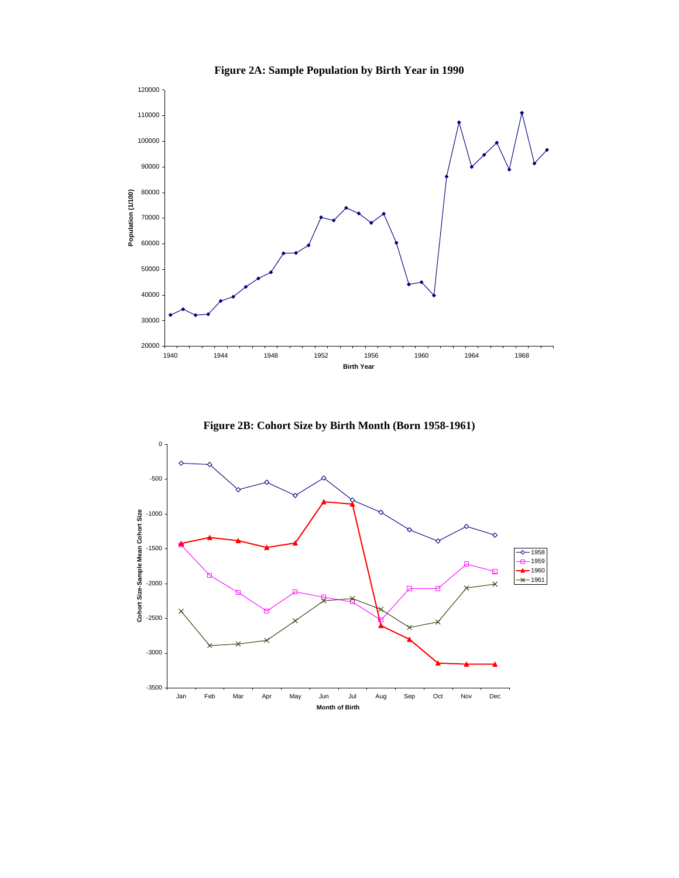

**Figure 2A: Sample Population by Birth Year in 1990** 



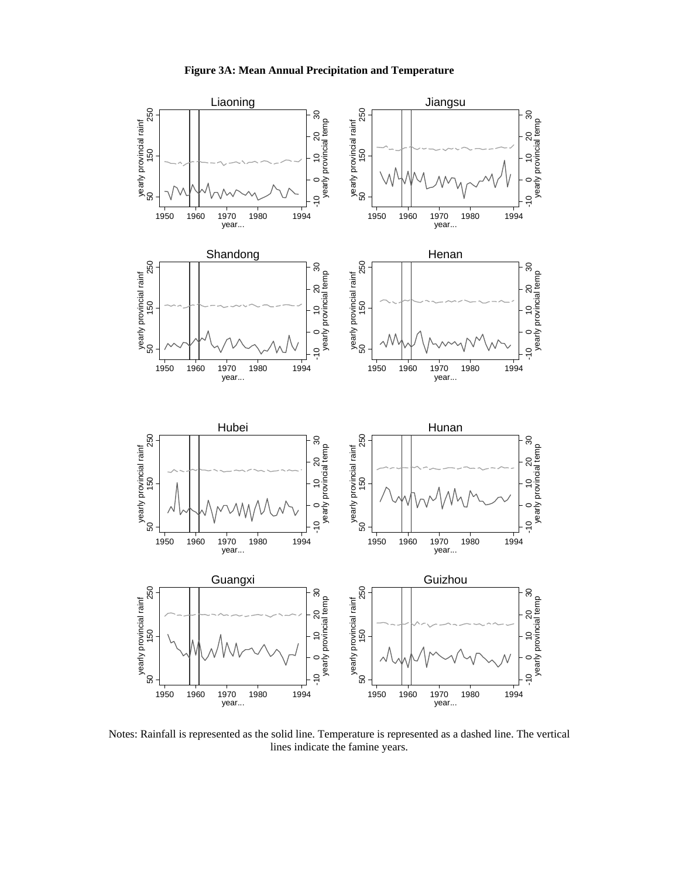

Notes: Rainfall is represented as the solid line. Temperature is represented as a dashed line. The vertical lines indicate the famine years.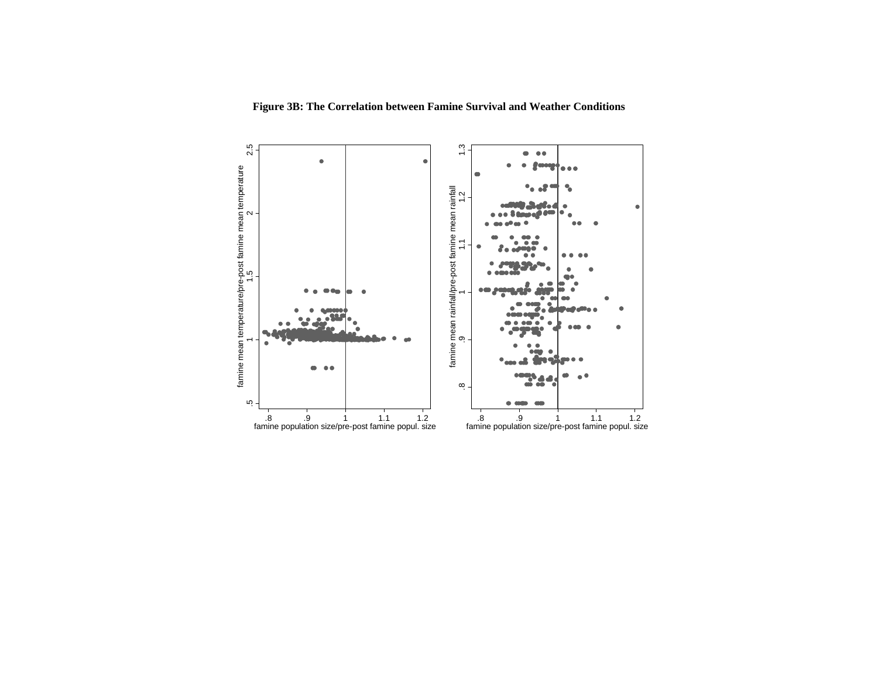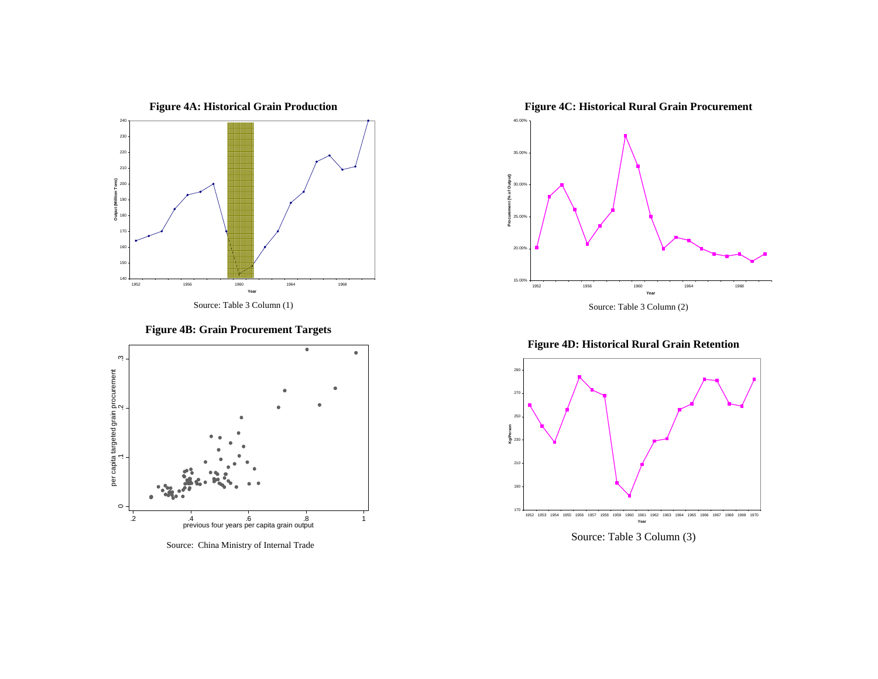

**Figure 4B: Grain Procurement Targets** 



Source: China Ministry of Internal Trade



**Figure 4D: Historical Rural Grain Retention** 



Source: Table 3 Column (3)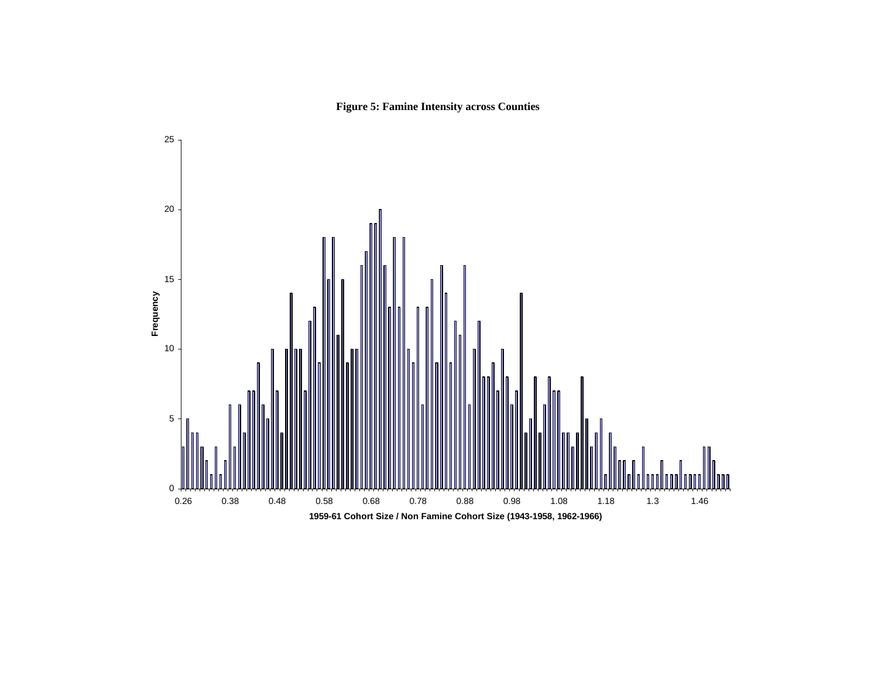

**Figure 5: Famine Intensity across Counties**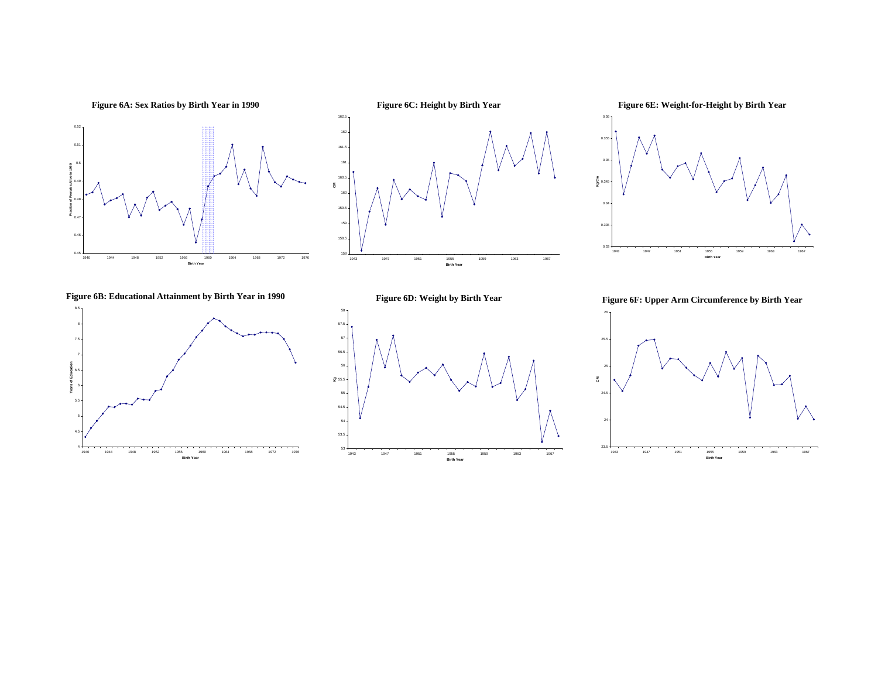





**Figure 6B: Educational Attainment by Birth Year in 1990** 



**Figure 6D: Weight by Birth Year** 



**Figure 6F: Upper Arm Circumference by Birth Year** 

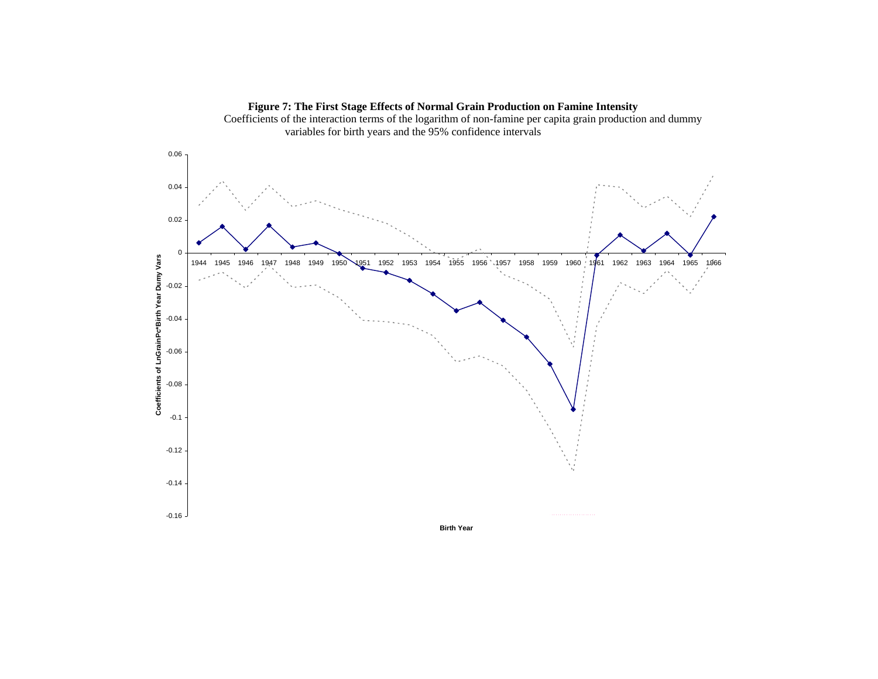

**Figure 7: The First Stage Effects of Normal Grain Production on Famine Intensity**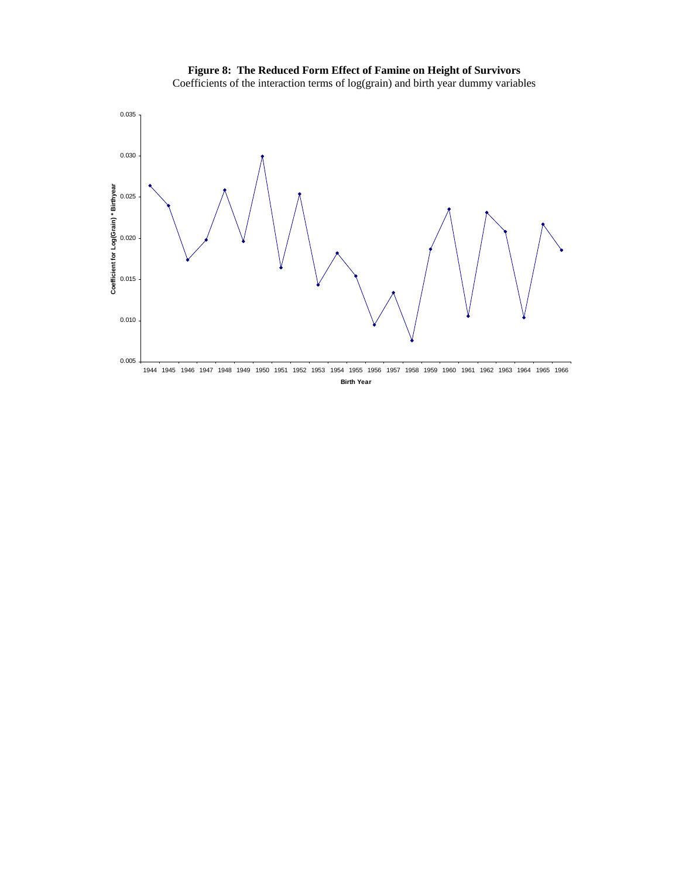

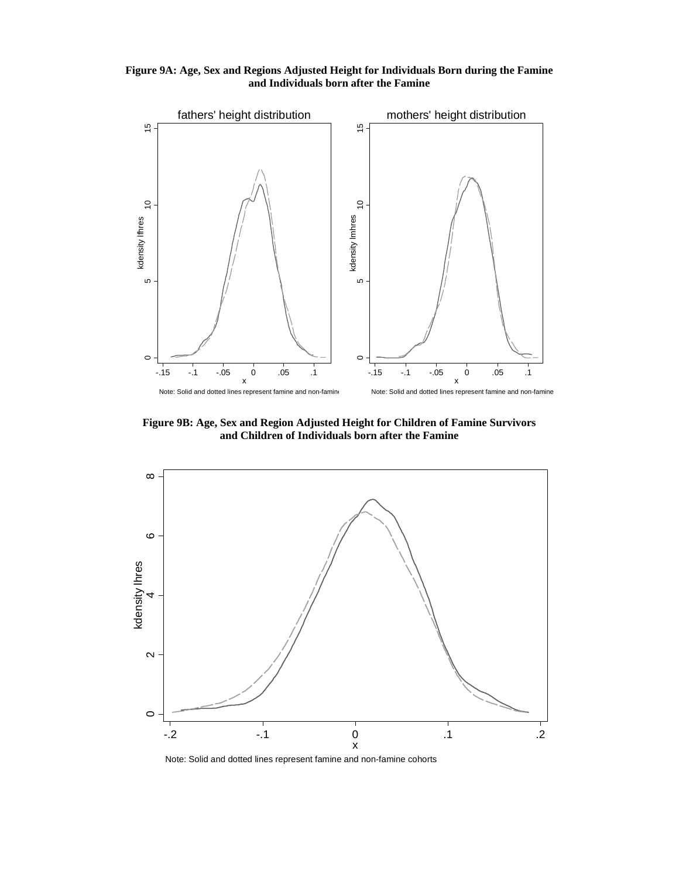**Figure 9A: Age, Sex and Regions Adjusted Height for Individuals Born during the Famine and Individuals born after the Famine** 



**Figure 9B: Age, Sex and Region Adjusted Height for Children of Famine Survivors and Children of Individuals born after the Famine** 



Note: Solid and dotted lines represent famine and non-famine cohorts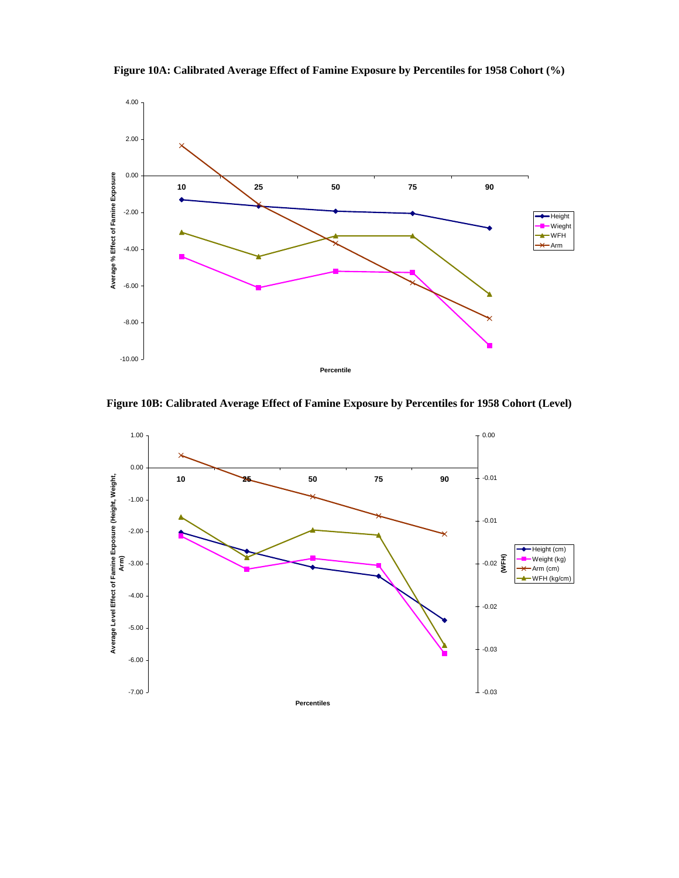

**Figure 10A: Calibrated Average Effect of Famine Exposure by Percentiles for 1958 Cohort (%)** 

**Figure 10B: Calibrated Average Effect of Famine Exposure by Percentiles for 1958 Cohort (Level)** 

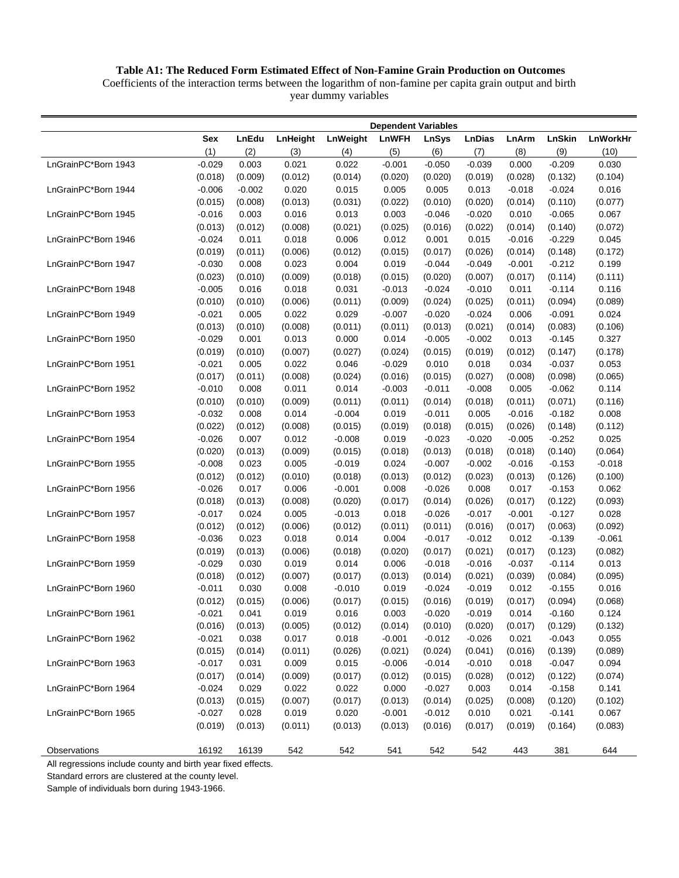# **Table A1: The Reduced Form Estimated Effect of Non-Famine Grain Production on Outcomes**

Coefficients of the interaction terms between the logarithm of non-famine per capita grain output and birth year dummy variables

|                     |          |          |          |          | <b>Dependent Variables</b> |              |               |          |          |          |
|---------------------|----------|----------|----------|----------|----------------------------|--------------|---------------|----------|----------|----------|
|                     | Sex      | LnEdu    | LnHeight | LnWeight | <b>LnWFH</b>               | <b>LnSys</b> | <b>LnDias</b> | LnArm    | LnSkin   | LnWorkHr |
|                     | (1)      | (2)      | (3)      | (4)      | (5)                        | (6)          | (7)           | (8)      | (9)      | (10)     |
| LnGrainPC*Born 1943 | $-0.029$ | 0.003    | 0.021    | 0.022    | $-0.001$                   | $-0.050$     | $-0.039$      | 0.000    | $-0.209$ | 0.030    |
|                     | (0.018)  | (0.009)  | (0.012)  | (0.014)  | (0.020)                    | (0.020)      | (0.019)       | (0.028)  | (0.132)  | (0.104)  |
| LnGrainPC*Born 1944 | $-0.006$ | $-0.002$ | 0.020    | 0.015    | 0.005                      | 0.005        | 0.013         | $-0.018$ | $-0.024$ | 0.016    |
|                     | (0.015)  | (0.008)  | (0.013)  | (0.031)  | (0.022)                    | (0.010)      | (0.020)       | (0.014)  | (0.110)  | (0.077)  |
| LnGrainPC*Born 1945 | $-0.016$ | 0.003    | 0.016    | 0.013    | 0.003                      | $-0.046$     | $-0.020$      | 0.010    | $-0.065$ | 0.067    |
|                     | (0.013)  | (0.012)  | (0.008)  | (0.021)  | (0.025)                    | (0.016)      | (0.022)       | (0.014)  | (0.140)  | (0.072)  |
| LnGrainPC*Born 1946 | $-0.024$ | 0.011    | 0.018    | 0.006    | 0.012                      | 0.001        | 0.015         | $-0.016$ | $-0.229$ | 0.045    |
|                     | (0.019)  | (0.011)  | (0.006)  | (0.012)  | (0.015)                    | (0.017)      | (0.026)       | (0.014)  | (0.148)  | (0.172)  |
| LnGrainPC*Born 1947 | $-0.030$ | 0.008    | 0.023    | 0.004    | 0.019                      | $-0.044$     | $-0.049$      | $-0.001$ | $-0.212$ | 0.199    |
|                     | (0.023)  | (0.010)  | (0.009)  | (0.018)  | (0.015)                    | (0.020)      | (0.007)       | (0.017)  | (0.114)  | (0.111)  |
| LnGrainPC*Born 1948 | $-0.005$ | 0.016    | 0.018    | 0.031    | $-0.013$                   | $-0.024$     | $-0.010$      | 0.011    | $-0.114$ | 0.116    |
|                     | (0.010)  | (0.010)  | (0.006)  | (0.011)  | (0.009)                    | (0.024)      | (0.025)       | (0.011)  | (0.094)  | (0.089)  |
| LnGrainPC*Born 1949 | $-0.021$ | 0.005    | 0.022    | 0.029    | $-0.007$                   | $-0.020$     | $-0.024$      | 0.006    | $-0.091$ | 0.024    |
|                     | (0.013)  | (0.010)  | (0.008)  | (0.011)  | (0.011)                    | (0.013)      | (0.021)       | (0.014)  | (0.083)  | (0.106)  |
| LnGrainPC*Born 1950 | $-0.029$ | 0.001    | 0.013    | 0.000    | 0.014                      | $-0.005$     | $-0.002$      | 0.013    | $-0.145$ | 0.327    |
|                     | (0.019)  | (0.010)  | (0.007)  | (0.027)  | (0.024)                    | (0.015)      | (0.019)       | (0.012)  | (0.147)  | (0.178)  |
| LnGrainPC*Born 1951 | $-0.021$ | 0.005    | 0.022    | 0.046    | $-0.029$                   | 0.010        | 0.018         | 0.034    | $-0.037$ | 0.053    |
|                     | (0.017)  | (0.011)  | (0.008)  | (0.024)  | (0.016)                    | (0.015)      | (0.027)       | (0.008)  | (0.098)  | (0.065)  |
| LnGrainPC*Born 1952 | $-0.010$ | 0.008    | 0.011    | 0.014    | $-0.003$                   | $-0.011$     | $-0.008$      | 0.005    | $-0.062$ | 0.114    |
|                     | (0.010)  | (0.010)  | (0.009)  | (0.011)  | (0.011)                    | (0.014)      | (0.018)       | (0.011)  | (0.071)  | (0.116)  |
| LnGrainPC*Born 1953 | $-0.032$ | 0.008    | 0.014    | $-0.004$ | 0.019                      | $-0.011$     | 0.005         | $-0.016$ | $-0.182$ | 0.008    |
|                     | (0.022)  | (0.012)  | (0.008)  | (0.015)  | (0.019)                    | (0.018)      | (0.015)       | (0.026)  | (0.148)  | (0.112)  |
| LnGrainPC*Born 1954 | $-0.026$ | 0.007    | 0.012    | $-0.008$ | 0.019                      | $-0.023$     | $-0.020$      | $-0.005$ | $-0.252$ | 0.025    |
|                     | (0.020)  | (0.013)  | (0.009)  | (0.015)  | (0.018)                    | (0.013)      | (0.018)       | (0.018)  | (0.140)  | (0.064)  |
| LnGrainPC*Born 1955 | $-0.008$ | 0.023    | 0.005    | $-0.019$ | 0.024                      | $-0.007$     | $-0.002$      | $-0.016$ | $-0.153$ | $-0.018$ |
|                     | (0.012)  | (0.012)  | (0.010)  | (0.018)  | (0.013)                    | (0.012)      | (0.023)       | (0.013)  | (0.126)  | (0.100)  |
| LnGrainPC*Born 1956 | $-0.026$ | 0.017    | 0.006    | $-0.001$ | 0.008                      | $-0.026$     | 0.008         | 0.017    | $-0.153$ | 0.062    |
|                     | (0.018)  | (0.013)  | (0.008)  | (0.020)  | (0.017)                    | (0.014)      | (0.026)       | (0.017)  | (0.122)  | (0.093)  |
| LnGrainPC*Born 1957 | $-0.017$ | 0.024    | 0.005    | $-0.013$ | 0.018                      | $-0.026$     | $-0.017$      | $-0.001$ | $-0.127$ | 0.028    |
|                     | (0.012)  | (0.012)  | (0.006)  | (0.012)  | (0.011)                    | (0.011)      | (0.016)       | (0.017)  | (0.063)  | (0.092)  |
| LnGrainPC*Born 1958 | $-0.036$ | 0.023    | 0.018    | 0.014    | 0.004                      | $-0.017$     | $-0.012$      | 0.012    | $-0.139$ | $-0.061$ |
|                     | (0.019)  | (0.013)  | (0.006)  | (0.018)  | (0.020)                    | (0.017)      | (0.021)       | (0.017)  | (0.123)  | (0.082)  |
| LnGrainPC*Born 1959 | $-0.029$ | 0.030    | 0.019    | 0.014    | 0.006                      | $-0.018$     | $-0.016$      | $-0.037$ | $-0.114$ | 0.013    |
|                     | (0.018)  | (0.012)  | (0.007)  | (0.017)  | (0.013)                    | (0.014)      | (0.021)       | (0.039)  | (0.084)  | (0.095)  |
| LnGrainPC*Born 1960 | $-0.011$ | 0.030    | 0.008    | $-0.010$ | 0.019                      | $-0.024$     | $-0.019$      | 0.012    | $-0.155$ | 0.016    |
|                     | (0.012)  | (0.015)  | (0.006)  | (0.017)  | (0.015)                    | (0.016)      | (0.019)       | (0.017)  | (0.094)  | (0.068)  |
| LnGrainPC*Born 1961 | $-0.021$ | 0.041    | 0.019    | 0.016    | 0.003                      | $-0.020$     | $-0.019$      | 0.014    | $-0.160$ | 0.124    |
|                     | (0.016)  | (0.013)  | (0.005)  | (0.012)  | (0.014)                    | (0.010)      | (0.020)       | (0.017)  | (0.129)  | (0.132)  |
| LnGrainPC*Born 1962 | $-0.021$ | 0.038    | 0.017    | 0.018    | $-0.001$                   | $-0.012$     | $-0.026$      | 0.021    | $-0.043$ | 0.055    |
|                     | (0.015)  | (0.014)  | (0.011)  | (0.026)  | (0.021)                    | (0.024)      | (0.041)       | (0.016)  | (0.139)  | (0.089)  |
| LnGrainPC*Born 1963 | $-0.017$ | 0.031    | 0.009    | 0.015    | $-0.006$                   | $-0.014$     | $-0.010$      | 0.018    | $-0.047$ | 0.094    |
|                     | (0.017)  | (0.014)  | (0.009)  | (0.017)  | (0.012)                    | (0.015)      | (0.028)       | (0.012)  | (0.122)  | (0.074)  |
| LnGrainPC*Born 1964 | $-0.024$ | 0.029    | 0.022    | 0.022    | 0.000                      | $-0.027$     | 0.003         | 0.014    | $-0.158$ | 0.141    |
|                     | (0.013)  | (0.015)  | (0.007)  | (0.017)  | (0.013)                    | (0.014)      | (0.025)       | (0.008)  | (0.120)  | (0.102)  |
| LnGrainPC*Born 1965 | $-0.027$ | 0.028    | 0.019    | 0.020    | $-0.001$                   | $-0.012$     | 0.010         | 0.021    | $-0.141$ | 0.067    |
|                     | (0.019)  | (0.013)  | (0.011)  | (0.013)  | (0.013)                    | (0.016)      | (0.017)       | (0.019)  | (0.164)  | (0.083)  |
|                     |          |          |          |          |                            |              |               |          |          |          |
| Observations        | 16192    | 16139    | 542      | 542      | 541                        | 542          | 542           | 443      | 381      | 644      |

All regressions include county and birth year fixed effects.

Standard errors are clustered at the county level.

Sample of individuals born during 1943-1966.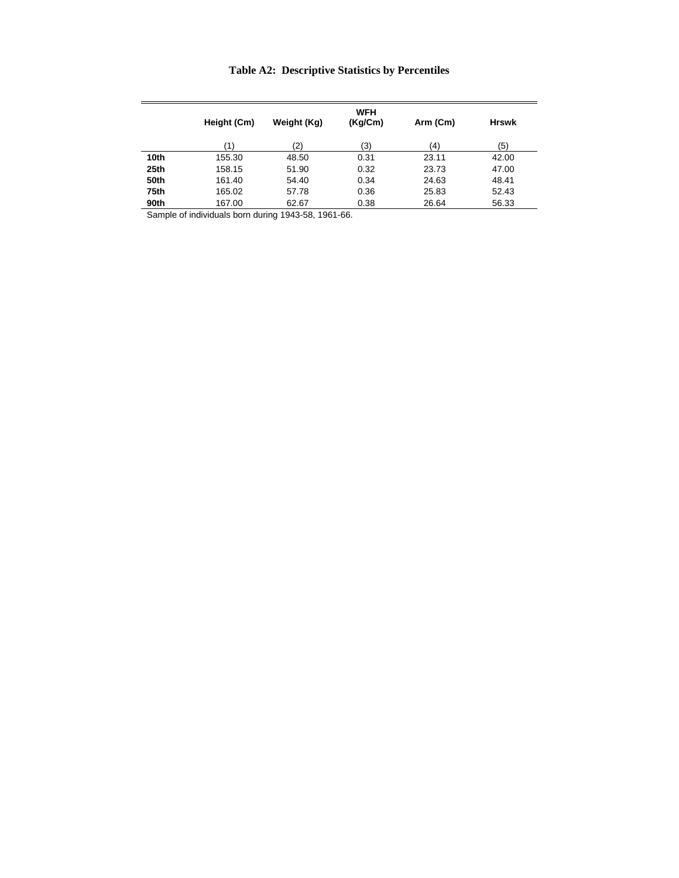# **Table A2: Descriptive Statistics by Percentiles**

|      | Height (Cm) | Weight (Kg) | WFH<br>(Kg/Cm) | Arm (Cm) | <b>Hrswk</b> |
|------|-------------|-------------|----------------|----------|--------------|
|      | (1)         | (2)         | (3)            | (4)      | (5)          |
| 10th | 155.30      | 48.50       | 0.31           | 23.11    | 42.00        |
| 25th | 158.15      | 51.90       | 0.32           | 23.73    | 47.00        |
| 50th | 161.40      | 54.40       | 0.34           | 24.63    | 48.41        |
| 75th | 165.02      | 57.78       | 0.36           | 25.83    | 52.43        |
| 90th | 167.00      | 62.67       | 0.38           | 26.64    | 56.33        |

Sample of individuals born during 1943-58, 1961-66.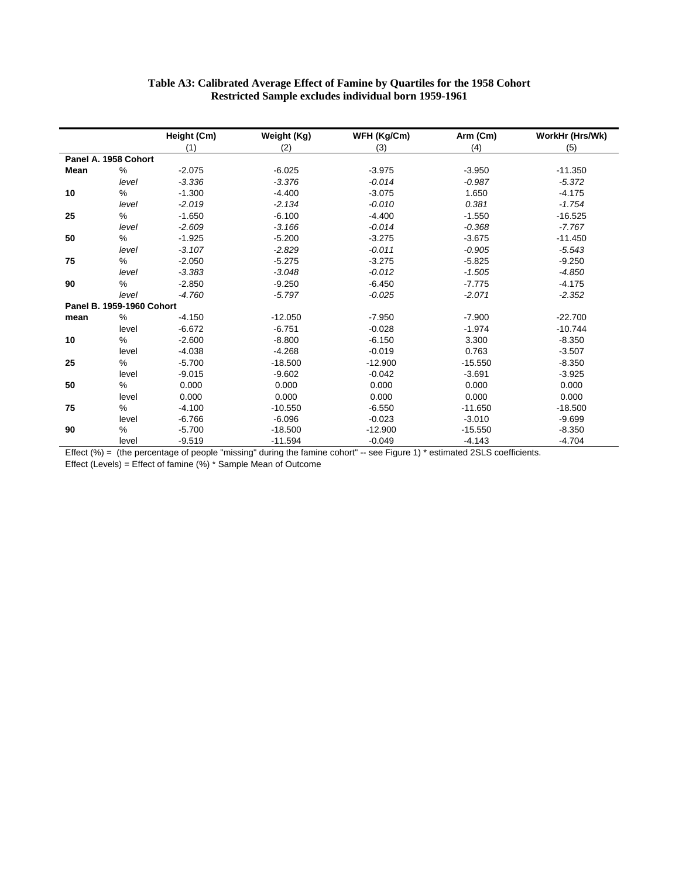| Table A3: Calibrated Average Effect of Famine by Quartiles for the 1958 Cohort |
|--------------------------------------------------------------------------------|
| <b>Restricted Sample excludes individual born 1959-1961</b>                    |

|      |                           | Height (Cm) | Weight (Kg) | WFH (Kg/Cm) | Arm (Cm)  | WorkHr (Hrs/Wk) |
|------|---------------------------|-------------|-------------|-------------|-----------|-----------------|
|      |                           | (1)         | (2)         | (3)         | (4)       | (5)             |
|      | Panel A. 1958 Cohort      |             |             |             |           |                 |
| Mean | %                         | $-2.075$    | $-6.025$    | $-3.975$    | $-3.950$  | $-11.350$       |
|      | level                     | $-3.336$    | $-3.376$    | $-0.014$    | $-0.987$  | $-5.372$        |
| 10   | $\%$                      | $-1.300$    | $-4.400$    | $-3.075$    | 1.650     | $-4.175$        |
|      | level                     | $-2.019$    | $-2.134$    | $-0.010$    | 0.381     | $-1.754$        |
| 25   | $\%$                      | $-1.650$    | $-6.100$    | $-4.400$    | $-1.550$  | $-16.525$       |
|      | level                     | $-2.609$    | $-3.166$    | $-0.014$    | $-0.368$  | $-7.767$        |
| 50   | %                         | $-1.925$    | $-5.200$    | $-3.275$    | $-3.675$  | $-11.450$       |
|      | level                     | $-3.107$    | $-2.829$    | $-0.011$    | $-0.905$  | $-5.543$        |
| 75   | %                         | $-2.050$    | $-5.275$    | $-3.275$    | $-5.825$  | $-9.250$        |
|      | level                     | $-3.383$    | $-3.048$    | $-0.012$    | $-1.505$  | $-4.850$        |
| 90   | %                         | $-2.850$    | $-9.250$    | $-6.450$    | $-7.775$  | $-4.175$        |
|      | level                     | $-4.760$    | $-5.797$    | $-0.025$    | $-2.071$  | $-2.352$        |
|      | Panel B. 1959-1960 Cohort |             |             |             |           |                 |
| mean | %                         | $-4.150$    | $-12.050$   | $-7.950$    | $-7.900$  | $-22.700$       |
|      | level                     | $-6.672$    | $-6.751$    | $-0.028$    | $-1.974$  | $-10.744$       |
| 10   | $\%$                      | $-2.600$    | $-8.800$    | $-6.150$    | 3.300     | $-8.350$        |
|      | level                     | $-4.038$    | $-4.268$    | $-0.019$    | 0.763     | $-3.507$        |
| 25   | %                         | $-5.700$    | $-18.500$   | $-12.900$   | $-15.550$ | $-8.350$        |
|      | level                     | $-9.015$    | $-9.602$    | $-0.042$    | $-3.691$  | $-3.925$        |
| 50   | %                         | 0.000       | 0.000       | 0.000       | 0.000     | 0.000           |
|      | level                     | 0.000       | 0.000       | 0.000       | 0.000     | 0.000           |
| 75   | $\%$                      | $-4.100$    | $-10.550$   | $-6.550$    | $-11.650$ | $-18.500$       |
|      | level                     | $-6.766$    | $-6.096$    | $-0.023$    | $-3.010$  | $-9.699$        |
| 90   | $\%$                      | $-5.700$    | $-18.500$   | $-12.900$   | $-15.550$ | $-8.350$        |
|      | level                     | $-9.519$    | $-11.594$   | $-0.049$    | $-4.143$  | $-4.704$        |

Effect  $(\%)$  = (the percentage of people "missing" during the famine cohort"  $-$  see Figure 1)  $*$  estimated 2SLS coefficients.

Effect (Levels) = Effect of famine (%) \* Sample Mean of Outcome